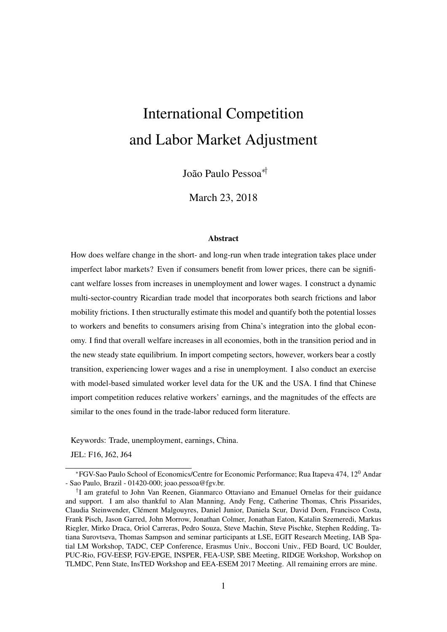# International Competition and Labor Market Adjustment

João Paulo Pessoa∗†

March 23, 2018

#### **Abstract**

How does welfare change in the short- and long-run when trade integration takes place under imperfect labor markets? Even if consumers benefit from lower prices, there can be significant welfare losses from increases in unemployment and lower wages. I construct a dynamic multi-sector-country Ricardian trade model that incorporates both search frictions and labor mobility frictions. I then structurally estimate this model and quantify both the potential losses to workers and benefits to consumers arising from China's integration into the global economy. I find that overall welfare increases in all economies, both in the transition period and in the new steady state equilibrium. In import competing sectors, however, workers bear a costly transition, experiencing lower wages and a rise in unemployment. I also conduct an exercise with model-based simulated worker level data for the UK and the USA. I find that Chinese import competition reduces relative workers' earnings, and the magnitudes of the effects are similar to the ones found in the trade-labor reduced form literature.

Keywords: Trade, unemployment, earnings, China.

JEL: F16, J62, J64

<sup>∗</sup>FGV-Sao Paulo School of Economics/Centre for Economic Performance; Rua Itapeva 474, 12<sup>0</sup> Andar - Sao Paulo, Brazil - 01420-000; joao.pessoa@fgv.br.

<sup>†</sup> I am grateful to John Van Reenen, Gianmarco Ottaviano and Emanuel Ornelas for their guidance and support. I am also thankful to Alan Manning, Andy Feng, Catherine Thomas, Chris Pissarides, Claudia Steinwender, Clément Malgouyres, Daniel Junior, Daniela Scur, David Dorn, Francisco Costa, Frank Pisch, Jason Garred, John Morrow, Jonathan Colmer, Jonathan Eaton, Katalin Szemeredi, Markus Riegler, Mirko Draca, Oriol Carreras, Pedro Souza, Steve Machin, Steve Pischke, Stephen Redding, Tatiana Surovtseva, Thomas Sampson and seminar participants at LSE, EGIT Research Meeting, IAB Spatial LM Workshop, TADC, CEP Conference, Erasmus Univ., Bocconi Univ., FED Board, UC Boulder, PUC-Rio, FGV-EESP, FGV-EPGE, INSPER, FEA-USP, SBE Meeting, RIDGE Workshop, Workshop on TLMDC, Penn State, InsTED Workshop and EEA-ESEM 2017 Meeting. All remaining errors are mine.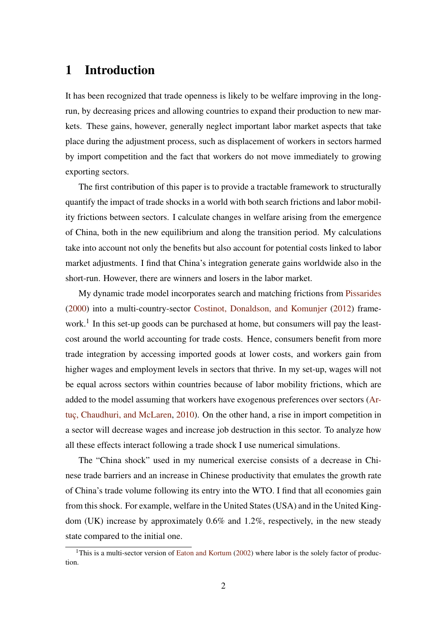# 1 Introduction

It has been recognized that trade openness is likely to be welfare improving in the longrun, by decreasing prices and allowing countries to expand their production to new markets. These gains, however, generally neglect important labor market aspects that take place during the adjustment process, such as displacement of workers in sectors harmed by import competition and the fact that workers do not move immediately to growing exporting sectors.

The first contribution of this paper is to provide a tractable framework to structurally quantify the impact of trade shocks in a world with both search frictions and labor mobility frictions between sectors. I calculate changes in welfare arising from the emergence of China, both in the new equilibrium and along the transition period. My calculations take into account not only the benefits but also account for potential costs linked to labor market adjustments. I find that China's integration generate gains worldwide also in the short-run. However, there are winners and losers in the labor market.

My dynamic trade model incorporates search and matching frictions from [Pissarides](#page-46-0) [\(2000\)](#page-46-0) into a multi-country-sector [Costinot, Donaldson, and Komunjer](#page-44-0) [\(2012\)](#page-44-0) framework.<sup>1</sup> In this set-up goods can be purchased at home, but consumers will pay the leastcost around the world accounting for trade costs. Hence, consumers benefit from more trade integration by accessing imported goods at lower costs, and workers gain from higher wages and employment levels in sectors that thrive. In my set-up, wages will not be equal across sectors within countries because of labor mobility frictions, which are added to the model assuming that workers have exogenous preferences over sectors [\(Ar](#page-44-1)[tuç, Chaudhuri, and McLaren,](#page-44-1) [2010\)](#page-44-1). On the other hand, a rise in import competition in a sector will decrease wages and increase job destruction in this sector. To analyze how all these effects interact following a trade shock I use numerical simulations.

The "China shock" used in my numerical exercise consists of a decrease in Chinese trade barriers and an increase in Chinese productivity that emulates the growth rate of China's trade volume following its entry into the WTO. I find that all economies gain from this shock. For example, welfare in the United States (USA) and in the United Kingdom (UK) increase by approximately 0.6% and 1.2%, respectively, in the new steady state compared to the initial one.

<sup>&</sup>lt;sup>1</sup>This is a multi-sector version of [Eaton and Kortum](#page-45-0) [\(2002\)](#page-45-0) where labor is the solely factor of production.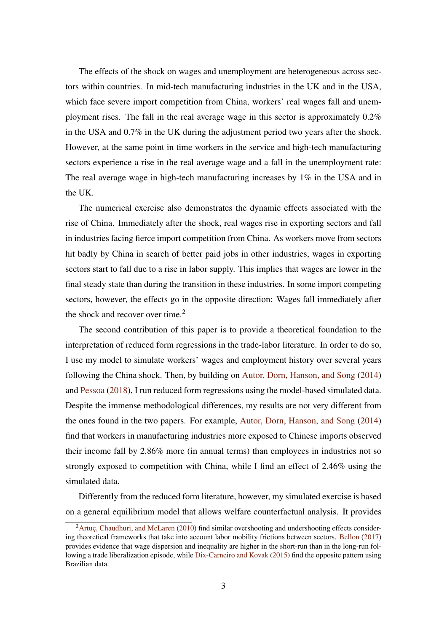The effects of the shock on wages and unemployment are heterogeneous across sectors within countries. In mid-tech manufacturing industries in the UK and in the USA, which face severe import competition from China, workers' real wages fall and unemployment rises. The fall in the real average wage in this sector is approximately 0.2% in the USA and 0.7% in the UK during the adjustment period two years after the shock. However, at the same point in time workers in the service and high-tech manufacturing sectors experience a rise in the real average wage and a fall in the unemployment rate: The real average wage in high-tech manufacturing increases by 1% in the USA and in the UK.

The numerical exercise also demonstrates the dynamic effects associated with the rise of China. Immediately after the shock, real wages rise in exporting sectors and fall in industries facing fierce import competition from China. As workers move from sectors hit badly by China in search of better paid jobs in other industries, wages in exporting sectors start to fall due to a rise in labor supply. This implies that wages are lower in the final steady state than during the transition in these industries. In some import competing sectors, however, the effects go in the opposite direction: Wages fall immediately after the shock and recover over time. $<sup>2</sup>$ </sup>

The second contribution of this paper is to provide a theoretical foundation to the interpretation of reduced form regressions in the trade-labor literature. In order to do so, I use my model to simulate workers' wages and employment history over several years following the China shock. Then, by building on [Autor, Dorn, Hanson, and Song](#page-44-2) [\(2014\)](#page-44-2) and [Pessoa](#page-46-1) [\(2018\)](#page-46-1), I run reduced form regressions using the model-based simulated data. Despite the immense methodological differences, my results are not very different from the ones found in the two papers. For example, [Autor, Dorn, Hanson, and Song](#page-44-2) [\(2014\)](#page-44-2) find that workers in manufacturing industries more exposed to Chinese imports observed their income fall by 2.86% more (in annual terms) than employees in industries not so strongly exposed to competition with China, while I find an effect of 2.46% using the simulated data.

Differently from the reduced form literature, however, my simulated exercise is based on a general equilibrium model that allows welfare counterfactual analysis. It provides

 ${}^{2}$ [Artuç, Chaudhuri, and McLaren](#page-44-1) [\(2010\)](#page-44-1) find similar overshooting and undershooting effects considering theoretical frameworks that take into account labor mobility frictions between sectors. [Bellon](#page-44-3) [\(2017\)](#page-44-3) provides evidence that wage dispersion and inequality are higher in the short-run than in the long-run fol-lowing a trade liberalization episode, while [Dix-Carneiro and Kovak](#page-45-1) [\(2015\)](#page-45-1) find the opposite pattern using Brazilian data.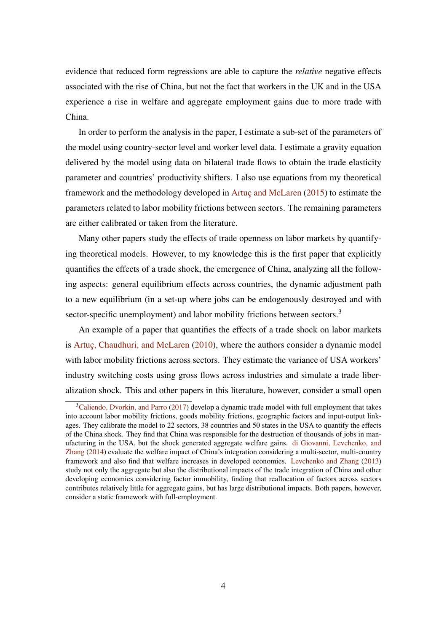evidence that reduced form regressions are able to capture the *relative* negative effects associated with the rise of China, but not the fact that workers in the UK and in the USA experience a rise in welfare and aggregate employment gains due to more trade with China.

In order to perform the analysis in the paper, I estimate a sub-set of the parameters of the model using country-sector level and worker level data. I estimate a gravity equation delivered by the model using data on bilateral trade flows to obtain the trade elasticity parameter and countries' productivity shifters. I also use equations from my theoretical framework and the methodology developed in [Artuç and McLaren](#page-44-4) [\(2015\)](#page-44-4) to estimate the parameters related to labor mobility frictions between sectors. The remaining parameters are either calibrated or taken from the literature.

Many other papers study the effects of trade openness on labor markets by quantifying theoretical models. However, to my knowledge this is the first paper that explicitly quantifies the effects of a trade shock, the emergence of China, analyzing all the following aspects: general equilibrium effects across countries, the dynamic adjustment path to a new equilibrium (in a set-up where jobs can be endogenously destroyed and with sector-specific unemployment) and labor mobility frictions between sectors.<sup>3</sup>

An example of a paper that quantifies the effects of a trade shock on labor markets is [Artuç, Chaudhuri, and McLaren](#page-44-1) [\(2010\)](#page-44-1), where the authors consider a dynamic model with labor mobility frictions across sectors. They estimate the variance of USA workers' industry switching costs using gross flows across industries and simulate a trade liberalization shock. This and other papers in this literature, however, consider a small open

 $3$ [Caliendo, Dvorkin, and Parro](#page-44-5) [\(2017\)](#page-44-5) develop a dynamic trade model with full employment that takes into account labor mobility frictions, goods mobility frictions, geographic factors and input-output linkages. They calibrate the model to 22 sectors, 38 countries and 50 states in the USA to quantify the effects of the China shock. They find that China was responsible for the destruction of thousands of jobs in manufacturing in the USA, but the shock generated aggregate welfare gains. [di Giovanni, Levchenko, and](#page-44-6) [Zhang](#page-44-6) [\(2014\)](#page-44-6) evaluate the welfare impact of China's integration considering a multi-sector, multi-country framework and also find that welfare increases in developed economies. [Levchenko and Zhang](#page-45-2) [\(2013\)](#page-45-2) study not only the aggregate but also the distributional impacts of the trade integration of China and other developing economies considering factor immobility, finding that reallocation of factors across sectors contributes relatively little for aggregate gains, but has large distributional impacts. Both papers, however, consider a static framework with full-employment.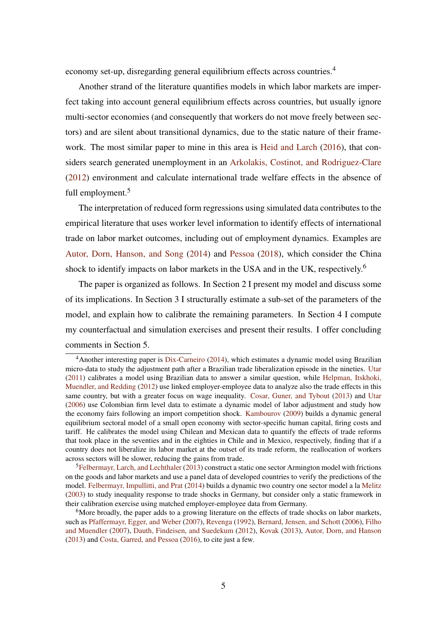economy set-up, disregarding general equilibrium effects across countries.<sup>4</sup>

Another strand of the literature quantifies models in which labor markets are imperfect taking into account general equilibrium effects across countries, but usually ignore multi-sector economies (and consequently that workers do not move freely between sectors) and are silent about transitional dynamics, due to the static nature of their framework. The most similar paper to mine in this area is [Heid and Larch](#page-45-3) [\(2016\)](#page-45-3), that considers search generated unemployment in an [Arkolakis, Costinot, and Rodriguez-Clare](#page-44-7) [\(2012\)](#page-44-7) environment and calculate international trade welfare effects in the absence of full employment.<sup>5</sup>

The interpretation of reduced form regressions using simulated data contributes to the empirical literature that uses worker level information to identify effects of international trade on labor market outcomes, including out of employment dynamics. Examples are [Autor, Dorn, Hanson, and Song](#page-44-2) [\(2014\)](#page-44-2) and [Pessoa](#page-46-1) [\(2018\)](#page-46-1), which consider the China shock to identify impacts on labor markets in the USA and in the UK, respectively.<sup>6</sup>

The paper is organized as follows. In Section 2 I present my model and discuss some of its implications. In Section 3 I structurally estimate a sub-set of the parameters of the model, and explain how to calibrate the remaining parameters. In Section 4 I compute my counterfactual and simulation exercises and present their results. I offer concluding comments in Section 5.

<sup>4</sup>Another interesting paper is [Dix-Carneiro](#page-45-4) [\(2014\)](#page-45-4), which estimates a dynamic model using Brazilian micro-data to study the adjustment path after a Brazilian trade liberalization episode in the nineties. [Utar](#page-46-2) [\(2011\)](#page-46-2) calibrates a model using Brazilian data to answer a similar question, while [Helpman, Itskhoki,](#page-45-5) [Muendler, and Redding](#page-45-5) [\(2012\)](#page-45-5) use linked employer-employee data to analyze also the trade effects in this same country, but with a greater focus on wage inequality. [Cosar, Guner, and Tybout](#page-44-8) [\(2013\)](#page-44-8) and [Utar](#page-46-3) [\(2006\)](#page-46-3) use Colombian firm level data to estimate a dynamic model of labor adjustment and study how the economy fairs following an import competition shock. [Kambourov](#page-45-6) [\(2009\)](#page-45-6) builds a dynamic general equilibrium sectoral model of a small open economy with sector-specific human capital, firing costs and tariff. He calibrates the model using Chilean and Mexican data to quantify the effects of trade reforms that took place in the seventies and in the eighties in Chile and in Mexico, respectively, finding that if a country does not liberalize its labor market at the outset of its trade reform, the reallocation of workers across sectors will be slower, reducing the gains from trade.

 ${}^{5}$ [Felbermayr, Larch, and Lechthaler](#page-45-7) [\(2013\)](#page-45-7) construct a static one sector Armington model with frictions on the goods and labor markets and use a panel data of developed countries to verify the predictions of the model. [Felbermayr, Impullitti, and Prat](#page-45-8) [\(2014\)](#page-45-8) builds a dynamic two country one sector model a la [Melitz](#page-45-9) [\(2003\)](#page-45-9) to study inequality response to trade shocks in Germany, but consider only a static framework in their calibration exercise using matched employer-employee data from Germany.

<sup>&</sup>lt;sup>6</sup>More broadly, the paper adds to a growing literature on the effects of trade shocks on labor markets, such as [Pfaffermayr, Egger, and Weber](#page-46-4) [\(2007\)](#page-46-4), [Revenga](#page-46-5) [\(1992\)](#page-46-5), [Bernard, Jensen, and Schott](#page-44-9) [\(2006\)](#page-44-9), [Filho](#page-45-10) [and Muendler](#page-45-10) [\(2007\)](#page-45-10), [Dauth, Findeisen, and Suedekum](#page-44-10) [\(2012\)](#page-44-10), [Kovak](#page-45-11) [\(2013\)](#page-45-11), [Autor, Dorn, and Hanson](#page-44-11) [\(2013\)](#page-44-11) and [Costa, Garred, and Pessoa](#page-44-12) [\(2016\)](#page-44-12), to cite just a few.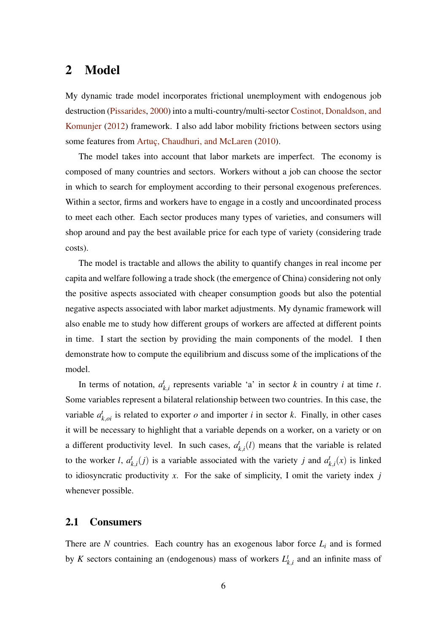# 2 Model

My dynamic trade model incorporates frictional unemployment with endogenous job destruction [\(Pissarides,](#page-46-0) [2000\)](#page-46-0) into a multi-country/multi-sector [Costinot, Donaldson, and](#page-44-0) [Komunjer](#page-44-0) [\(2012\)](#page-44-0) framework. I also add labor mobility frictions between sectors using some features from [Artuç, Chaudhuri, and McLaren](#page-44-1) [\(2010\)](#page-44-1).

The model takes into account that labor markets are imperfect. The economy is composed of many countries and sectors. Workers without a job can choose the sector in which to search for employment according to their personal exogenous preferences. Within a sector, firms and workers have to engage in a costly and uncoordinated process to meet each other. Each sector produces many types of varieties, and consumers will shop around and pay the best available price for each type of variety (considering trade costs).

The model is tractable and allows the ability to quantify changes in real income per capita and welfare following a trade shock (the emergence of China) considering not only the positive aspects associated with cheaper consumption goods but also the potential negative aspects associated with labor market adjustments. My dynamic framework will also enable me to study how different groups of workers are affected at different points in time. I start the section by providing the main components of the model. I then demonstrate how to compute the equilibrium and discuss some of the implications of the model.

In terms of notation,  $a_l^t$  $k_{k,i}$  represents variable 'a' in sector *k* in country *i* at time *t*. Some variables represent a bilateral relationship between two countries. In this case, the variable  $a_{k,oi}^t$  is related to exporter *o* and importer *i* in sector *k*. Finally, in other cases it will be necessary to highlight that a variable depends on a worker, on a variety or on a different productivity level. In such cases,  $a_i^j$  $k_{i,i}(l)$  means that the variable is related to the worker *l*,  $a_l^t$  $k$ <sub>*k*,*i*</sub>(*j*) is a variable associated with the variety *j* and  $a_j^t$  $_{k,i}^t(x)$  is linked to idiosyncratic productivity *x*. For the sake of simplicity, I omit the variety index *j* whenever possible.

#### 2.1 Consumers

There are  $N$  countries. Each country has an exogenous labor force  $L_i$  and is formed by *K* sectors containing an (endogenous) mass of workers  $L_1^t$  $k_{k,i}$  and an infinite mass of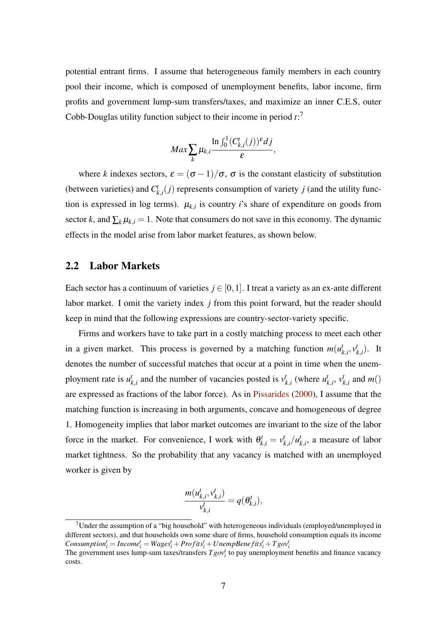potential entrant firms. I assume that heterogeneous family members in each country pool their income, which is composed of unemployment benefits, labor income, firm profits and government lump-sum transfers/taxes, and maximize an inner C.E.S, outer Cobb-Douglas utility function subject to their income in period *t*: 7

$$
Max \sum_{k} \mu_{k,i} \frac{\ln \int_0^1 (C_{k,i}^t(j))^{\varepsilon} dj}{\varepsilon},
$$

where *k* indexes sectors,  $\varepsilon = (\sigma - 1)/\sigma$ ,  $\sigma$  is the constant elasticity of substitution (between varieties) and  $C_k^t$  $f_{k,i}(j)$  represents consumption of variety *j* (and the utility function is expressed in log terms).  $\mu_{k,i}$  is country *i*'s share of expenditure on goods from sector *k*, and  $\sum_{k} \mu_{k,i} = 1$ . Note that consumers do not save in this economy. The dynamic effects in the model arise from labor market features, as shown below.

### 2.2 Labor Markets

Each sector has a continuum of varieties  $j \in [0,1]$ . I treat a variety as an ex-ante different labor market. I omit the variety index *j* from this point forward, but the reader should keep in mind that the following expressions are country-sector-variety specific.

Firms and workers have to take part in a costly matching process to meet each other in a given market. This process is governed by a matching function  $m(u)$  $\boldsymbol{h}$ <sub> $k$ </sub>, $\boldsymbol{v}$ <sup> $\boldsymbol{v}$ </sup>  $_{k,i}^t$ ). It denotes the number of successful matches that occur at a point in time when the unemployment rate is  $u^t$  $k$ <sup>*t*</sup><sub>*k*</sub>,*i* and the number of vacancies posted is  $v_j^t$  $_{k,i}^t$  (where  $u_i^t$  $\boldsymbol{v}_k^t$ ,  $\boldsymbol{v}_l^t$  $_{k,i}^t$  and  $m()$ are expressed as fractions of the labor force). As in [Pissarides](#page-46-0) [\(2000\)](#page-46-0), I assume that the matching function is increasing in both arguments, concave and homogeneous of degree 1. Homogeneity implies that labor market outcomes are invariant to the size of the labor force in the market. For convenience, I work with  $\theta_{k,i}^t = v_i^t$  $\int_{k,i}^{t}/u_{k}^{t}$  $k$ <sub>,*i*</sub>, a measure of labor market tightness. So the probability that any vacancy is matched with an unemployed worker is given by

$$
\frac{m(u_{k,i}^t, v_{k,i}^t)}{v_{k,i}^t} = q(\theta_{k,i}^t),
$$

 $7$ Under the assumption of a "big household" with heterogeneous individuals (employed/unemployed in different sectors), and that households own some share of firms, household consumption equals its income  $\textit{Consumption}^t_i = \textit{Income}^t_i = \textit{Wages}^t_i + \textit{Profits}^t_i + \textit{UnempBenefits}^t_i + \textit{Tgov}^t_i$ 

The government uses lump-sum taxes/transfers  $Tgov_i^t$  to pay unemployment benefits and finance vacancy costs.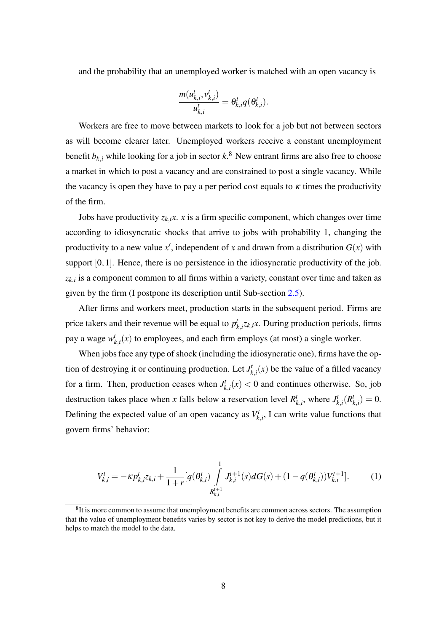and the probability that an unemployed worker is matched with an open vacancy is

$$
\frac{m(u_{k,i}^t, v_{k,i}^t)}{u_{k,i}^t} = \theta_{k,i}^t q(\theta_{k,i}^t).
$$

Workers are free to move between markets to look for a job but not between sectors as will become clearer later. Unemployed workers receive a constant unemployment benefit  $b_{k,i}$  while looking for a job in sector  $k$ .<sup>8</sup> New entrant firms are also free to choose a market in which to post a vacancy and are constrained to post a single vacancy. While the vacancy is open they have to pay a per period cost equals to  $\kappa$  times the productivity of the firm.

Jobs have productivity  $z_{k,i}$ *x*. *x* is a firm specific component, which changes over time according to idiosyncratic shocks that arrive to jobs with probability 1, changing the productivity to a new value x', independent of x and drawn from a distribution  $G(x)$  with support [0,1]. Hence, there is no persistence in the idiosyncratic productivity of the job.  $z_{k,i}$  is a component common to all firms within a variety, constant over time and taken as given by the firm (I postpone its description until Sub-section [2.5\)](#page-14-0).

After firms and workers meet, production starts in the subsequent period. Firms are price takers and their revenue will be equal to  $p_i^t$  $k_{k,i}$ <sup>*z*</sup> $k$ ,*ix*. During production periods, firms pay a wage *w t*  $_{k,i}^{t}(x)$  to employees, and each firm employs (at most) a single worker.

When jobs face any type of shock (including the idiosyncratic one), firms have the option of destroying it or continuing production. Let *J t*  $f_{k,i}^t(x)$  be the value of a filled vacancy for a firm. Then, production ceases when *J t*  $f_{k,i}^{t}(x) < 0$  and continues otherwise. So, job destruction takes place when *x* falls below a reservation level  $R_i^t$  $\mathbf{z}_{k,i}^t$ , where  $J_k^t$  $\frac{d}{k}$ ,*i* $(R_i^t)$  $t_{k,i}^t$ ) = 0. Defining the expected value of an open vacancy as  $V_k^t$  $x_{k,i}^t$ , I can write value functions that govern firms' behavior:

<span id="page-7-0"></span>
$$
V_{k,i}^t = -\kappa p_{k,i}^t z_{k,i} + \frac{1}{1+r} [q(\theta_{k,i}^t) \int\limits_{R_{k,i}^{t+1}}^1 J_{k,i}^{t+1}(s) dG(s) + (1-q(\theta_{k,i}^t)) V_{k,i}^{t+1}].
$$
 (1)

<sup>&</sup>lt;sup>8</sup>It is more common to assume that unemployment benefits are common across sectors. The assumption that the value of unemployment benefits varies by sector is not key to derive the model predictions, but it helps to match the model to the data.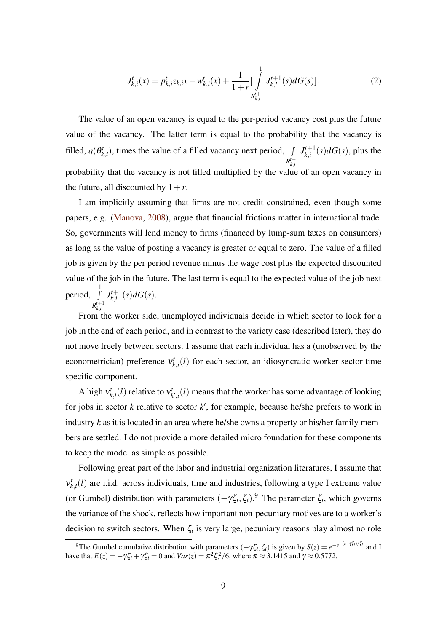<span id="page-8-0"></span>
$$
J_{k,i}^{t}(x) = p_{k,i}^{t} z_{k,i} x - w_{k,i}^{t}(x) + \frac{1}{1+r} \left[ \int\limits_{R_{k,i}^{t+1}}^{1} J_{k,i}^{t+1}(s) dG(s) \right].
$$
 (2)

The value of an open vacancy is equal to the per-period vacancy cost plus the future value of the vacancy. The latter term is equal to the probability that the vacancy is filled,  $q(\theta_k^t)$  $(k_{k,i}^{t})$ , times the value of a filled vacancy next period,  $\int$ 1  $R_{k,i}^{t+1}$  $J_k^{t+1}$  $a_{k,i}^{t+1}(s)dG(s)$ , plus the probability that the vacancy is not filled multiplied by the value of an open vacancy in the future, all discounted by  $1+r$ .

I am implicitly assuming that firms are not credit constrained, even though some papers, e.g. [\(Manova,](#page-45-12) [2008\)](#page-45-12), argue that financial frictions matter in international trade. So, governments will lend money to firms (financed by lump-sum taxes on consumers) as long as the value of posting a vacancy is greater or equal to zero. The value of a filled job is given by the per period revenue minus the wage cost plus the expected discounted value of the job in the future. The last term is equal to the expected value of the job next period, J 1  $R_{k,i}^{t+1}$  $J_k^{t+1}$  ${}_{k,i}^{t+1}(s)dG(s).$ 

From the worker side, unemployed individuals decide in which sector to look for a job in the end of each period, and in contrast to the variety case (described later), they do not move freely between sectors. I assume that each individual has a (unobserved by the econometrician) preference ν *t*  $k_{k,i}(l)$  for each sector, an idiosyncratic worker-sector-time specific component.

A high  $v_k^t$  $v_{k,i}^t(l)$  relative to  $v_k^t$  $\psi_{k',i}^t(l)$  means that the worker has some advantage of looking for jobs in sector  $k$  relative to sector  $k'$ , for example, because he/she prefers to work in industry *k* as it is located in an area where he/she owns a property or his/her family members are settled. I do not provide a more detailed micro foundation for these components to keep the model as simple as possible.

Following great part of the labor and industrial organization literatures, I assume that ν *t*  $k_{k,i}(l)$  are i.i.d. across individuals, time and industries, following a type I extreme value (or Gumbel) distribution with parameters  $(-\gamma \zeta_i, \zeta_i)^9$ . The parameter  $\zeta_i$ , which governs the variance of the shock, reflects how important non-pecuniary motives are to a worker's decision to switch sectors. When ζ*<sup>i</sup>* is very large, pecuniary reasons play almost no role

<sup>&</sup>lt;sup>9</sup>The Gumbel cumulative distribution with parameters  $(-\gamma \zeta_i, \zeta_i)$  is given by  $S(z) = e^{-e^{-(z-\gamma \zeta_i)/\zeta_i}}$  and I have that  $E(z) = -\gamma \zeta_i + \gamma \zeta_i = 0$  and  $Var(z) = \pi^2 \zeta_i^2/6$ , where  $\pi \approx 3.1415$  and  $\gamma \approx 0.5772$ .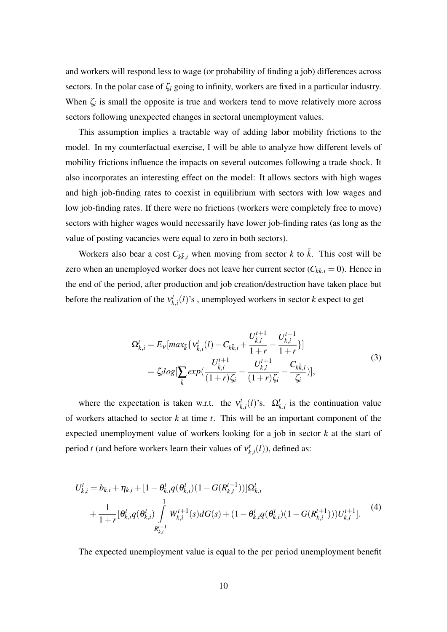and workers will respond less to wage (or probability of finding a job) differences across sectors. In the polar case of  $\zeta_i$  going to infinity, workers are fixed in a particular industry. When  $\zeta_i$  is small the opposite is true and workers tend to move relatively more across sectors following unexpected changes in sectoral unemployment values.

This assumption implies a tractable way of adding labor mobility frictions to the model. In my counterfactual exercise, I will be able to analyze how different levels of mobility frictions influence the impacts on several outcomes following a trade shock. It also incorporates an interesting effect on the model: It allows sectors with high wages and high job-finding rates to coexist in equilibrium with sectors with low wages and low job-finding rates. If there were no frictions (workers were completely free to move) sectors with higher wages would necessarily have lower job-finding rates (as long as the value of posting vacancies were equal to zero in both sectors).

Workers also bear a cost  $C_{k\bar{k},i}$  when moving from sector *k* to  $\bar{k}$ . This cost will be zero when an unemployed worker does not leave her current sector  $(C_{kk,i} = 0)$ . Hence in the end of the period, after production and job creation/destruction have taken place but before the realization of the ν *t*  $\mathbf{k}_{k,i}(l)$ 's, unemployed workers in sector *k* expect to get

<span id="page-9-0"></span>
$$
\Omega_{k,i}^{t} = E_{\nu}[max_{\bar{k}} \{ V_{\bar{k},i}^{t}(l) - C_{k\bar{k},i} + \frac{U_{\bar{k},i}^{t+1}}{1+r} - \frac{U_{k,i}^{t+1}}{1+r} \}]
$$
\n
$$
= \zeta_{i} log[\sum_{\bar{k}} exp(\frac{U_{\bar{k},i}^{t+1}}{(1+r)\zeta_{i}} - \frac{U_{k,i}^{t+1}}{(1+r)\zeta_{i}} - \frac{C_{k\bar{k},i}}{\zeta_{i}})],
$$
\n(3)

where the expectation is taken w.r.t. the  $v_k^t$  $\Omega_{k,i}^t(l)$ 's.  $\Omega_{k,i}^t$  is the continuation value of workers attached to sector *k* at time *t*. This will be an important component of the expected unemployment value of workers looking for a job in sector *k* at the start of period *t* (and before workers learn their values of  $v_k^i$  $\kappa_{k,i}^t(l)$ ), defined as:

$$
U_{k,i}^{t} = b_{k,i} + \eta_{k,i} + [1 - \theta_{k,i}^{t} q(\theta_{k,i}^{t})(1 - G(R_{k,i}^{t+1}))]\Omega_{k,i}^{t}
$$
  
+ 
$$
\frac{1}{1+r}[\theta_{k,i}^{t} q(\theta_{k,i}^{t}) \int_{R_{k,i}^{t+1}}^{1} W_{k,i}^{t+1}(s) dG(s) + (1 - \theta_{k,i}^{t} q(\theta_{k,i}^{t})(1 - G(R_{k,i}^{t+1})))U_{k,i}^{t+1}].
$$
<sup>(4)</sup>

The expected unemployment value is equal to the per period unemployment benefit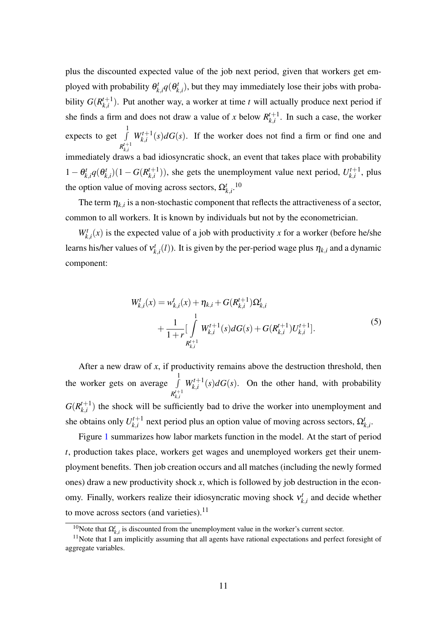plus the discounted expected value of the job next period, given that workers get employed with probability θ *t*  $\theta_{k,i}^t q(\theta_k^t)$  $h_{k,i}^{t}$ ), but they may immediately lose their jobs with probability  $G(R_{k,i}^{t+1})$  $\binom{t+1}{k,i}$ . Put another way, a worker at time *t* will actually produce next period if she finds a firm and does not draw a value of *x* below  $R_{i}^{t+1}$  $\sum_{k,i}^{t+1}$ . In such a case, the worker expects to get  $\int$ 1  $R_{k,i}^{t+1}$  $W_{k,i}^{t+1}(s)dG(s)$ . If the worker does not find a firm or find one and immediately draws a bad idiosyncratic shock, an event that takes place with probability  $1 - \theta_k^t$  $\theta_{k,i}^t q(\theta_k^t)$  $f_{k,i}^t)(1-G(R_{k,i}^{t+1})$  $(k, i^{t+1})$ ), she gets the unemployment value next period,  $U_{k,i}^{t+1}$  $\mathbf{z}_{k,i}^{t+1}$ , plus the option value of moving across sectors,  $\Omega_{k,i}^{t}$ .<sup>10</sup>

The term  $\eta_{k,i}$  is a non-stochastic component that reflects the attractiveness of a sector, common to all workers. It is known by individuals but not by the econometrician.

 $W_{k,i}^t(x)$  is the expected value of a job with productivity *x* for a worker (before he/she learns his/her values of ν *t*  $\mathbf{r}_{k,i}^t(l)$ ). It is given by the per-period wage plus  $\eta_{k,i}$  and a dynamic component:

<span id="page-10-0"></span>
$$
W_{k,i}^{t}(x) = w_{k,i}^{t}(x) + \eta_{k,i} + G(R_{k,i}^{t+1})\Omega_{k,i}^{t}
$$
  
+ 
$$
\frac{1}{1+r} \left[ \int_{R_{k,i}^{t+1}}^{1} W_{k,i}^{t+1}(s) dG(s) + G(R_{k,i}^{t+1}) U_{k,i}^{t+1} \right].
$$
 (5)

After a new draw of *x*, if productivity remains above the destruction threshold, then the worker gets on average  $\int$ 1  $R_{k,i}^{t+1}$  $W_{k,i}^{t+1}(s) dG(s)$ . On the other hand, with probability  $G(R^{t+1}_{k,i})$  $\binom{t+1}{k,i}$  the shock will be sufficiently bad to drive the worker into unemployment and she obtains only  $U_{ki}^{t+1}$ *k*<sub>*k*</sub>,*i* next period plus an option value of moving across sectors,  $\Omega_{k,i}^{t}$ .

Figure [1](#page-11-0) summarizes how labor markets function in the model. At the start of period *t*, production takes place, workers get wages and unemployed workers get their unemployment benefits. Then job creation occurs and all matches (including the newly formed ones) draw a new productivity shock *x*, which is followed by job destruction in the economy. Finally, workers realize their idiosyncratic moving shock ν *t*  $k_{k,i}$  and decide whether to move across sectors (and varieties). $11$ 

<sup>&</sup>lt;sup>10</sup>Note that  $\Omega_{k,i}^t$  is discounted from the unemployment value in the worker's current sector.

 $11$ Note that I am implicitly assuming that all agents have rational expectations and perfect foresight of aggregate variables.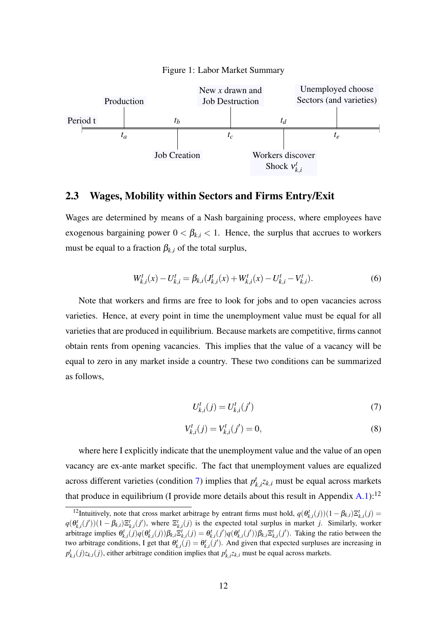

<span id="page-11-0"></span>

#### <span id="page-11-4"></span>2.3 Wages, Mobility within Sectors and Firms Entry/Exit

Wages are determined by means of a Nash bargaining process, where employees have exogenous bargaining power  $0 < \beta_{k,i} < 1$ . Hence, the surplus that accrues to workers must be equal to a fraction  $\beta_{k,i}$  of the total surplus,

<span id="page-11-3"></span>
$$
W_{k,i}^t(x) - U_{k,i}^t = \beta_{k,i}(J_{k,i}^t(x) + W_{k,i}^t(x) - U_{k,i}^t - V_{k,i}^t). \tag{6}
$$

Note that workers and firms are free to look for jobs and to open vacancies across varieties. Hence, at every point in time the unemployment value must be equal for all varieties that are produced in equilibrium. Because markets are competitive, firms cannot obtain rents from opening vacancies. This implies that the value of a vacancy will be equal to zero in any market inside a country. These two conditions can be summarized as follows,

<span id="page-11-1"></span>
$$
U_{k,i}^t(j) = U_{k,i}^t(j')
$$
\n(7)

<span id="page-11-2"></span>
$$
V_{k,i}^t(j) = V_{k,i}^t(j') = 0,
$$
\n(8)

where here I explicitly indicate that the unemployment value and the value of an open vacancy are ex-ante market specific. The fact that unemployment values are equalized across different varieties (condition [7\)](#page-11-1) implies that  $p_i^t$  $\mathbf{x}_{k,i}^{t}$  $\mathbf{z}_{k,i}$  must be equal across markets that produce in equilibrium (I provide more details about this result in Appendix  $A.1$ ):<sup>12</sup>

<sup>&</sup>lt;sup>12</sup>Intuitively, note that cross market arbitrage by entrant firms must hold,  $q(\theta_{k,i}^t(j))(1-\beta_{k,i})\Xi_{k,i}^t(j)$  $q(\theta_{k,i}^t(j'))(1-\beta_{k,i})\Xi_{k,i}^t(j')$ , where  $\Xi_{k,i}^t(j)$  is the expected total surplus in market j. Similarly, worker arbitrage implies  $\theta_{k,i}^t(j)q(\theta_{k,i}^t(j))\beta_{k,i}\Xi_{k,i}^t(j) = \theta_{k,i}^t(j')q(\theta_{k,i}^t(j'))\beta_{k,i}\Xi_{k,i}^t(j')$ . Taking the ratio between the two arbitrage conditions, I get that  $\theta_{k,i}^t(j) = \theta_{k,i}^t(j')$ . And given that expected surpluses are increasing in  $p^t_{k,i}(j)z_{k,i}(j)$ , either arbitrage condition implies that  $p^t_{k,i}z_{k,i}$  must be equal across markets.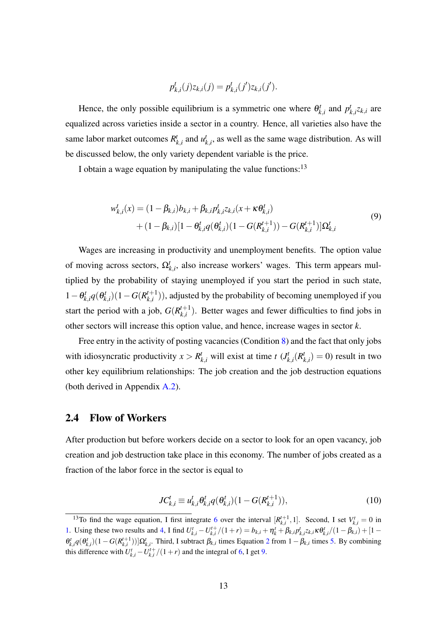<span id="page-12-0"></span>
$$
p_{k,i}^t(j)z_{k,i}(j) = p_{k,i}^t(j')z_{k,i}(j').
$$

Hence, the only possible equilibrium is a symmetric one where  $\theta_k^t$  $p_{k,i}^t$  and  $p_i^t$  $k_{k,i}^{t}$   $z_{k,i}$  are equalized across varieties inside a sector in a country. Hence, all varieties also have the same labor market outcomes *R t*  $\boldsymbol{u}_{k,i}^t$  and  $\boldsymbol{u}_k^t$  $k_{k,i}^{t}$ , as well as the same wage distribution. As will be discussed below, the only variety dependent variable is the price.

I obtain a wage equation by manipulating the value functions:<sup>13</sup>

$$
w_{k,i}^{t}(x) = (1 - \beta_{k,i})b_{k,i} + \beta_{k,i}p_{k,i}^{t}z_{k,i}(x + \kappa \theta_{k,i}^{t})
$$
  
+ 
$$
(1 - \beta_{k,i})[1 - \theta_{k,i}^{t}q(\theta_{k,i}^{t})(1 - G(R_{k,i}^{t+1})) - G(R_{k,i}^{t+1})]\Omega_{k,i}^{t}
$$
(9)

Wages are increasing in productivity and unemployment benefits. The option value of moving across sectors,  $\Omega_{k,i}^t$ , also increase workers' wages. This term appears multiplied by the probability of staying unemployed if you start the period in such state,  $1-\theta_k^t$  $\theta_{k,i}^t q(\theta_k^t)$  $\binom{t}{k,i}(1-G(R^{t+1}_{k,i}))$  $\binom{t+1}{k,i}$ ), adjusted by the probability of becoming unemployed if you start the period with a job,  $G(R_{i}^{t+1})$  $\binom{t+1}{k,i}$ . Better wages and fewer difficulties to find jobs in other sectors will increase this option value, and hence, increase wages in sector *k*.

Free entry in the activity of posting vacancies (Condition [8\)](#page-11-2) and the fact that only jobs with idiosyncratic productivity  $x > R^t_{k,i}$  will exist at time *t* (*J*<sup>*t*</sup><sub>*k*</sub>  $\binom{t}{k,i}$   $(R^t)$  $h_{k,i}^t$  = 0) result in two other key equilibrium relationships: The job creation and the job destruction equations (both derived in Appendix [A.2\)](#page-48-0).

### 2.4 Flow of Workers

After production but before workers decide on a sector to look for an open vacancy, job creation and job destruction take place in this economy. The number of jobs created as a fraction of the labor force in the sector is equal to

<span id="page-12-1"></span>
$$
JC_{k,i}^t \equiv u_{k,i}^t \theta_{k,i}^t q(\theta_{k,i}^t) (1 - G(R_{k,i}^{t+1})),
$$
\n(10)

<sup>&</sup>lt;sup>13</sup>To find the wage equation, I first integrate [6](#page-11-3) over the interval  $[R_{k,i}^{t+1}, 1]$ . Second, I set  $V_{k,i}^t = 0$  in [1.](#page-7-0) Using these two results and [4,](#page-9-0) I find  $U_{k,i}^t - U_{k,i}^{t+}/(1+r) = b_{k,i} + \eta_k^t + \beta_{k,i} p_{k,i}^t z_{k,i} \kappa \theta_{k,i}^t / (1 - \beta_{k,i}) + [1 - \eta_k^t]$  $\theta_{k,i}^t q(\theta_{k,i}^t)(1-G(R_{k,i}^{t+1}))]\Omega_{k,i}^t$ . Third, I subtract  $\beta_{k,i}$  times Equation [2](#page-8-0) from  $1-\beta_{k,i}$  times [5.](#page-10-0) By combining this difference with  $U_{k,i}^t - U_{k,i}^{t+}/(1+r)$  and the integral of [6,](#page-11-3) I get [9.](#page-12-0)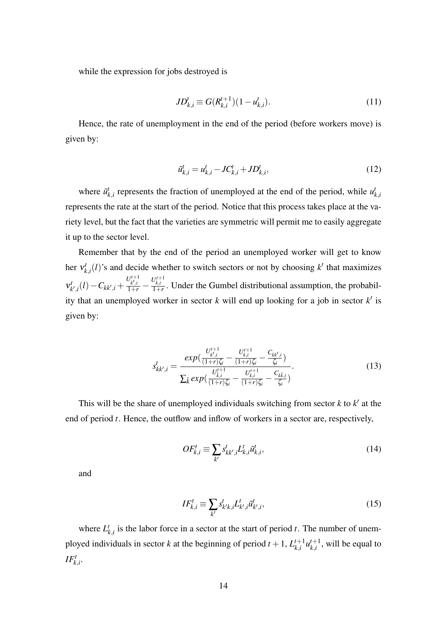while the expression for jobs destroyed is

<span id="page-13-2"></span>
$$
JD_{k,i}^t \equiv G(R_{k,i}^{t+1})(1 - u_{k,i}^t). \tag{11}
$$

Hence, the rate of unemployment in the end of the period (before workers move) is given by:

<span id="page-13-0"></span>
$$
\tilde{u}_{k,i}^t = u_{k,i}^t - JC_{k,i}^t + JD_{k,i}^t,\tag{12}
$$

where  $\tilde{u}^t_i$  $\mathbf{r}_{k,i}^{t}$  represents the fraction of unemployed at the end of the period, while  $\mathbf{u}_{j}^{t}$ *k*,*i* represents the rate at the start of the period. Notice that this process takes place at the variety level, but the fact that the varieties are symmetric will permit me to easily aggregate it up to the sector level.

Remember that by the end of the period an unemployed worker will get to know her ν *t*  $h_{k,i}^t(l)$ 's and decide whether to switch sectors or not by choosing  $k'$  that maximizes ν *t*  $C_{k',i}(l) - C_{kk',i} + \frac{U_{k',i}^{t+1}}{1+r} - \frac{U_{k,i}^{t+1}}{1+r}$ . Under the Gumbel distributional assumption, the probability that an unemployed worker in sector  $k$  will end up looking for a job in sector  $k'$  is given by:

$$
s_{kk',i}^t = \frac{exp(\frac{U_{k',i}^{t+1}}{(1+r)\zeta_i} - \frac{U_{k,i}^{t+1}}{(1+r)\zeta_i} - \frac{C_{kk',i}}{\zeta_i})}{\sum_{\bar{k}} exp(\frac{U_{\bar{k},i}^{t+1}}{(1+r)\zeta_i} - \frac{U_{k,i}^{t+1}}{(1+r)\zeta_i} - \frac{C_{k,\bar{k},i}}{\zeta_i})}.
$$
(13)

This will be the share of unemployed individuals switching from sector  $k$  to  $k'$  at the end of period *t*. Hence, the outflow and inflow of workers in a sector are, respectively,

<span id="page-13-3"></span><span id="page-13-1"></span>
$$
OF_{k,i}^t \equiv \sum_{k'} s_{kk',i}^t L_{k,i}^t \tilde{u}_{k,i}^t,
$$
\n(14)

and

<span id="page-13-4"></span>
$$
IF_{k,i}^t \equiv \sum_{k'} s_{k'k,i}^t L_{k',i}^t \tilde{u}_{k',i}^t,
$$
\n(15)

where  $L_l^t$  $k_{k,i}$  is the labor force in a sector at the start of period *t*. The number of unemployed individuals in sector *k* at the beginning of period  $t + 1$ ,  $L_{ki}^{t+1}$  ${}_{k,i}^{t+1}$  $u_{k,i}^{t+1}$  $k_{k,i}^{t+1}$ , will be equal to  $IF_{k,i}^t$ .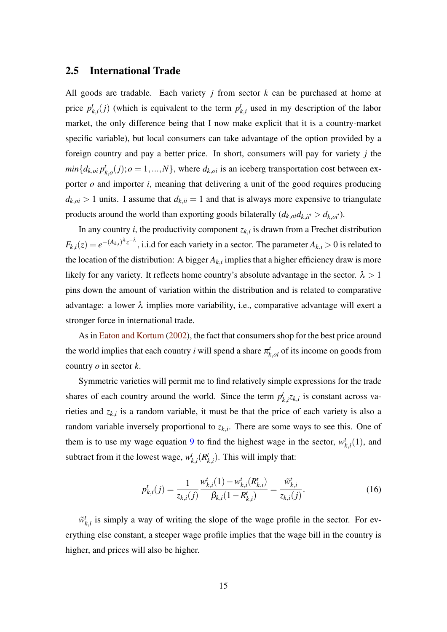## <span id="page-14-0"></span>2.5 International Trade

All goods are tradable. Each variety *j* from sector *k* can be purchased at home at price *p t*  $k$ <sub>*k*,*i*</sub>(*j*) (which is equivalent to the term  $p_i^t$  $k_{i,i}^{t}$  used in my description of the labor market, the only difference being that I now make explicit that it is a country-market specific variable), but local consumers can take advantage of the option provided by a foreign country and pay a better price. In short, consumers will pay for variety *j* the  $min\{d_{k,oi} p_l^t\}$  $k_{k,o}(j); o = 1, ..., N$ , where  $d_{k,o}$  is an iceberg transportation cost between exporter *o* and importer *i*, meaning that delivering a unit of the good requires producing  $d_{k,oi} > 1$  units. I assume that  $d_{k,ii} = 1$  and that is always more expensive to triangulate products around the world than exporting goods bilaterally  $(d_{k,oi}d_{k,ii'}) > d_{k,oi'}$ ).

In any country  $i$ , the productivity component  $z_{k,i}$  is drawn from a Frechet distribution  $F_{k,i}(z) = e^{-(A_{k,i})^{\lambda}z^{-\lambda}}$ , i.i.d for each variety in a sector. The parameter  $A_{k,i} > 0$  is related to the location of the distribution: A bigger  $A_{k,i}$  implies that a higher efficiency draw is more likely for any variety. It reflects home country's absolute advantage in the sector.  $\lambda > 1$ pins down the amount of variation within the distribution and is related to comparative advantage: a lower  $\lambda$  implies more variability, i.e., comparative advantage will exert a stronger force in international trade.

As in [Eaton and Kortum](#page-45-0) [\(2002\)](#page-45-0), the fact that consumers shop for the best price around the world implies that each country *i* will spend a share  $\pi^t_{k,oi}$  of its income on goods from country *o* in sector *k*.

Symmetric varieties will permit me to find relatively simple expressions for the trade shares of each country around the world. Since the term  $p_i^t$  $k_{k,i}^{t}$  *z*<sub>*k*,*i*</sub> is constant across varieties and  $z_{k,i}$  is a random variable, it must be that the price of each variety is also a random variable inversely proportional to  $z_{k,i}$ . There are some ways to see this. One of them is to use my wage equation [9](#page-12-0) to find the highest wage in the sector,  $w_i^j$  $_{k,i}^t(1)$ , and subtract from it the lowest wage,  $w_i^t$  $\binom{t}{k,i}$   $(R^t)$  $_{k,i}^t$ ). This will imply that:

$$
p_{k,i}^t(j) = \frac{1}{z_{k,i}(j)} \frac{w_{k,i}^t(1) - w_{k,i}^t(R_{k,i}^t)}{\beta_{k,i}(1 - R_{k,i}^t)} = \frac{\tilde{w}_{k,i}^t}{z_{k,i}(j)}.
$$
 (16)

 $\tilde{w}_l^t$  $k_{k,i}$  is simply a way of writing the slope of the wage profile in the sector. For everything else constant, a steeper wage profile implies that the wage bill in the country is higher, and prices will also be higher.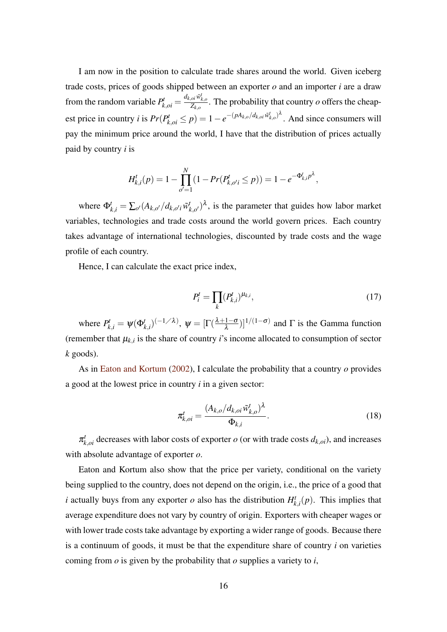I am now in the position to calculate trade shares around the world. Given iceberg trade costs, prices of goods shipped between an exporter *o* and an importer *i* are a draw from the random variable  $P_{k,oi}^t = \frac{d_{k,oi} \tilde{w}_{k,o}^t}{Z_{k,o}}$ . The probability that country *o* offers the cheapest price in country *i* is  $Pr(P_{k,oi}^t \le p) = 1 - e^{-(pA_{k,o}/d_{k,oi}\tilde{w}_{k,o}^t)^{\lambda}}$ . And since consumers will pay the minimum price around the world, I have that the distribution of prices actually paid by country *i* is

$$
H_{k,i}^t(p) = 1 - \prod_{o'=1}^N (1 - Pr(P_{k,o'i}^t \le p)) = 1 - e^{-\Phi_{k,i}^t p^{\lambda}},
$$

where  $\Phi_{k,i}^{t} = \sum_{o'} (A_{k,o'} / d_{k,o'i} \tilde{w}_{i'}^{t})$  $(k_{k,o'}^t)^{\lambda}$ , is the parameter that guides how labor market variables, technologies and trade costs around the world govern prices. Each country takes advantage of international technologies, discounted by trade costs and the wage profile of each country.

Hence, I can calculate the exact price index,

$$
P_i^t = \prod_k (P_{k,i}^t)^{\mu_{k,i}},\tag{17}
$$

where  $P_{k,i}^t = \psi(\Phi_{k,i}^t)^{(-1/\lambda)}$ ,  $\psi = [\Gamma(\frac{\lambda+1-\sigma}{\lambda})$  $\left(\frac{1-\sigma}{\lambda}\right)^{1/(1-\sigma)}$  and  $\Gamma$  is the Gamma function (remember that  $\mu_{k,i}$  is the share of country *i*'s income allocated to consumption of sector *k* goods).

As in [Eaton and Kortum](#page-45-0) [\(2002\)](#page-45-0), I calculate the probability that a country *o* provides a good at the lowest price in country *i* in a given sector:

<span id="page-15-0"></span>
$$
\pi_{k,oi}^t = \frac{(A_{k,o}/d_{k,oi} \tilde{w}_{k,o}^t)^{\lambda}}{\Phi_{k,i}}.
$$
\n(18)

 $\pi_{k,oi}^t$  decreases with labor costs of exporter *o* (or with trade costs  $d_{k,oi}$ ), and increases with absolute advantage of exporter *o*.

Eaton and Kortum also show that the price per variety, conditional on the variety being supplied to the country, does not depend on the origin, i.e., the price of a good that *i* actually buys from any exporter  $o$  also has the distribution  $H_k^t$  $f_{k,i}^t(p)$ . This implies that average expenditure does not vary by country of origin. Exporters with cheaper wages or with lower trade costs take advantage by exporting a wider range of goods. Because there is a continuum of goods, it must be that the expenditure share of country *i* on varieties coming from *o* is given by the probability that *o* supplies a variety to *i*,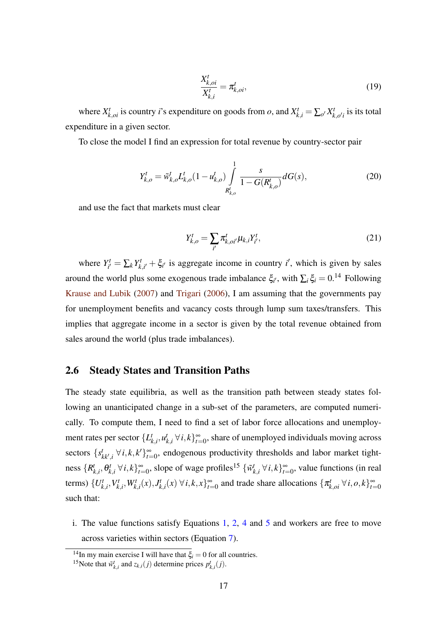$$
\frac{X_{k,oi}^t}{X_{k,i}^t} = \pi_{k,oi}^t,\tag{19}
$$

where  $X_{k,oi}^t$  is country *i*'s expenditure on goods from *o*, and  $X_{k,i}^t = \sum_{o'} X_k^t$  $\mathcal{I}_{k,o'i}^{t}$  is its total expenditure in a given sector.

To close the model I find an expression for total revenue by country-sector pair

$$
Y_{k,o}^t = \tilde{w}_{k,o}^t L_{k,o}^t (1 - u_{k,o}^t) \int_{R_{k,o}^t}^1 \frac{s}{1 - G(R_{k,o}^t)} dG(s),
$$
\n(20)

and use the fact that markets must clear

<span id="page-16-0"></span>
$$
Y_{k,o}^t = \sum_{i'} \pi_{k,oi'}^t \mu_{k,i} Y_{i'}^t,
$$
\n(21)

where  $Y^t_{i'}$  $Y^t_{i'} = \sum_k Y^t_k$  $\zeta_{k,i'}^t + \xi_{i'}$  is aggregate income in country *i*', which is given by sales around the world plus some exogenous trade imbalance  $\xi_{i'}$ , with  $\sum_i \xi_i = 0$ .<sup>14</sup> Following [Krause and Lubik](#page-45-13) [\(2007\)](#page-45-13) and [Trigari](#page-46-7) [\(2006\)](#page-46-7), I am assuming that the governments pay for unemployment benefits and vacancy costs through lump sum taxes/transfers. This implies that aggregate income in a sector is given by the total revenue obtained from sales around the world (plus trade imbalances).

### 2.6 Steady States and Transition Paths

The steady state equilibria, as well as the transition path between steady states following an unanticipated change in a sub-set of the parameters, are computed numerically. To compute them, I need to find a set of labor force allocations and unemployment rates per sector {*L t*  $\boldsymbol{u}_{k,i}^t$ ,  $\boldsymbol{u}_l^t$  $\{k_{k,i}$  ∀*i*,  $k\}_{t=0}^{\infty}$ , share of unemployed individuals moving across sectors  $\{s_{kk',i}^t \; \forall i, k, k'\}_{i=0}^{\infty}$ , endogenous productivity thresholds and labor market tightness  $\{R_i^t\}$  $_{k,i}^t$ ,  $\theta_k^t$  $\{k, i \}^k$  ∀ *i*,  $k\}_{t=0}^{\infty}$ , slope of wage profiles<sup>15</sup>  $\{\tilde{w}_i^t\}$  $\{k, i \}^k$  ∀*i*,  $k$ } $\}$ <sup>∞</sup>=0</sub>, value functions (in real terms)  $\{U_k^t\}$  $\chi^t_{k,i}, V^t_k$  $W_{k,i}^t, W_{k,i}^t(x), J_k^t$  $\{x_{k,i}^t(x) \forall i, k, x\}_{t=0}^{\infty}$  and trade share allocations  $\{\pi_{k,oi}^t \forall i, o, k\}_{t=0}^{\infty}$ such that:

i. The value functions satisfy Equations [1,](#page-7-0) [2,](#page-8-0) [4](#page-9-0) and [5](#page-10-0) and workers are free to move across varieties within sectors (Equation [7\)](#page-11-1).

<sup>&</sup>lt;sup>14</sup>In my main exercise I will have that  $\xi_i = 0$  for all countries.

<sup>&</sup>lt;sup>15</sup>Note that  $\tilde{w}_{k,i}^t$  and  $z_{k,i}(j)$  determine prices  $p_{k,i}^t(j)$ .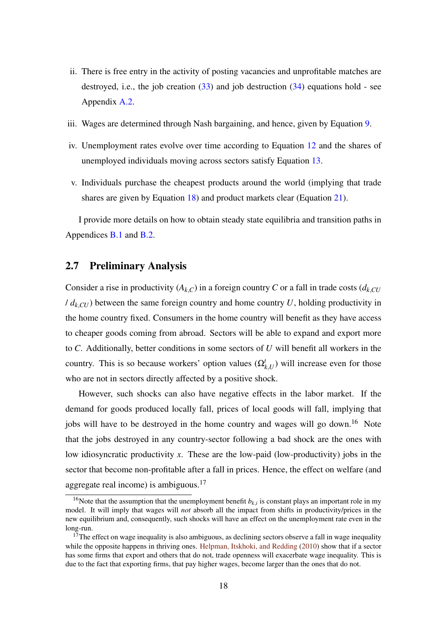- ii. There is free entry in the activity of posting vacancies and unprofitable matches are destroyed, i.e., the job creation  $(33)$  and job destruction  $(34)$  equations hold - see Appendix [A.2.](#page-48-0)
- iii. Wages are determined through Nash bargaining, and hence, given by Equation [9.](#page-12-0)
- iv. Unemployment rates evolve over time according to Equation [12](#page-13-0) and the shares of unemployed individuals moving across sectors satisfy Equation [13.](#page-13-1)
- v. Individuals purchase the cheapest products around the world (implying that trade shares are given by Equation [18\)](#page-15-0) and product markets clear (Equation [21\)](#page-16-0).

I provide more details on how to obtain steady state equilibria and transition paths in Appendices [B.1](#page-48-3) and [B.2.](#page-50-0)

### <span id="page-17-0"></span>2.7 Preliminary Analysis

Consider a rise in productivity  $(A_{k,C})$  in a foreign country *C* or a fall in trade costs  $(d_{k,CU})$  $/d_{k,CU}$ ) between the same foreign country and home country *U*, holding productivity in the home country fixed. Consumers in the home country will benefit as they have access to cheaper goods coming from abroad. Sectors will be able to expand and export more to *C*. Additionally, better conditions in some sectors of *U* will benefit all workers in the country. This is so because workers' option values  $(\Omega_{k,U}^t)$  will increase even for those who are not in sectors directly affected by a positive shock.

However, such shocks can also have negative effects in the labor market. If the demand for goods produced locally fall, prices of local goods will fall, implying that jobs will have to be destroyed in the home country and wages will go down.<sup>16</sup> Note that the jobs destroyed in any country-sector following a bad shock are the ones with low idiosyncratic productivity *x*. These are the low-paid (low-productivity) jobs in the sector that become non-profitable after a fall in prices. Hence, the effect on welfare (and aggregate real income) is ambiguous. $17$ 

<sup>&</sup>lt;sup>16</sup>Note that the assumption that the unemployment benefit  $b_{k,i}$  is constant plays an important role in my model. It will imply that wages will *not* absorb all the impact from shifts in productivity/prices in the new equilibrium and, consequently, such shocks will have an effect on the unemployment rate even in the long-run.

 $17$ The effect on wage inequality is also ambiguous, as declining sectors observe a fall in wage inequality while the opposite happens in thriving ones. [Helpman, Itskhoki, and Redding](#page-45-14) [\(2010\)](#page-45-14) show that if a sector has some firms that export and others that do not, trade openness will exacerbate wage inequality. This is due to the fact that exporting firms, that pay higher wages, become larger than the ones that do not.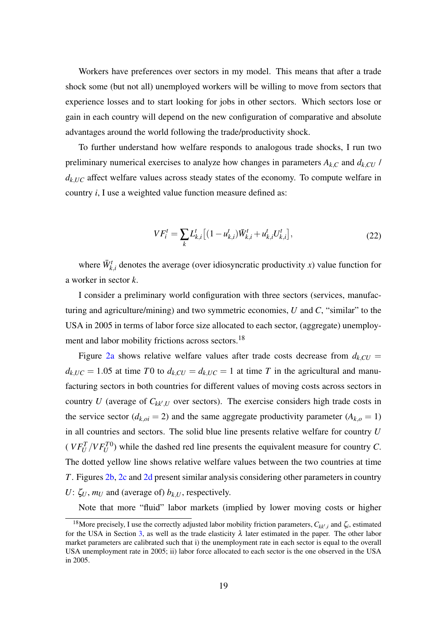Workers have preferences over sectors in my model. This means that after a trade shock some (but not all) unemployed workers will be willing to move from sectors that experience losses and to start looking for jobs in other sectors. Which sectors lose or gain in each country will depend on the new configuration of comparative and absolute advantages around the world following the trade/productivity shock.

To further understand how welfare responds to analogous trade shocks, I run two preliminary numerical exercises to analyze how changes in parameters  $A_{k,C}$  and  $d_{k,CU}$  /  $d_{k,UC}$  affect welfare values across steady states of the economy. To compute welfare in country *i*, I use a weighted value function measure defined as:

$$
VF_i^t = \sum_k L_{k,i}^t \left[ (1 - u_{k,i}^t) \bar{W}_{k,i}^t + u_{k,i}^t U_{k,i}^t \right],\tag{22}
$$

where  $\bar{W}_{k,i}^t$  denotes the average (over idiosyncratic productivity *x*) value function for a worker in sector *k*.

I consider a preliminary world configuration with three sectors (services, manufacturing and agriculture/mining) and two symmetric economies, *U* and *C*, "similar" to the USA in 2005 in terms of labor force size allocated to each sector, (aggregate) unemployment and labor mobility frictions across sectors.<sup>18</sup>

Figure [2a](#page-19-0) shows relative welfare values after trade costs decrease from  $d_{k,CU}$  =  $d_{k,UC} = 1.05$  at time *T*0 to  $d_{k,CU} = d_{k,UC} = 1$  at time *T* in the agricultural and manufacturing sectors in both countries for different values of moving costs across sectors in country *U* (average of  $C_{kk',U}$  over sectors). The exercise considers high trade costs in the service sector ( $d_{k,oi} = 2$ ) and the same aggregate productivity parameter ( $A_{k,o} = 1$ ) in all countries and sectors. The solid blue line presents relative welfare for country *U*  $(VF_U^T/VF_U^{T0})$  while the dashed red line presents the equivalent measure for country *C*. The dotted yellow line shows relative welfare values between the two countries at time *T*. Figures [2b,](#page-19-0) [2c](#page-19-0) and [2d](#page-19-0) present similar analysis considering other parameters in country *U*:  $\zeta_U$ ,  $m_U$  and (average of)  $b_{k,U}$ , respectively.

Note that more "fluid" labor markets (implied by lower moving costs or higher

<sup>&</sup>lt;sup>18</sup>More precisely, I use the correctly adjusted labor mobility friction parameters,  $C_{kk',i}$  and  $\zeta_i$ , estimated for the USA in Section [3,](#page-21-0) as well as the trade elasticity  $\lambda$  later estimated in the paper. The other labor market parameters are calibrated such that i) the unemployment rate in each sector is equal to the overall USA unemployment rate in 2005; ii) labor force allocated to each sector is the one observed in the USA in 2005.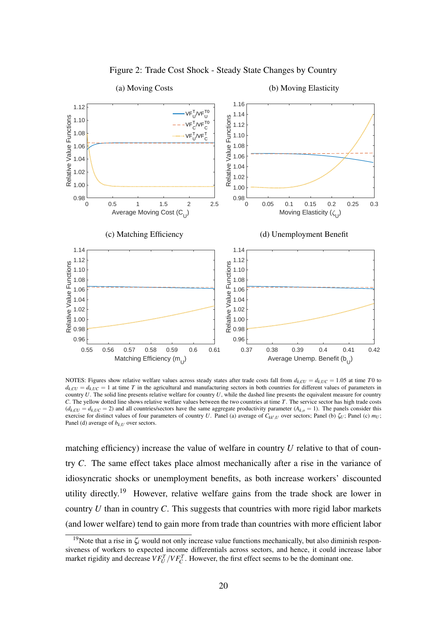<span id="page-19-0"></span>

Figure 2: Trade Cost Shock - Steady State Changes by Country

NOTES: Figures show relative welfare values across steady states after trade costs fall from  $d_{k,CU} = d_{k,UC} = 1.05$  at time *T*0 to  $d_k$ <sub>*CU*</sub> =  $d_k$ <sub>*UC*</sub> = 1 at time *T* in the agricultural and manufacturing sectors in both countries for different values of parameters in country *U*. The solid line presents relative welfare for country *U*, while the dashed line presents the equivalent measure for country *C*. The yellow dotted line shows relative welfare values between the two countries at time *T*. The service sector has high trade costs  $(d_{k, CU} = d_{k, UC} = 2)$  and all countries/sectors have the same aggregate productivity parameter  $(A_{k, O} = 1)$ . The panels consider this exercise for distinct values of four parameters of country *U*. Panel (a) average of  $C_{kk',U}$  over sectors; Panel (b)  $\zeta_U$ ; Panel (c) *m<sub>U</sub>*; Panel (d) average of  $b_{k,U}$  over sectors.

matching efficiency) increase the value of welfare in country *U* relative to that of country *C*. The same effect takes place almost mechanically after a rise in the variance of idiosyncratic shocks or unemployment benefits, as both increase workers' discounted utility directly.<sup>19</sup> However, relative welfare gains from the trade shock are lower in country *U* than in country *C*. This suggests that countries with more rigid labor markets (and lower welfare) tend to gain more from trade than countries with more efficient labor

<sup>&</sup>lt;sup>19</sup>Note that a rise in  $\zeta_i$  would not only increase value functions mechanically, but also diminish responsiveness of workers to expected income differentials across sectors, and hence, it could increase labor market rigidity and decrease  $VF_U^T/VF_C^T$ . However, the first effect seems to be the dominant one.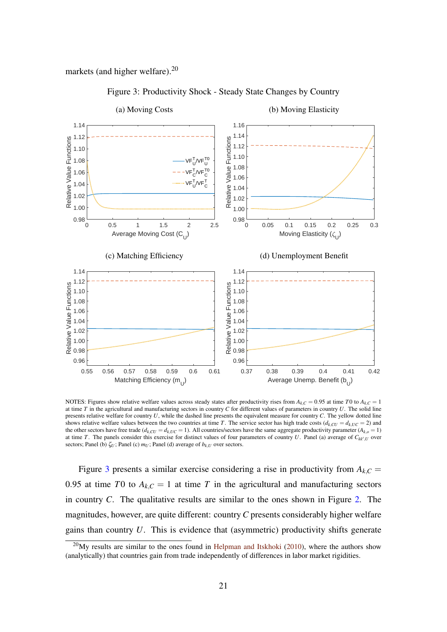<span id="page-20-0"></span>markets (and higher welfare).<sup>20</sup>



Figure 3: Productivity Shock - Steady State Changes by Country

NOTES: Figures show relative welfare values across steady states after productivity rises from  $A_{k,C} = 0.95$  at time *T*0 to  $A_{k,C} = 1$ at time *T* in the agricultural and manufacturing sectors in country *C* for different values of parameters in country *U*. The solid line presents relative welfare for country *U*, while the dashed line presents the equivalent measure for country *C*. The yellow dotted line shows relative welfare values between the two countries at time *T*. The service sector has high trade costs  $(d_{k,CU} = d_{k,UC} = 2)$  and the other sectors have free trade  $(d_{k,CU} = d_{k,UC} = 1)$ . All countries/sectors have the same aggregate productivity parameter  $(A_{k,o} = 1)$ at time *T*. The panels consider this exercise for distinct values of four parameters of country *U*. Panel (a) average of  $C_{kk',U}$  over sectors; Panel (b)  $\zeta_U$ ; Panel (c)  $m_U$ ; Panel (d) average of  $b_{k,U}$  over sectors.

Figure [3](#page-20-0) presents a similar exercise considering a rise in productivity from  $A_{k,C}$  = 0.95 at time *T*0 to  $A_{k,C} = 1$  at time *T* in the agricultural and manufacturing sectors in country *C*. The qualitative results are similar to the ones shown in Figure [2.](#page-19-0) The magnitudes, however, are quite different: country*C* presents considerably higher welfare gains than country *U*. This is evidence that (asymmetric) productivity shifts generate

 $^{20}$ My results are similar to the ones found in [Helpman and Itskhoki](#page-45-15) [\(2010\)](#page-45-15), where the authors show (analytically) that countries gain from trade independently of differences in labor market rigidities.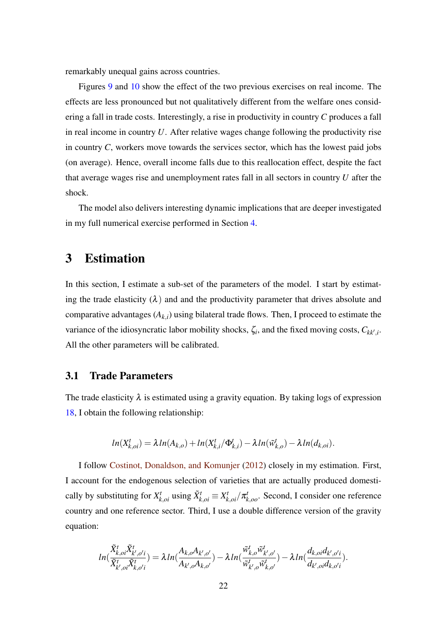remarkably unequal gains across countries.

Figures [9](#page-59-0) and [10](#page-60-0) show the effect of the two previous exercises on real income. The effects are less pronounced but not qualitatively different from the welfare ones considering a fall in trade costs. Interestingly, a rise in productivity in country *C* produces a fall in real income in country *U*. After relative wages change following the productivity rise in country *C*, workers move towards the services sector, which has the lowest paid jobs (on average). Hence, overall income falls due to this reallocation effect, despite the fact that average wages rise and unemployment rates fall in all sectors in country *U* after the shock.

The model also delivers interesting dynamic implications that are deeper investigated in my full numerical exercise performed in Section [4.](#page-31-0)

# <span id="page-21-0"></span>3 Estimation

In this section, I estimate a sub-set of the parameters of the model. I start by estimating the trade elasticity  $(\lambda)$  and and the productivity parameter that drives absolute and comparative advantages  $(A_{k,i})$  using bilateral trade flows. Then, I proceed to estimate the variance of the idiosyncratic labor mobility shocks,  $\zeta_i$ , and the fixed moving costs,  $C_{kk',i}$ . All the other parameters will be calibrated.

### 3.1 Trade Parameters

The trade elasticity  $\lambda$  is estimated using a gravity equation. By taking logs of expression [18,](#page-15-0) I obtain the following relationship:

$$
ln(X_{k,oi}^t) = \lambda ln(A_{k,o}) + ln(X_{k,i}^t/\Phi_{k,i}^t) - \lambda ln(\tilde{w}_{k,o}^t) - \lambda ln(d_{k,oi}).
$$

I follow [Costinot, Donaldson, and Komunjer](#page-44-0) [\(2012\)](#page-44-0) closely in my estimation. First, I account for the endogenous selection of varieties that are actually produced domestically by substituting for  $X_{k,oi}^t$  using  $\tilde{X}_{k,oi}^t \equiv X_{k,oi}^t / \pi_{k,oo}^t$ . Second, I consider one reference country and one reference sector. Third, I use a double difference version of the gravity equation:

$$
ln(\frac{\tilde{X}_{k,oi}^t\tilde{X}_{k',o'i}^t}{\tilde{X}_{k',oi}^t\tilde{X}_{k,o'i}^t})=\lambda ln(\frac{A_{k,o}A_{k',o'}}{A_{k',o}A_{k,o'}})-\lambda ln(\frac{\tilde{w}_{k,o}^t\tilde{w}_{k',o'}^t}{\tilde{w}_{k',o}^t\tilde{w}_{k,o'}^t})-\lambda ln(\frac{d_{k,oi}d_{k',o'i}}{d_{k',oi}d_{k,o'i}}).
$$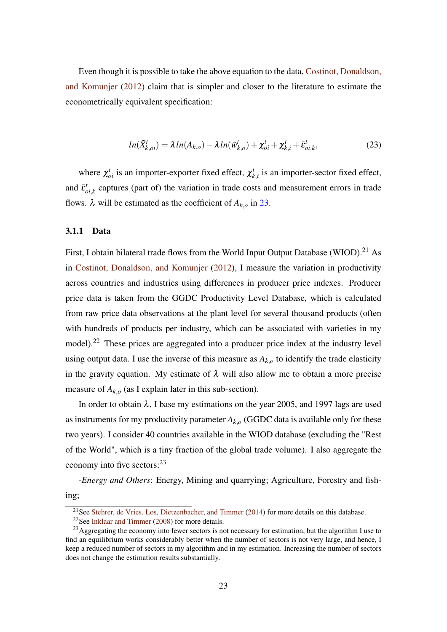Even though it is possible to take the above equation to the data, [Costinot, Donaldson,](#page-44-0) [and Komunjer](#page-44-0) [\(2012\)](#page-44-0) claim that is simpler and closer to the literature to estimate the econometrically equivalent specification:

<span id="page-22-0"></span>
$$
ln(\tilde{X}_{k,oi}^t) = \lambda ln(A_{k,o}) - \lambda ln(\tilde{w}_{k,o}^t) + \chi_{oi}^t + \chi_{k,i}^t + \bar{\varepsilon}_{oi,k}^t,
$$
\n(23)

where  $\chi_{oi}^t$  is an importer-exporter fixed effect,  $\chi_k^t$  $k$ <sup>t</sup><sub>k,*i*</sub> is an importer-sector fixed effect, and  $\bar{\varepsilon}_c^t$  $_{oi,k}^t$  captures (part of) the variation in trade costs and measurement errors in trade flows.  $\lambda$  will be estimated as the coefficient of  $A_{k,o}$  in [23.](#page-22-0)

### 3.1.1 Data

First, I obtain bilateral trade flows from the World Input Output Database (WIOD).<sup>21</sup> As in [Costinot, Donaldson, and Komunjer](#page-44-0) [\(2012\)](#page-44-0), I measure the variation in productivity across countries and industries using differences in producer price indexes. Producer price data is taken from the GGDC Productivity Level Database, which is calculated from raw price data observations at the plant level for several thousand products (often with hundreds of products per industry, which can be associated with varieties in my model).<sup>22</sup> These prices are aggregated into a producer price index at the industry level using output data. I use the inverse of this measure as  $A_{k,o}$  to identify the trade elasticity in the gravity equation. My estimate of  $\lambda$  will also allow me to obtain a more precise measure of  $A_{k,o}$  (as I explain later in this sub-section).

In order to obtain  $\lambda$ , I base my estimations on the year 2005, and 1997 lags are used as instruments for my productivity parameter  $A_{k,o}$  (GGDC data is available only for these two years). I consider 40 countries available in the WIOD database (excluding the "Rest of the World", which is a tiny fraction of the global trade volume). I also aggregate the economy into five sectors: $^{23}$ 

-*Energy and Others*: Energy, Mining and quarrying; Agriculture, Forestry and fishing;

<sup>&</sup>lt;sup>21</sup> See [Stehrer, de Vries, Los, Dietzenbacher, and Timmer](#page-46-8) [\(2014\)](#page-46-8) for more details on this database.

<sup>&</sup>lt;sup>22</sup>See [Inklaar and Timmer](#page-45-16) [\(2008\)](#page-45-16) for more details.

<sup>&</sup>lt;sup>23</sup> Aggregating the economy into fewer sectors is not necessary for estimation, but the algorithm I use to find an equilibrium works considerably better when the number of sectors is not very large, and hence, I keep a reduced number of sectors in my algorithm and in my estimation. Increasing the number of sectors does not change the estimation results substantially.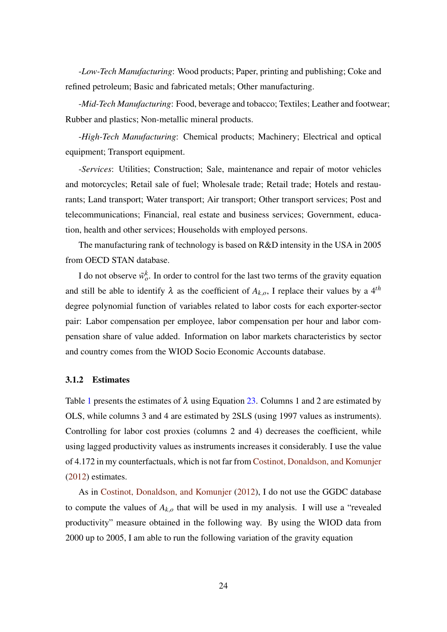-*Low-Tech Manufacturing*: Wood products; Paper, printing and publishing; Coke and refined petroleum; Basic and fabricated metals; Other manufacturing.

-*Mid-Tech Manufacturing*: Food, beverage and tobacco; Textiles; Leather and footwear; Rubber and plastics; Non-metallic mineral products.

-*High-Tech Manufacturing*: Chemical products; Machinery; Electrical and optical equipment; Transport equipment.

-*Services*: Utilities; Construction; Sale, maintenance and repair of motor vehicles and motorcycles; Retail sale of fuel; Wholesale trade; Retail trade; Hotels and restaurants; Land transport; Water transport; Air transport; Other transport services; Post and telecommunications; Financial, real estate and business services; Government, education, health and other services; Households with employed persons.

The manufacturing rank of technology is based on R&D intensity in the USA in 2005 from OECD STAN database.

I do not observe  $\tilde{w}_o^k$ . In order to control for the last two terms of the gravity equation and still be able to identify  $\lambda$  as the coefficient of  $A_{k,o}$ , I replace their values by a 4<sup>th</sup> degree polynomial function of variables related to labor costs for each exporter-sector pair: Labor compensation per employee, labor compensation per hour and labor compensation share of value added. Information on labor markets characteristics by sector and country comes from the WIOD Socio Economic Accounts database.

#### 3.1.2 Estimates

Table [1](#page-24-0) presents the estimates of  $\lambda$  using Equation [23.](#page-22-0) Columns 1 and 2 are estimated by OLS, while columns 3 and 4 are estimated by 2SLS (using 1997 values as instruments). Controlling for labor cost proxies (columns 2 and 4) decreases the coefficient, while using lagged productivity values as instruments increases it considerably. I use the value of 4.172 in my counterfactuals, which is not far from [Costinot, Donaldson, and Komunjer](#page-44-0) [\(2012\)](#page-44-0) estimates.

As in [Costinot, Donaldson, and Komunjer](#page-44-0) [\(2012\)](#page-44-0), I do not use the GGDC database to compute the values of  $A_{k,o}$  that will be used in my analysis. I will use a "revealed" productivity" measure obtained in the following way. By using the WIOD data from 2000 up to 2005, I am able to run the following variation of the gravity equation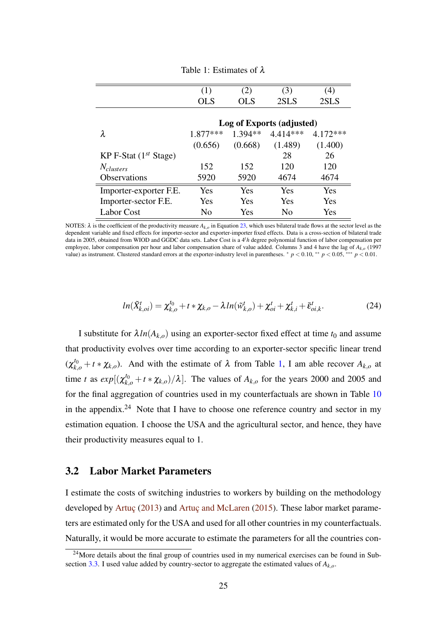<span id="page-24-0"></span>

|                            | (1)        | (2)        | (3)                       | $\left( 4\right)$ |
|----------------------------|------------|------------|---------------------------|-------------------|
|                            | <b>OLS</b> | <b>OLS</b> | 2SLS                      | 2SLS              |
|                            |            |            |                           |                   |
|                            |            |            | Log of Exports (adjusted) |                   |
| λ                          | $1.877***$ | 1.394**    | $4.414***$                | 4.172***          |
|                            | (0.656)    | (0.668)    | (1.489)                   | (1.400)           |
| KP F-Stat $(1^{st}$ Stage) |            |            | 28                        | 26                |
| $N_{clusters}$             | 152        | 152        | 120                       | 120               |
| <b>Observations</b>        | 5920       | 5920       | 4674                      | 4674              |
| Importer-exporter F.E.     | Yes        | <b>Yes</b> | Yes                       | <b>Yes</b>        |
| Importer-sector F.E.       | Yes        | <b>Yes</b> | Yes                       | Yes               |
| <b>Labor Cost</b>          | No         | Yes        | No                        | Yes               |

Table 1: Estimates of λ

NOTES:  $\lambda$  is the coefficient of the productivity measure  $A_{k,o}$  in Equation [23,](#page-22-0) which uses bilateral trade flows at the sector level as the dependent variable and fixed effects for importer-sector and exporter-importer fixed effects. Data is a cross-section of bilateral trade data in 2005, obtained from WIOD and GGDC data sets. Labor Cost is a 4*th* degree polynomial function of labor compensation per employee, labor compensation per hour and labor compensation share of value added. Columns 3 and 4 have the lag of *Ak*,*<sup>o</sup>* (1997 value) as instrument. Clustered standard errors at the exporter-industry level in parentheses.  $\gamma p < 0.10$ , \*\*  $p < 0.05$ , \*\*\*  $p < 0.01$ .

<span id="page-24-1"></span>
$$
ln(\tilde{X}_{k,oi}^t) = \chi_{k,o}^{t_0} + t * \chi_{k,o} - \lambda ln(\tilde{w}_{k,o}^t) + \chi_{oi}^t + \chi_{k,i}^t + \bar{\varepsilon}_{oi,k}^t.
$$
 (24)

I substitute for  $\lambda ln(A_{k,o})$  using an exporter-sector fixed effect at time  $t_0$  and assume that productivity evolves over time according to an exporter-sector specific linear trend  $(\chi_{k,o}^{t_0} + t * \chi_{k,o})$ . And with the estimate of  $\lambda$  from Table [1,](#page-24-0) I am able recover  $A_{k,o}$  at time *t* as  $exp[(\chi_{k,o}^{t_0} + t * \chi_{k,o})/\lambda]$ . The values of  $A_{k,o}$  for the years 2000 and 2005 and for the final aggregation of countries used in my counterfactuals are shown in Table [10](#page-55-0) in the appendix.<sup>24</sup> Note that I have to choose one reference country and sector in my estimation equation. I choose the USA and the agricultural sector, and hence, they have their productivity measures equal to 1.

### 3.2 Labor Market Parameters

I estimate the costs of switching industries to workers by building on the methodology developed by [Artuç](#page-44-13) [\(2013\)](#page-44-13) and [Artuç and McLaren](#page-44-4) [\(2015\)](#page-44-4). These labor market parameters are estimated only for the USA and used for all other countries in my counterfactuals. Naturally, it would be more accurate to estimate the parameters for all the countries con-

 $24$ More details about the final group of countries used in my numerical exercises can be found in Subsection [3.3.](#page-30-0) I used value added by country-sector to aggregate the estimated values of *Ak*,*o*.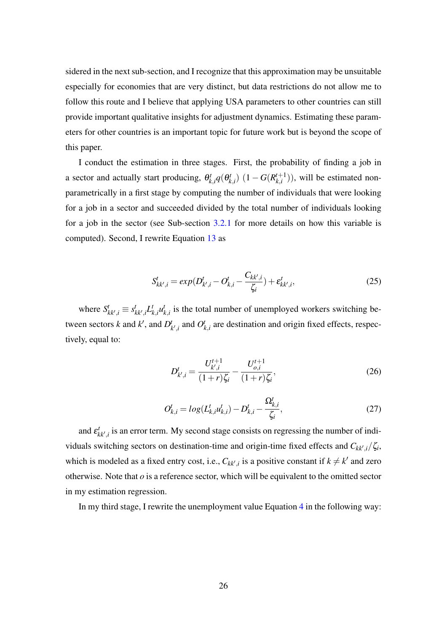sidered in the next sub-section, and I recognize that this approximation may be unsuitable especially for economies that are very distinct, but data restrictions do not allow me to follow this route and I believe that applying USA parameters to other countries can still provide important qualitative insights for adjustment dynamics. Estimating these parameters for other countries is an important topic for future work but is beyond the scope of this paper.

I conduct the estimation in three stages. First, the probability of finding a job in a sector and actually start producing,  $\theta_k^t$  $g_{k,i}^t q(\theta_k^t)$  $B_{k,i}^t$ )  $(1-G(R_{k,i}^{t+1}))$  $\binom{n+1}{k,i}$ , will be estimated nonparametrically in a first stage by computing the number of individuals that were looking for a job in a sector and succeeded divided by the total number of individuals looking for a job in the sector (see Sub-section  $3.2.1$  for more details on how this variable is computed). Second, I rewrite Equation [13](#page-13-1) as

<span id="page-25-0"></span>
$$
S_{kk',i}^t = exp(D_{k',i}^t - O_{k,i}^t - \frac{C_{kk',i}}{\zeta_i}) + \varepsilon_{kk',i}^t,
$$
\n(25)

where  $S_{kk',i}^t \equiv s_{kk',i}^t L_i^t$  $\boldsymbol{u}_k^t$ <sub>*k*</sub>, $\boldsymbol{u}_k^t$  $k_{k,i}$  is the total number of unemployed workers switching between sectors *k* and  $k'$ , and  $D_l^t$  $_{k',i}^t$  and  $O_l^t$  $k_{i,i}$  are destination and origin fixed effects, respectively, equal to:

$$
D_{k',i}^t = \frac{U_{k',i}^{t+1}}{(1+r)\zeta_i} - \frac{U_{o,i}^{t+1}}{(1+r)\zeta_i},\tag{26}
$$

<span id="page-25-1"></span>
$$
O_{k,i}^t = log(L_{k,i}^t u_{k,i}^t) - D_{k,i}^t - \frac{\Omega_{k,i}^t}{\zeta_i},
$$
\n(27)

and  $\varepsilon_{kk',i}^t$  is an error term. My second stage consists on regressing the number of individuals switching sectors on destination-time and origin-time fixed effects and  $C_{kk',i}/\zeta_i$ , which is modeled as a fixed entry cost, i.e.,  $C_{kk',i}$  is a positive constant if  $k \neq k'$  and zero otherwise. Note that  $\sigma$  is a reference sector, which will be equivalent to the omitted sector in my estimation regression.

In my third stage, I rewrite the unemployment value Equation [4](#page-9-0) in the following way: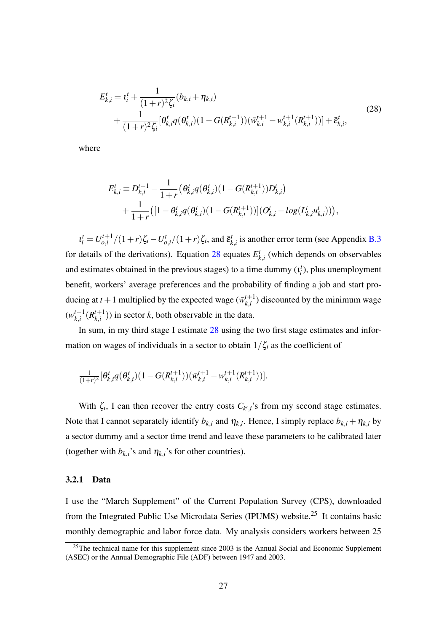<span id="page-26-1"></span>
$$
E_{k,i}^{t} = t_{i}^{t} + \frac{1}{(1+r)^{2} \zeta_{i}} (b_{k,i} + \eta_{k,i})
$$
  
+ 
$$
\frac{1}{(1+r)^{2} \zeta_{i}} [\theta_{k,i}^{t} q(\theta_{k,i}^{t}) (1 - G(R_{k,i}^{t+1})) (\overline{w}_{k,i}^{t+1} - w_{k,i}^{t+1}(R_{k,i}^{t+1}))] + \overline{\epsilon}_{k,i}^{t},
$$
\n(28)

where

$$
E_{k,i}^{t} \equiv D_{k,i}^{t-1} - \frac{1}{1+r} \left( \theta_{k,i}^{t} q(\theta_{k,i}^{t}) (1 - G(R_{k,i}^{t+1})) D_{k,i}^{t} \right) + \frac{1}{1+r} \left( [1 - \theta_{k,i}^{t} q(\theta_{k,i}^{t}) (1 - G(R_{k,i}^{t+1}))](O_{k,i}^{t} - log(L_{k,i}^{t} u_{k,i}^{t})) \right),
$$

 $\iota_i^t = U_{o,i}^{t+1}$  $\int_{o,i}^{t+1} / (1+r) \zeta_i - U_{o,i}^t / (1+r) \zeta_i$ , and  $\bar{\epsilon}_k^t$  $x_{k,i}^t$  is another error term (see Appendix [B.3](#page-52-0)) for details of the derivations). Equation [28](#page-26-1) equates  $E<sub>k</sub><sup>t</sup>$  $k_{i,i}$ <sup>t</sup> (which depends on observables and estimates obtained in the previous stages) to a time dummy  $(t_i^t)$ , plus unemployment benefit, workers' average preferences and the probability of finding a job and start producing at  $t + 1$  multiplied by the expected wage  $(\bar{w}_{k}^{t+1})$  $\binom{t+1}{k,i}$  discounted by the minimum wage  $(w_{k}^{t+1})$  $_{k,i}^{t+1}(R_{k,i}^{t+1})$  $\binom{t+1}{k,i}$ ) in sector *k*, both observable in the data.

In sum, in my third stage I estimate [28](#page-26-1) using the two first stage estimates and information on wages of individuals in a sector to obtain  $1/\zeta_i$  as the coefficient of

$$
\tfrac{1}{(1+r)^2}[\theta_{k,i}^t q(\theta_{k,i}^t)(1-G(R^{t+1}_{k,i}))(\bar{w}^{t+1}_{k,i}-w^{t+1}_{k,i}(R^{t+1}_{k,i}))].
$$

With  $\zeta_i$ , I can then recover the entry costs  $C_{k',i}$ 's from my second stage estimates. Note that I cannot separately identify  $b_{k,i}$  and  $\eta_{k,i}$ . Hence, I simply replace  $b_{k,i} + \eta_{k,i}$  by a sector dummy and a sector time trend and leave these parameters to be calibrated later (together with  $b_{k,i}$ 's and  $\eta_{k,i}$ 's for other countries).

#### <span id="page-26-0"></span>3.2.1 Data

I use the "March Supplement" of the Current Population Survey (CPS), downloaded from the Integrated Public Use Microdata Series (IPUMS) website.<sup>25</sup> It contains basic monthly demographic and labor force data. My analysis considers workers between 25

 $25$ The technical name for this supplement since 2003 is the Annual Social and Economic Supplement (ASEC) or the Annual Demographic File (ADF) between 1947 and 2003.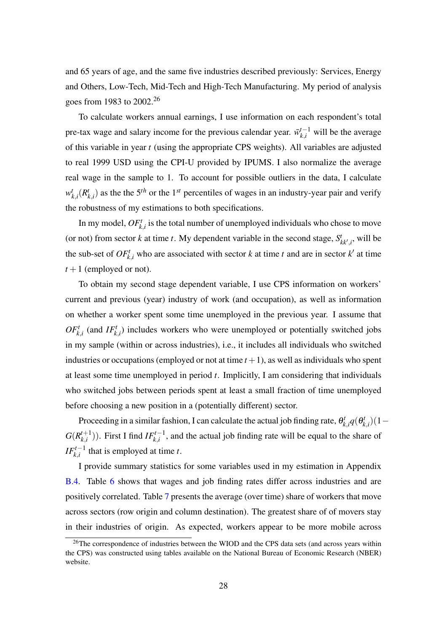and 65 years of age, and the same five industries described previously: Services, Energy and Others, Low-Tech, Mid-Tech and High-Tech Manufacturing. My period of analysis goes from 1983 to 2002.<sup>26</sup>

To calculate workers annual earnings, I use information on each respondent's total pre-tax wage and salary income for the previous calendar year.  $\bar{w}_{k,i}^{t-1}$  will be the average of this variable in year *t* (using the appropriate CPS weights). All variables are adjusted to real 1999 USD using the CPI-U provided by IPUMS. I also normalize the average real wage in the sample to 1. To account for possible outliers in the data, I calculate  $w_l^t$  $_{k,i}^t(R_l^t)$  $k$ <sub>,*i*</sub>) as the the 5<sup>*th*</sup> or the 1<sup>*st*</sup> percentiles of wages in an industry-year pair and verify the robustness of my estimations to both specifications.

In my model,  $OF_{k,i}^t$  is the total number of unemployed individuals who chose to move (or not) from sector *k* at time *t*. My dependent variable in the second stage,  $S_{kk',i}^t$ , will be the sub-set of  $OF_{k,i}^t$  who are associated with sector *k* at time *t* and are in sector *k*' at time  $t+1$  (employed or not).

To obtain my second stage dependent variable, I use CPS information on workers' current and previous (year) industry of work (and occupation), as well as information on whether a worker spent some time unemployed in the previous year. I assume that  $OF_{k,i}^t$  (and  $IF_{k,i}^t$ ) includes workers who were unemployed or potentially switched jobs in my sample (within or across industries), i.e., it includes all individuals who switched industries or occupations (employed or not at time  $t + 1$ ), as well as individuals who spent at least some time unemployed in period *t*. Implicitly, I am considering that individuals who switched jobs between periods spent at least a small fraction of time unemployed before choosing a new position in a (potentially different) sector.

Proceeding in a similar fashion, I can calculate the actual job finding rate,  $\theta_k^i$  $p_{k,i}^t q(\theta_k^t)$ *k*,*i* )(1−  $G(R_{k,i}^{t+1})$  $(k, k, i<sup>t+1</sup>)$ ). First I find *IF*<sup>*t*-1</sup>, and the actual job finding rate will be equal to the share of *IF*<sup> $t-1$ </sup> that is employed at time *t*.

I provide summary statistics for some variables used in my estimation in Appendix [B.4.](#page-53-0) Table [6](#page-54-0) shows that wages and job finding rates differ across industries and are positively correlated. Table [7](#page-54-1) presents the average (over time) share of workers that move across sectors (row origin and column destination). The greatest share of of movers stay in their industries of origin. As expected, workers appear to be more mobile across

 $26$ The correspondence of industries between the WIOD and the CPS data sets (and across years within the CPS) was constructed using tables available on the National Bureau of Economic Research (NBER) website.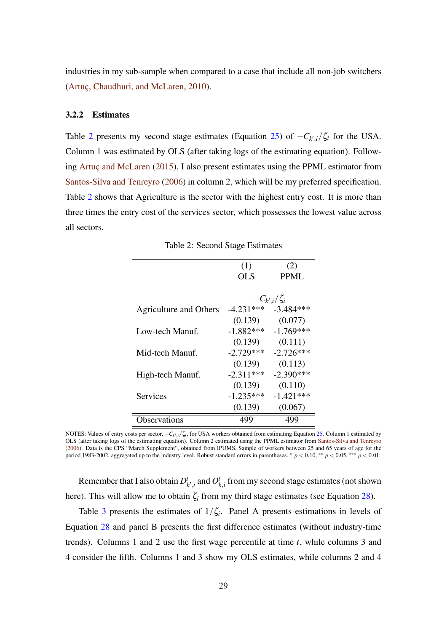industries in my sub-sample when compared to a case that include all non-job switchers [\(Artuç, Chaudhuri, and McLaren,](#page-44-1) [2010\)](#page-44-1).

#### 3.2.2 Estimates

Table [2](#page-28-0) presents my second stage estimates (Equation [25\)](#page-25-0) of  $-C_{k',i}/\zeta_i$  for the USA. Column 1 was estimated by OLS (after taking logs of the estimating equation). Following [Artuç and McLaren](#page-44-4) [\(2015\)](#page-44-4), I also present estimates using the PPML estimator from [Santos-Silva and Tenreyro](#page-46-9) [\(2006\)](#page-46-9) in column 2, which will be my preferred specification. Table [2](#page-28-0) shows that Agriculture is the sector with the highest entry cost. It is more than three times the entry cost of the services sector, which possesses the lowest value across all sectors.

<span id="page-28-0"></span>

|                               | (1)         | (2)                 |
|-------------------------------|-------------|---------------------|
|                               | <b>OLS</b>  | PPML                |
|                               |             |                     |
|                               |             | $-C_{k',i}/\zeta_i$ |
| <b>Agriculture and Others</b> | $-4.231***$ | $-3.484***$         |
|                               | (0.139)     | (0.077)             |
| Low-tech Manuf.               | $-1.882***$ | $-1.769***$         |
|                               | (0.139)     | (0.111)             |
| Mid-tech Manuf.               | $-2.729***$ | $-2.726***$         |
|                               | (0.139)     | (0.113)             |
| High-tech Manuf.              | $-2.311***$ | $-2.390***$         |
|                               | (0.139)     | (0.110)             |
| Services                      | $-1.235***$ | $-1.421***$         |
|                               | (0.139)     | (0.067)             |
| bservations                   | 499         | 499                 |

Table 2: Second Stage Estimates

Remember that I also obtain *D t*  $_{k^{\prime},i}^{t}$  and  $O_{j}^{t}$  $k_{i,i}$  from my second stage estimates (not shown here). This will allow me to obtain  $\zeta_i$  from my third stage estimates (see Equation [28\)](#page-26-1).

Table [3](#page-29-0) presents the estimates of  $1/\zeta_i$ . Panel A presents estimations in levels of Equation [28](#page-26-1) and panel B presents the first difference estimates (without industry-time trends). Columns 1 and 2 use the first wage percentile at time *t*, while columns 3 and 4 consider the fifth. Columns 1 and 3 show my OLS estimates, while columns 2 and 4

NOTES: Values of entry costs per sector,  $-C_k$ <sub>*i*</sub>/ $\zeta$ *i*, for USA workers obtained from estimating Equation [25.](#page-25-0) Column 1 estimated by OLS (after taking logs of the estimating equation). Column 2 estimated using the PPML estimator from [Santos-Silva and Tenreyro](#page-46-9) [\(2006\)](#page-46-9). Data is the CPS "March Supplement", obtained from IPUMS. Sample of workers between 25 and 65 years of age for the period 1983-2002, aggregated up to the industry level. Robust standard errors in parentheses. <sup>∗</sup> *p* < 0.10, ∗∗ *p* < 0.05, ∗∗∗ *p* < 0.01.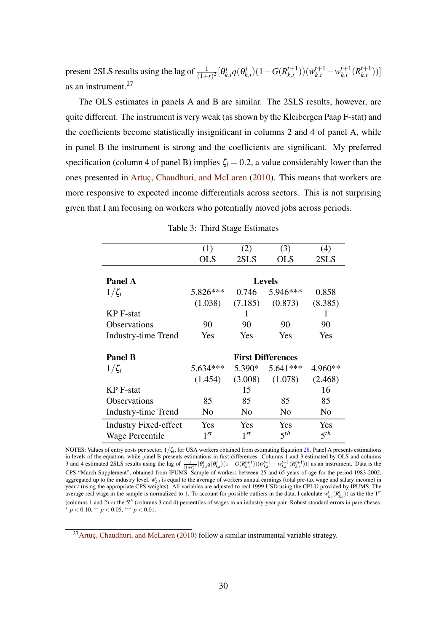present 2SLS results using the lag of  $\frac{1}{(1+r)^2}[\theta_k^t]$  $q_{k,i}^t q(\theta_k^t)$  $B_{k,i}^t$ )(1−*G*( $R_{k,i}^{t+1}$  $(\bar{w}^{t+1}_{k,i})$   $)(\bar{w}^{t+1}_{k,i} - w^{t+1}_{k,i})$  $_{k,i}^{t+1}(R_{k,i}^{t+1})$  $\binom{t+1}{k,i})$ as an instrument.<sup>27</sup>

The OLS estimates in panels A and B are similar. The 2SLS results, however, are quite different. The instrument is very weak (as shown by the Kleibergen Paap F-stat) and the coefficients become statistically insignificant in columns 2 and 4 of panel A, while in panel B the instrument is strong and the coefficients are significant. My preferred specification (column 4 of panel B) implies  $\zeta_i = 0.2$ , a value considerably lower than the ones presented in [Artuç, Chaudhuri, and McLaren](#page-44-1) [\(2010\)](#page-44-1). This means that workers are more responsive to expected income differentials across sectors. This is not surprising given that I am focusing on workers who potentially moved jobs across periods.

<span id="page-29-0"></span>

|                              | (1)        | (2)      | (3)                      | (4)             |
|------------------------------|------------|----------|--------------------------|-----------------|
|                              | <b>OLS</b> | 2SLS     | <b>OLS</b>               | 2SLS            |
|                              |            |          |                          |                 |
| <b>Panel A</b>               |            |          | <b>Levels</b>            |                 |
| $1/\zeta_i$                  | 5.826***   | 0.746    | 5.946***                 | 0.858           |
|                              | (1.038)    | (7.185)  | (0.873)                  | (8.385)         |
| <b>KP</b> F-stat             |            | 1        |                          | 1               |
| <b>Observations</b>          | 90         | 90       | 90                       | 90              |
| <b>Industry-time Trend</b>   | Yes        | Yes      | Yes                      | Yes             |
|                              |            |          |                          |                 |
| <b>Panel B</b>               |            |          | <b>First Differences</b> |                 |
| $1/\zeta_i$                  | 5.634***   | 5.390*   | $5.641***$               | 4.960**         |
|                              | (1.454)    | (3.008)  | (1.078)                  | (2.468)         |
| <b>KP</b> F-stat             |            | 15       |                          | 16              |
| <b>Observations</b>          | 85         | 85       | 85                       | 85              |
| <b>Industry-time Trend</b>   | No         | No       | No                       | No              |
| <b>Industry Fixed-effect</b> | Yes        | Yes      | Yes                      | Yes             |
| Wage Percentile              | $1^{st}$   | $1^{st}$ | $5^{th}$                 | 5 <sup>th</sup> |

Table 3: Third Stage Estimates

NOTES: Values of entry costs per sector, 1/ζ*<sup>i</sup>* , for USA workers obtained from estimating Equation [28.](#page-26-1) Panel A presents estimations in levels of the equation, while panel B presents estimations in first differences. Columns 1 and 3 estimated by OLS and columns 3 and 4 estimated 2SLS results using the lag of  $\frac{1}{(1+r)^2} [\theta_{k,i}^t q(\theta_{k,i}^t)(1-G(R_{k,i}^{t+1}))(\overline{w}_{k,i}^{t+1} - w_{k,i}^{t+1}(R_{k,i}^{t+1}))]$  as an instrument. Data is the CPS "March Supplement", obtained from IPUMS. Sample of workers between 25 and 65 years of age for the period 1983-2002, aggregated up to the industry level.  $\vec{w}^t_{k,i}$  is equal to the average of workers annual earnings (total pre-tax wage and salary income) in year *t* (using the appropriate CPS weights). All variables are adjusted to real 1999 USD using the CPI-U provided by IPUMS. The average real wage in the sample is normalized to 1. To account for possible outliers in the data, I calculate  $w_{k,i}^t(R_{k,i}^t)$  as the the 1<sup>st</sup> (columns 1 and 2) or the 5*th* (columns 3 and 4) percentiles of wages in an industry-year pair. Robust standard errors in parentheses. <sup>∗</sup> *p* < 0.10, ∗∗ *p* < 0.05, ∗∗∗ *p* < 0.01.

<sup>&</sup>lt;sup>27</sup>Artuc, Chaudhuri, and McLaren [\(2010\)](#page-44-1) follow a similar instrumental variable strategy.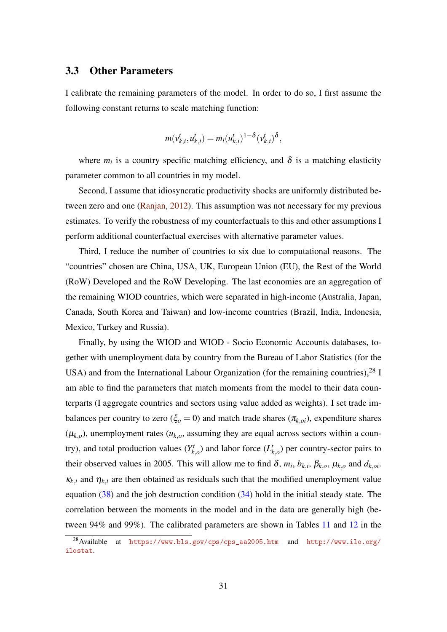# <span id="page-30-0"></span>3.3 Other Parameters

I calibrate the remaining parameters of the model. In order to do so, I first assume the following constant returns to scale matching function:

$$
m(v_{k,i}^t, u_{k,i}^t) = m_i(u_{k,i}^t)^{1-\delta}(v_{k,i}^t)^{\delta},
$$

where  $m_i$  is a country specific matching efficiency, and  $\delta$  is a matching elasticity parameter common to all countries in my model.

Second, I assume that idiosyncratic productivity shocks are uniformly distributed between zero and one [\(Ranjan,](#page-46-10) [2012\)](#page-46-10). This assumption was not necessary for my previous estimates. To verify the robustness of my counterfactuals to this and other assumptions I perform additional counterfactual exercises with alternative parameter values.

Third, I reduce the number of countries to six due to computational reasons. The "countries" chosen are China, USA, UK, European Union (EU), the Rest of the World (RoW) Developed and the RoW Developing. The last economies are an aggregation of the remaining WIOD countries, which were separated in high-income (Australia, Japan, Canada, South Korea and Taiwan) and low-income countries (Brazil, India, Indonesia, Mexico, Turkey and Russia).

Finally, by using the WIOD and WIOD - Socio Economic Accounts databases, together with unemployment data by country from the Bureau of Labor Statistics (for the USA) and from the International Labour Organization (for the remaining countries),  $^{28}$  I am able to find the parameters that match moments from the model to their data counterparts (I aggregate countries and sectors using value added as weights). I set trade imbalances per country to zero ( $\xi_o = 0$ ) and match trade shares ( $\pi_{k,oi}$ ), expenditure shares  $(\mu_{k,o})$ , unemployment rates  $(u_{k,o}$ , assuming they are equal across sectors within a country), and total production values  $(Y_k^t)$  $\chi_{k,o}^t$ ) and labor force  $(L_i^t)$ *k*,*o* ) per country-sector pairs to their observed values in 2005. This will allow me to find  $\delta$ ,  $m_i$ ,  $b_{k,i}$ ,  $\beta_{k,o}$ ,  $\mu_{k,o}$  and  $d_{k,oi}$ .  $\kappa_{k,i}$  and  $\eta_{k,i}$  are then obtained as residuals such that the modified unemployment value equation  $(38)$  and the job destruction condition  $(34)$  hold in the initial steady state. The correlation between the moments in the model and in the data are generally high (between 94% and 99%). The calibrated parameters are shown in Tables [11](#page-56-0) and [12](#page-57-0) in the

<sup>28</sup>Available at [https://www.bls.gov/cps/cps\\_aa2005.htm](https://www.bls.gov/cps/cps_aa2005.htm) and [http://www.ilo.org/](http://www.ilo.org/ilostat) [ilostat](http://www.ilo.org/ilostat).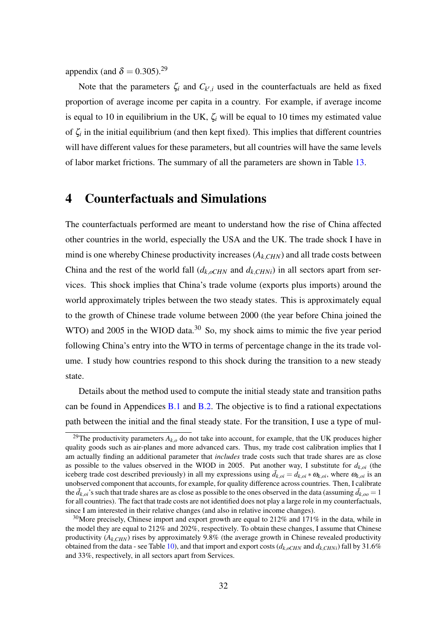appendix (and  $\delta = 0.305$ ).<sup>29</sup>

Note that the parameters  $\zeta_i$  and  $C_{k',i}$  used in the counterfactuals are held as fixed proportion of average income per capita in a country. For example, if average income is equal to 10 in equilibrium in the UK,  $\zeta_i$  will be equal to 10 times my estimated value of  $\zeta$  in the initial equilibrium (and then kept fixed). This implies that different countries will have different values for these parameters, but all countries will have the same levels of labor market frictions. The summary of all the parameters are shown in Table [13.](#page-58-0)

# <span id="page-31-0"></span>4 Counterfactuals and Simulations

The counterfactuals performed are meant to understand how the rise of China affected other countries in the world, especially the USA and the UK. The trade shock I have in mind is one whereby Chinese productivity increases (*Ak*,*CHN*) and all trade costs between China and the rest of the world fall  $(d_{k,oCHN}$  and  $d_{k,CHNi})$  in all sectors apart from services. This shock implies that China's trade volume (exports plus imports) around the world approximately triples between the two steady states. This is approximately equal to the growth of Chinese trade volume between 2000 (the year before China joined the WTO) and 2005 in the WIOD data.<sup>30</sup> So, my shock aims to mimic the five year period following China's entry into the WTO in terms of percentage change in the its trade volume. I study how countries respond to this shock during the transition to a new steady state.

Details about the method used to compute the initial steady state and transition paths can be found in Appendices [B.1](#page-48-3) and [B.2.](#page-50-0) The objective is to find a rational expectations path between the initial and the final steady state. For the transition, I use a type of mul-

<sup>&</sup>lt;sup>29</sup>The productivity parameters  $A_{k,o}$  do not take into account, for example, that the UK produces higher quality goods such as air-planes and more advanced cars. Thus, my trade cost calibration implies that I am actually finding an additional parameter that *includes* trade costs such that trade shares are as close as possible to the values observed in the WIOD in 2005. Put another way, I substitute for  $d_{k,oi}$  (the iceberg trade cost described previously) in all my expressions using  $\bar{d}_{k,0i} = d_{k,0i} * \omega_{k,0i}$ , where  $\omega_{k,0i}$  is an unobserved component that accounts, for example, for quality difference across countries. Then, I calibrate the  $\bar{d}_{k,o}$ 's such that trade shares are as close as possible to the ones observed in the data (assuming  $\bar{d}_{k,o}$  = 1 for all countries). The fact that trade costs are not identified does not play a large role in my counterfactuals, since I am interested in their relative changes (and also in relative income changes).

<sup>&</sup>lt;sup>30</sup>More precisely, Chinese import and export growth are equal to 212% and 171% in the data, while in the model they are equal to 212% and 202%, respectively. To obtain these changes, I assume that Chinese productivity (*Ak*,*CHN*) rises by approximately 9.8% (the average growth in Chinese revealed productivity obtained from the data - see Table [10\)](#page-55-0), and that import and export costs  $(d_k$ <sub>oCHN</sub> and  $d_k$ <sub>CHNi</sub>) fall by 31.6% and 33%, respectively, in all sectors apart from Services.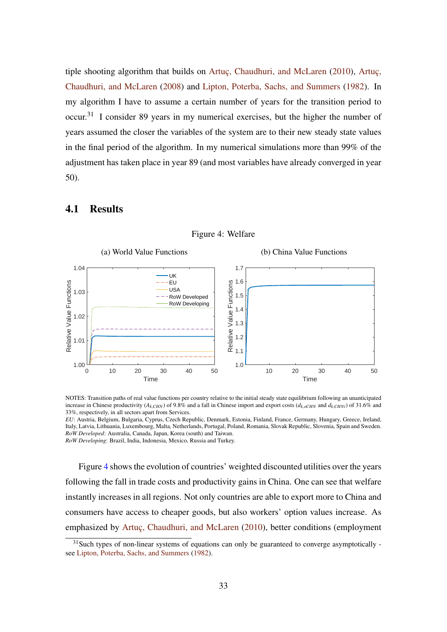tiple shooting algorithm that builds on [Artuç, Chaudhuri, and McLaren](#page-44-1) [\(2010\)](#page-44-1), [Artuç,](#page-44-14) [Chaudhuri, and McLaren](#page-44-14) [\(2008\)](#page-44-14) and [Lipton, Poterba, Sachs, and Summers](#page-45-17) [\(1982\)](#page-45-17). In my algorithm I have to assume a certain number of years for the transition period to occur.<sup>31</sup> I consider 89 years in my numerical exercises, but the higher the number of years assumed the closer the variables of the system are to their new steady state values in the final period of the algorithm. In my numerical simulations more than 99% of the adjustment has taken place in year 89 (and most variables have already converged in year 50).

# <span id="page-32-0"></span>4.1 Results



Figure 4: Welfare

*EU*: Austria, Belgium, Bulgaria, Cyprus, Czech Republic, Denmark, Estonia, Finland, France, Germany, Hungary, Greece, Ireland, Italy, Latvia, Lithuania, Luxembourg, Malta, Netherlands, Portugal, Poland, Romania, Slovak Republic, Slovenia, Spain and Sweden. *RoW Developed*: Australia, Canada, Japan, Korea (south) and Taiwan.

*RoW Developing*: Brazil, India, Indonesia, Mexico, Russia and Turkey.

Figure [4](#page-32-0) shows the evolution of countries' weighted discounted utilities over the years following the fall in trade costs and productivity gains in China. One can see that welfare instantly increases in all regions. Not only countries are able to export more to China and consumers have access to cheaper goods, but also workers' option values increase. As emphasized by [Artuç, Chaudhuri, and McLaren](#page-44-1) [\(2010\)](#page-44-1), better conditions (employment

NOTES: Transition paths of real value functions per country relative to the initial steady state equilibrium following an unanticipated increase in Chinese productivity ( $A_k$ <sub>CHN</sub>) of 9.8% and a fall in Chinese import and export costs ( $d_k$ <sub>*oCHN*</sub> and  $d_k$ <sub>CHNi</sub>) of 31.6% and 33%, respectively, in all sectors apart from Services.

 $31$ Such types of non-linear systems of equations can only be guaranteed to converge asymptotically see [Lipton, Poterba, Sachs, and Summers](#page-45-17) [\(1982\)](#page-45-17).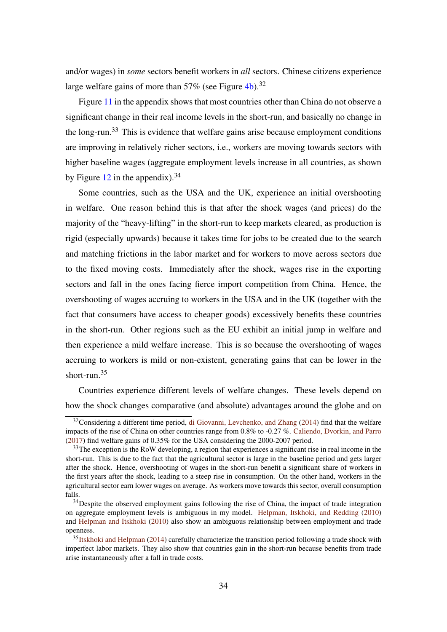and/or wages) in *some* sectors benefit workers in *all* sectors. Chinese citizens experience large welfare gains of more than  $57\%$  (see Figure [4b\)](#page-32-0).<sup>32</sup>

Figure [11](#page-61-0) in the appendix shows that most countries other than China do not observe a significant change in their real income levels in the short-run, and basically no change in the long-run.<sup>33</sup> This is evidence that welfare gains arise because employment conditions are improving in relatively richer sectors, i.e., workers are moving towards sectors with higher baseline wages (aggregate employment levels increase in all countries, as shown by Figure  $12$  in the appendix).<sup>34</sup>

Some countries, such as the USA and the UK, experience an initial overshooting in welfare. One reason behind this is that after the shock wages (and prices) do the majority of the "heavy-lifting" in the short-run to keep markets cleared, as production is rigid (especially upwards) because it takes time for jobs to be created due to the search and matching frictions in the labor market and for workers to move across sectors due to the fixed moving costs. Immediately after the shock, wages rise in the exporting sectors and fall in the ones facing fierce import competition from China. Hence, the overshooting of wages accruing to workers in the USA and in the UK (together with the fact that consumers have access to cheaper goods) excessively benefits these countries in the short-run. Other regions such as the EU exhibit an initial jump in welfare and then experience a mild welfare increase. This is so because the overshooting of wages accruing to workers is mild or non-existent, generating gains that can be lower in the short-run. $35$ 

Countries experience different levels of welfare changes. These levels depend on how the shock changes comparative (and absolute) advantages around the globe and on

 $32$ Considering a different time period, [di Giovanni, Levchenko, and Zhang](#page-44-6) [\(2014\)](#page-44-6) find that the welfare impacts of the rise of China on other countries range from 0.8% to -0.27 %. [Caliendo, Dvorkin, and Parro](#page-44-5) [\(2017\)](#page-44-5) find welfare gains of 0.35% for the USA considering the 2000-2007 period.

 $33$ The exception is the RoW developing, a region that experiences a significant rise in real income in the short-run. This is due to the fact that the agricultural sector is large in the baseline period and gets larger after the shock. Hence, overshooting of wages in the short-run benefit a significant share of workers in the first years after the shock, leading to a steep rise in consumption. On the other hand, workers in the agricultural sector earn lower wages on average. As workers move towards this sector, overall consumption falls.

 $34$  Despite the observed employment gains following the rise of China, the impact of trade integration on aggregate employment levels is ambiguous in my model. [Helpman, Itskhoki, and Redding](#page-45-14) [\(2010\)](#page-45-14) and [Helpman and Itskhoki](#page-45-15) [\(2010\)](#page-45-15) also show an ambiguous relationship between employment and trade openness.

<sup>&</sup>lt;sup>35</sup>[Itskhoki and Helpman](#page-45-18) [\(2014\)](#page-45-18) carefully characterize the transition period following a trade shock with imperfect labor markets. They also show that countries gain in the short-run because benefits from trade arise instantaneously after a fall in trade costs.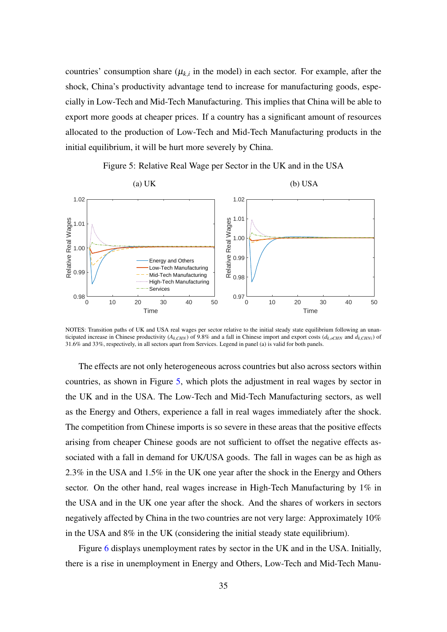countries' consumption share  $(\mu_{k,i}$  in the model) in each sector. For example, after the shock, China's productivity advantage tend to increase for manufacturing goods, especially in Low-Tech and Mid-Tech Manufacturing. This implies that China will be able to export more goods at cheaper prices. If a country has a significant amount of resources allocated to the production of Low-Tech and Mid-Tech Manufacturing products in the initial equilibrium, it will be hurt more severely by China.

<span id="page-34-0"></span>

Figure 5: Relative Real Wage per Sector in the UK and in the USA

NOTES: Transition paths of UK and USA real wages per sector relative to the initial steady state equilibrium following an unanticipated increase in Chinese productivity ( $A_k$ <sub>CHN</sub>) of 9.8% and a fall in Chinese import and export costs ( $d_k$ <sub>oCHN</sub> and  $d_k$ <sub>CHNi</sub>) of 31.6% and 33%, respectively, in all sectors apart from Services. Legend in panel (a) is valid for both panels.

The effects are not only heterogeneous across countries but also across sectors within countries, as shown in Figure [5,](#page-34-0) which plots the adjustment in real wages by sector in the UK and in the USA. The Low-Tech and Mid-Tech Manufacturing sectors, as well as the Energy and Others, experience a fall in real wages immediately after the shock. The competition from Chinese imports is so severe in these areas that the positive effects arising from cheaper Chinese goods are not sufficient to offset the negative effects associated with a fall in demand for UK/USA goods. The fall in wages can be as high as 2.3% in the USA and 1.5% in the UK one year after the shock in the Energy and Others sector. On the other hand, real wages increase in High-Tech Manufacturing by 1% in the USA and in the UK one year after the shock. And the shares of workers in sectors negatively affected by China in the two countries are not very large: Approximately 10% in the USA and 8% in the UK (considering the initial steady state equilibrium).

Figure [6](#page-35-0) displays unemployment rates by sector in the UK and in the USA. Initially, there is a rise in unemployment in Energy and Others, Low-Tech and Mid-Tech Manu-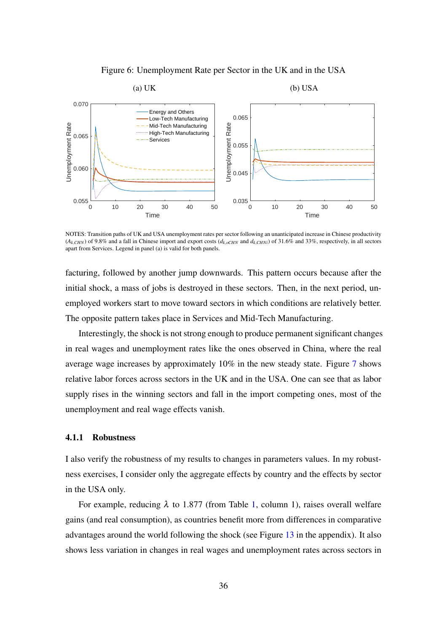Figure 6: Unemployment Rate per Sector in the UK and in the USA

<span id="page-35-0"></span>

NOTES: Transition paths of UK and USA unemployment rates per sector following an unanticipated increase in Chinese productivity  $(A_k, CH_N)$  of 9.8% and a fall in Chinese import and export costs  $(d_k, c_{HN})$  and  $d_k, CH_N$ *i*) of 31.6% and 33%, respectively, in all sectors apart from Services. Legend in panel (a) is valid for both panels.

facturing, followed by another jump downwards. This pattern occurs because after the initial shock, a mass of jobs is destroyed in these sectors. Then, in the next period, unemployed workers start to move toward sectors in which conditions are relatively better. The opposite pattern takes place in Services and Mid-Tech Manufacturing.

Interestingly, the shock is not strong enough to produce permanent significant changes in real wages and unemployment rates like the ones observed in China, where the real average wage increases by approximately 10% in the new steady state. Figure [7](#page-36-0) shows relative labor forces across sectors in the UK and in the USA. One can see that as labor supply rises in the winning sectors and fall in the import competing ones, most of the unemployment and real wage effects vanish.

#### 4.1.1 Robustness

I also verify the robustness of my results to changes in parameters values. In my robustness exercises, I consider only the aggregate effects by country and the effects by sector in the USA only.

For example, reducing  $\lambda$  to 1.877 (from Table [1,](#page-24-0) column 1), raises overall welfare gains (and real consumption), as countries benefit more from differences in comparative advantages around the world following the shock (see Figure [13](#page-62-0) in the appendix). It also shows less variation in changes in real wages and unemployment rates across sectors in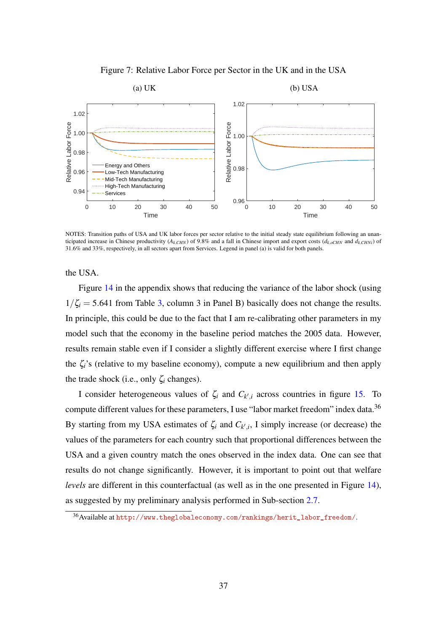Figure 7: Relative Labor Force per Sector in the UK and in the USA

<span id="page-36-0"></span>

NOTES: Transition paths of USA and UK labor forces per sector relative to the initial steady state equilibrium following an unanticipated increase in Chinese productivity ( $A_{k,CHN}$ ) of 9.8% and a fall in Chinese import and export costs ( $d_{k,oCHN}$  and  $d_{k,CHN}$ ) of 31.6% and 33%, respectively, in all sectors apart from Services. Legend in panel (a) is valid for both panels.

the USA.

Figure [14](#page-63-0) in the appendix shows that reducing the variance of the labor shock (using  $1/\zeta_i = 5.641$  from Table [3,](#page-29-0) column 3 in Panel B) basically does not change the results. In principle, this could be due to the fact that I am re-calibrating other parameters in my model such that the economy in the baseline period matches the 2005 data. However, results remain stable even if I consider a slightly different exercise where I first change the  $\zeta_i$ 's (relative to my baseline economy), compute a new equilibrium and then apply the trade shock (i.e., only  $\zeta_i$  changes).

I consider heterogeneous values of  $\zeta_i$  and  $C_{k',i}$  across countries in figure [15.](#page-64-0) To compute different values for these parameters, I use "labor market freedom" index data.<sup>36</sup> By starting from my USA estimates of  $\zeta_i$  and  $C_{k',i}$ , I simply increase (or decrease) the values of the parameters for each country such that proportional differences between the USA and a given country match the ones observed in the index data. One can see that results do not change significantly. However, it is important to point out that welfare *levels* are different in this counterfactual (as well as in the one presented in Figure [14\)](#page-63-0), as suggested by my preliminary analysis performed in Sub-section [2.7.](#page-17-0)

<sup>36</sup>Available at [http://www.theglobaleconomy.com/rankings/herit\\_labor\\_freedom/](http://www.theglobaleconomy.com/rankings/herit_labor_freedom/).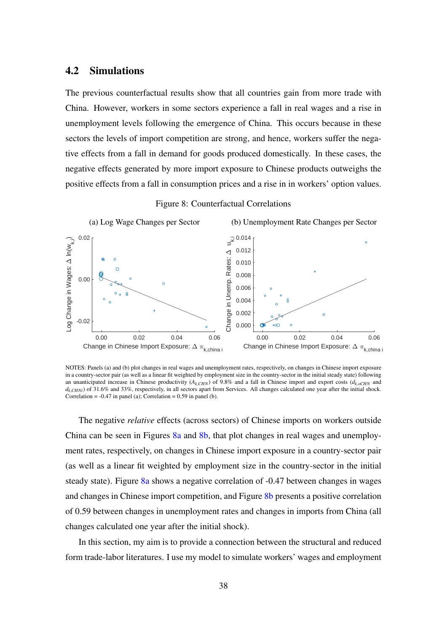# 4.2 Simulations

The previous counterfactual results show that all countries gain from more trade with China. However, workers in some sectors experience a fall in real wages and a rise in unemployment levels following the emergence of China. This occurs because in these sectors the levels of import competition are strong, and hence, workers suffer the negative effects from a fall in demand for goods produced domestically. In these cases, the negative effects generated by more import exposure to Chinese products outweighs the positive effects from a fall in consumption prices and a rise in in workers' option values.

<span id="page-37-0"></span>

Figure 8: Counterfactual Correlations

NOTES: Panels (a) and (b) plot changes in real wages and unemployment rates, respectively, on changes in Chinese import exposure in a country-sector pair (as well as a linear fit weighted by employment size in the country-sector in the initial steady state) following an unanticipated increase in Chinese productivity  $(A_k, CH_N)$  of 9.8% and a fall in Chinese import and export costs  $(A_k, CH_N)$  and  $d_{k,CHNi}$ ) of 31.6% and 33%, respectively, in all sectors apart from Services. All changes calculated one year after the initial shock. Correlation =  $-0.47$  in panel (a); Correlation = 0.59 in panel (b).

The negative *relative* effects (across sectors) of Chinese imports on workers outside China can be seen in Figures [8a](#page-37-0) and [8b,](#page-37-0) that plot changes in real wages and unemployment rates, respectively, on changes in Chinese import exposure in a country-sector pair (as well as a linear fit weighted by employment size in the country-sector in the initial steady state). Figure [8a](#page-37-0) shows a negative correlation of -0.47 between changes in wages and changes in Chinese import competition, and Figure [8b](#page-37-0) presents a positive correlation of 0.59 between changes in unemployment rates and changes in imports from China (all changes calculated one year after the initial shock).

In this section, my aim is to provide a connection between the structural and reduced form trade-labor literatures. I use my model to simulate workers' wages and employment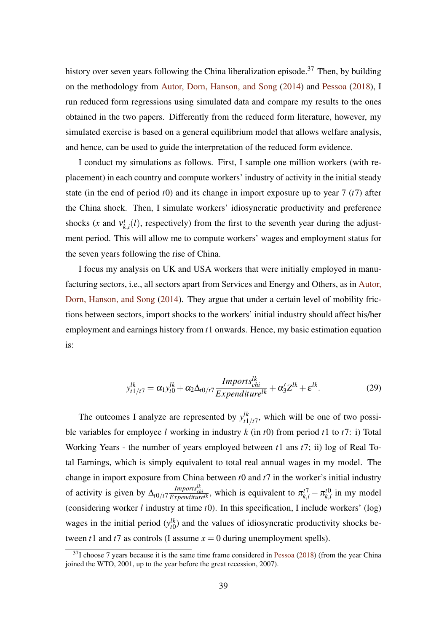history over seven years following the China liberalization episode.<sup>37</sup> Then, by building on the methodology from [Autor, Dorn, Hanson, and Song](#page-44-2) [\(2014\)](#page-44-2) and [Pessoa](#page-46-1) [\(2018\)](#page-46-1), I run reduced form regressions using simulated data and compare my results to the ones obtained in the two papers. Differently from the reduced form literature, however, my simulated exercise is based on a general equilibrium model that allows welfare analysis, and hence, can be used to guide the interpretation of the reduced form evidence.

I conduct my simulations as follows. First, I sample one million workers (with replacement) in each country and compute workers' industry of activity in the initial steady state (in the end of period *t*0) and its change in import exposure up to year 7 (*t*7) after the China shock. Then, I simulate workers' idiosyncratic productivity and preference shocks  $(x \text{ and } v_k^t)$  $k_{k,i}(l)$ , respectively) from the first to the seventh year during the adjustment period. This will allow me to compute workers' wages and employment status for the seven years following the rise of China.

I focus my analysis on UK and USA workers that were initially employed in manufacturing sectors, i.e., all sectors apart from Services and Energy and Others, as in [Autor,](#page-44-2) [Dorn, Hanson, and Song](#page-44-2) [\(2014\)](#page-44-2). They argue that under a certain level of mobility frictions between sectors, import shocks to the workers' initial industry should affect his/her employment and earnings history from *t*1 onwards. Hence, my basic estimation equation is:

$$
y_{t1/t7}^{lk} = \alpha_1 y_{t0}^{lk} + \alpha_2 \Delta_{t0/t7} \frac{Imports_{chi}^{lk}}{Expenditure^{lk}} + \alpha_3' Z^{lk} + \varepsilon^{lk}.
$$
 (29)

The outcomes I analyze are represented by  $y_{t_1}^{lk}$  $t_{t_1/t_1}^{lk}$ , which will be one of two possible variables for employee *l* working in industry *k* (in *t*0) from period *t*1 to *t*7: i) Total Working Years - the number of years employed between *t*1 ans *t*7; ii) log of Real Total Earnings, which is simply equivalent to total real annual wages in my model. The change in import exposure from China between *t*0 and *t*7 in the worker's initial industry of activity is given by  $\Delta_{t0/t} \frac{Imports_{chi}^{lk}}{Expenditure^{lk}}$ , which is equivalent to  $\pi_{k,i}^{t7} - \pi_{k,i}^{t0}$  $k_{k,i}^{t0}$  in my model (considering worker *l* industry at time *t*0). In this specification, I include workers' (log) wages in the initial period  $(y_{t0}^{\ell k})$  $t_{0}^{lk}$ ) and the values of idiosyncratic productivity shocks between  $t1$  and  $t7$  as controls (I assume  $x = 0$  during unemployment spells).

 $37$ I choose 7 years because it is the same time frame considered in [Pessoa](#page-46-1) [\(2018\)](#page-46-1) (from the year China joined the WTO, 2001, up to the year before the great recession, 2007).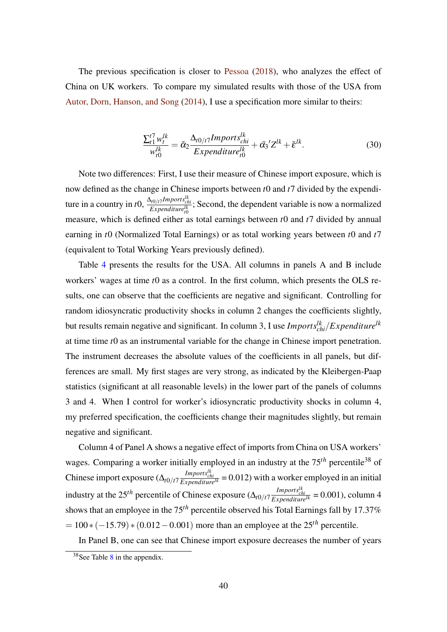The previous specification is closer to [Pessoa](#page-46-1) [\(2018\)](#page-46-1), who analyzes the effect of China on UK workers. To compare my simulated results with those of the USA from [Autor, Dorn, Hanson, and Song](#page-44-2) [\(2014\)](#page-44-2), I use a specification more similar to theirs:

<span id="page-39-0"></span>
$$
\frac{\sum_{t1}^{t7} w_t^{lk}}{w_{t0}^{lk}} = \tilde{\alpha}_2 \frac{\Delta_{t0/t7} Imports_{chi}^{lk}}{Expenditure_{t0}^{lk}} + \tilde{\alpha}_3' Z^{lk} + \tilde{\epsilon}^{lk}.
$$
 (30)

Note two differences: First, I use their measure of Chinese import exposure, which is now defined as the change in Chinese imports between *t*0 and *t*7 divided by the expenditure in a country in *t*0,  $\frac{\Delta_{t0/t}IImports_{chi}^{lk}}{Expenditure_{t0}^{lk}}$ ; Second, the dependent variable is now a normalized measure, which is defined either as total earnings between *t*0 and *t*7 divided by annual earning in *t*0 (Normalized Total Earnings) or as total working years between *t*0 and *t*7 (equivalent to Total Working Years previously defined).

Table [4](#page-40-0) presents the results for the USA. All columns in panels A and B include workers' wages at time *t*0 as a control. In the first column, which presents the OLS results, one can observe that the coefficients are negative and significant. Controlling for random idiosyncratic productivity shocks in column 2 changes the coefficients slightly, but results remain negative and significant. In column 3, I use *Importslk chi*/*Expenditurelk* at time time *t*0 as an instrumental variable for the change in Chinese import penetration. The instrument decreases the absolute values of the coefficients in all panels, but differences are small. My first stages are very strong, as indicated by the Kleibergen-Paap statistics (significant at all reasonable levels) in the lower part of the panels of columns 3 and 4. When I control for worker's idiosyncratic productivity shocks in column 4, my preferred specification, the coefficients change their magnitudes slightly, but remain negative and significant.

Column 4 of Panel A shows a negative effect of imports from China on USA workers' wages. Comparing a worker initially employed in an industry at the 75<sup>th</sup> percentile<sup>38</sup> of Chinese import exposure  $(\Delta_{t0/t} \tau \frac{Imports_{chi}^{lk}}{Expenditure^{lk}} = 0.012)$  with a worker employed in an initial industry at the 25<sup>th</sup> percentile of Chinese exposure  $(\Delta_{t0/t7} \frac{Imports_{chi}^{lk}}{Expenditure^{lk}} = 0.001)$ , column 4 shows that an employee in the 75*th* percentile observed his Total Earnings fall by 17.37%  $= 100 * (-15.79) * (0.012 - 0.001)$  more than an employee at the 25<sup>th</sup> percentile.

In Panel B, one can see that Chinese import exposure decreases the number of years

 $38$  $38$ See Table  $8$  in the appendix.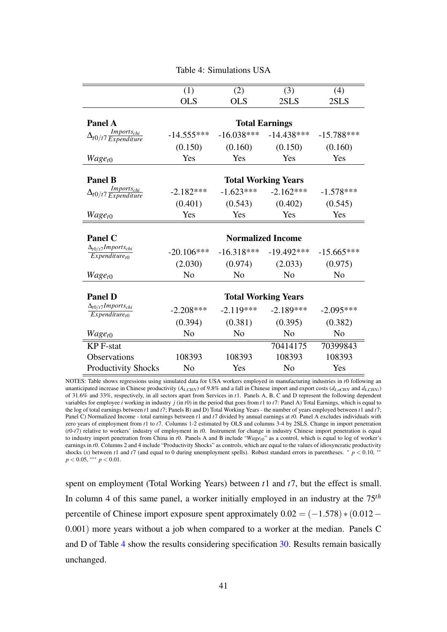<span id="page-40-0"></span>

|                                                    | (1)            | (2)            | (3)                        | (4)            |
|----------------------------------------------------|----------------|----------------|----------------------------|----------------|
|                                                    | <b>OLS</b>     | <b>OLS</b>     | 2SLS                       | 2SLS           |
|                                                    |                |                |                            |                |
| Panel A                                            |                |                | <b>Total Earnings</b>      |                |
| $\Delta_{t0/t7} \frac{Imports_{chi}}{Expenditure}$ | $-14.555***$   | $-16.038***$   | $-14.438***$               | $-15.788***$   |
|                                                    | (0.150)        | (0.160)        | (0.150)                    | (0.160)        |
| $Wage_{t0}$                                        | Yes            | Yes            | Yes                        | Yes            |
|                                                    |                |                |                            |                |
| <b>Panel B</b>                                     |                |                | <b>Total Working Years</b> |                |
| $Imports_{chi}$<br>$\Delta_{t0/t7}$ Expenditure    | $-2.182***$    | $-1.623***$    | $-2.162***$                | $-1.578***$    |
|                                                    | (0.401)        | (0.543)        | (0.402)                    | (0.545)        |
| $Wage_{t0}$                                        | Yes            | Yes            | Yes                        | Yes            |
|                                                    |                |                |                            |                |
|                                                    |                |                |                            |                |
| <b>Panel C</b>                                     |                |                | <b>Normalized Income</b>   |                |
| $\Delta_{t0/t}$ 7 Imports <sub>chi</sub>           | $-20.106***$   | $-16.318***$   | $-19.492***$               | $-15.665***$   |
| $Expenditure_{t0}$                                 | (2.030)        | (0.974)        | (2.033)                    | (0.975)        |
| $Wage_{t0}$                                        | N <sub>0</sub> | N <sub>0</sub> | No                         | N <sub>0</sub> |
|                                                    |                |                |                            |                |
| <b>Panel D</b>                                     |                |                | <b>Total Working Years</b> |                |
| $\Delta_{t0/t}$ 7 Imports <sub>chi</sub>           | $-2.208***$    | $-2.119***$    | $-2.189***$                | $-2.095***$    |
| $Expenditure_{t0}$                                 | (0.394)        | (0.381)        | (0.395)                    | (0.382)        |
| $Wage_{t0}$                                        | N <sub>o</sub> | N <sub>o</sub> | N <sub>o</sub>             | N <sub>o</sub> |
| <b>KP</b> F-stat                                   |                |                | 70414175                   | 70399843       |
| Observations                                       | 108393         | 108393         | 108393                     | 108393         |

Table 4: Simulations USA

NOTES: Table shows regressions using simulated data for USA workers employed in manufacturing industries in *t*0 following an unanticipated increase in Chinese productivity ( $A_k$ <sub>CHN</sub>) of 9.8% and a fall in Chinese import and export costs ( $d_k$ <sub>oCHN</sub> and  $d_k$ <sub>CHNi</sub>) of 31.6% and 33%, respectively, in all sectors apart from Services in *t*1. Panels A, B, C and D represent the following dependent variables for employee *i* working in industry *j* (in *t*0) in the period that goes from *t*1 to *t*7: Panel A) Total Earnings, which is equal to the log of total earnings between *t*1 and *t*7; Panels B) and D) Total Working Years - the number of years employed between *t*1 and *t*7; Panel C) Normalized Income - total earnings between *t*1 and *t*7 divided by annual earnings at *t*0. Panel A excludes individuals with zero years of employment from *t*1 to *t*7. Columns 1-2 estimated by OLS and columns 3-4 by 2SLS. Change in import penetration (*t*0-*t*7) relative to workers' industry of employment in *t*0. Instrument for change in industry Chinese import penetration is equal to industry import penetration from China in *t*0. Panels A and B include "*Waget*0" as a control, which is equal to log of worker's earnings in *t*0. Columns 2 and 4 include "Productivity Shocks" as controls, which are equal to the values of idiosyncratic productivity shocks (*x*) between *t*1 and *t*7 (and equal to 0 during unemployment spells). Robust standard errors in parentheses.  $* p < 0.10$ , *p* < 0.05, ∗∗∗ *p* < 0.01.

spent on employment (Total Working Years) between *t*1 and *t*7, but the effect is small. In column 4 of this same panel, a worker initially employed in an industry at the 75*th* percentile of Chinese import exposure spent approximately  $0.02 = (-1.578) * (0.012 -$ 0.001) more years without a job when compared to a worker at the median. Panels C and D of Table [4](#page-40-0) show the results considering specification [30.](#page-39-0) Results remain basically unchanged.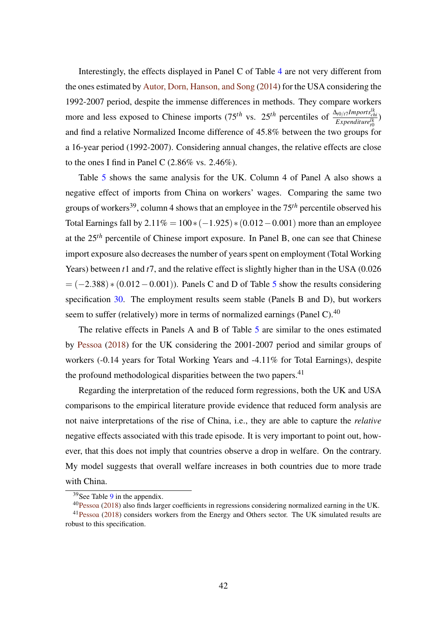Interestingly, the effects displayed in Panel C of Table [4](#page-40-0) are not very different from the ones estimated by [Autor, Dorn, Hanson, and Song](#page-44-2) [\(2014\)](#page-44-2) for the USA considering the 1992-2007 period, despite the immense differences in methods. They compare workers more and less exposed to Chinese imports (75<sup>th</sup> vs. 25<sup>th</sup> percentiles of  $\frac{\Delta_{t0/t}Imports_{ch}^{lk}}{Expenditure_{t0}^{lk}}$ ) and find a relative Normalized Income difference of 45.8% between the two groups for a 16-year period (1992-2007). Considering annual changes, the relative effects are close to the ones I find in Panel C  $(2.86\% \text{ vs. } 2.46\%).$ 

Table [5](#page-42-0) shows the same analysis for the UK. Column 4 of Panel A also shows a negative effect of imports from China on workers' wages. Comparing the same two groups of workers39, column 4 shows that an employee in the 75*th* percentile observed his Total Earnings fall by  $2.11\% = 100*(-1.925)*(0.012-0.001)$  more than an employee at the 25*th* percentile of Chinese import exposure. In Panel B, one can see that Chinese import exposure also decreases the number of years spent on employment (Total Working Years) between *t*1 and *t*7, and the relative effect is slightly higher than in the USA (0.026  $= (-2.388) * (0.012 - 0.001)$ . Panels C and D of Table [5](#page-42-0) show the results considering specification [30.](#page-39-0) The employment results seem stable (Panels B and D), but workers seem to suffer (relatively) more in terms of normalized earnings (Panel C).<sup>40</sup>

The relative effects in Panels A and B of Table [5](#page-42-0) are similar to the ones estimated by [Pessoa](#page-46-1) [\(2018\)](#page-46-1) for the UK considering the 2001-2007 period and similar groups of workers (-0.14 years for Total Working Years and -4.11% for Total Earnings), despite the profound methodological disparities between the two papers. $41$ 

Regarding the interpretation of the reduced form regressions, both the UK and USA comparisons to the empirical literature provide evidence that reduced form analysis are not naive interpretations of the rise of China, i.e., they are able to capture the *relative* negative effects associated with this trade episode. It is very important to point out, however, that this does not imply that countries observe a drop in welfare. On the contrary. My model suggests that overall welfare increases in both countries due to more trade with China.

<sup>39</sup>See Table [9](#page-54-3) in the appendix.

<sup>40</sup>[Pessoa](#page-46-1) [\(2018\)](#page-46-1) also finds larger coefficients in regressions considering normalized earning in the UK.

<sup>41</sup>[Pessoa](#page-46-1) [\(2018\)](#page-46-1) considers workers from the Energy and Others sector. The UK simulated results are robust to this specification.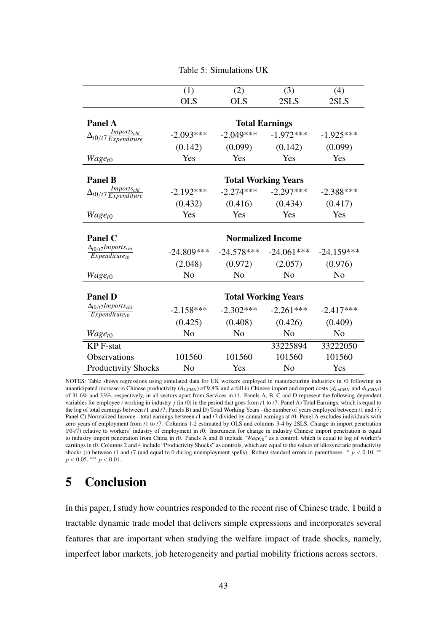<span id="page-42-0"></span>

|                                                                | (1)                      | (2)            | (3)                        | (4)            |  |  |
|----------------------------------------------------------------|--------------------------|----------------|----------------------------|----------------|--|--|
|                                                                | <b>OLS</b>               | <b>OLS</b>     | 2SLS                       | 2SLS           |  |  |
|                                                                |                          |                |                            |                |  |  |
| Panel A                                                        |                          |                | <b>Total Earnings</b>      |                |  |  |
| $\Delta_{t0/t7} \frac{Imports_{chi}}{Expenditure}$             | $-2.093***$              | $-2.049***$    | $-1.972***$                | $-1.925***$    |  |  |
|                                                                | (0.142)                  | (0.099)        | (0.142)                    | (0.099)        |  |  |
| $Wage_{t0}$                                                    | Yes                      | Yes            | Yes                        | Yes            |  |  |
| <b>Panel B</b>                                                 |                          |                |                            |                |  |  |
|                                                                |                          |                | <b>Total Working Years</b> |                |  |  |
| $Imports_{chi}$<br>$\Delta_{t0/t7} \frac{1}{Expendature}$      | $-2.192***$              | $-2.274***$    | $-2.297***$                | $-2.388***$    |  |  |
|                                                                | (0.432)                  | (0.416)        | (0.434)                    | (0.417)        |  |  |
| $Wage_{t0}$                                                    | Yes                      | Yes            | Yes                        | Yes            |  |  |
|                                                                |                          |                |                            |                |  |  |
|                                                                | <b>Normalized Income</b> |                |                            |                |  |  |
| <b>Panel C</b>                                                 |                          |                |                            |                |  |  |
| $\Delta_{t0/t}$ 7 Imports <sub>chi</sub>                       | $-24.809***$             | $-24.578***$   | $-24.061***$               | $-24.159***$   |  |  |
| $Expenditure_{t0}$                                             | (2.048)                  | (0.972)        | (2.057)                    | (0.976)        |  |  |
| $Wage_{t0}$                                                    | N <sub>0</sub>           | N <sub>0</sub> | N <sub>0</sub>             | N <sub>0</sub> |  |  |
|                                                                |                          |                |                            |                |  |  |
| <b>Panel D</b>                                                 |                          |                | <b>Total Working Years</b> |                |  |  |
| $\Delta_{t0/t}$ 7 Imports <sub>chi</sub><br>$Expenditure_{t0}$ | $-2.158***$              | $-2.302***$    | $-2.261***$                | $-2.417***$    |  |  |
|                                                                | (0.425)                  | (0.408)        | (0.426)                    | (0.409)        |  |  |
| $Wage_{t0}$                                                    | N <sub>0</sub>           | N <sub>o</sub> | N <sub>o</sub>             | N <sub>o</sub> |  |  |
| <b>KP</b> F-stat                                               |                          |                | 33225894                   | 33222050       |  |  |
| Observations                                                   | 101560                   | 101560         | 101560                     | 101560         |  |  |

#### Table 5: Simulations UK

NOTES: Table shows regressions using simulated data for UK workers employed in manufacturing industries in *t*0 following an unanticipated increase in Chinese productivity ( $A_{k,CHN}$ ) of 9.8% and a fall in Chinese import and export costs ( $d_{k,CHN}$ ) and  $d_{k,CHN}$ ) of 31.6% and 33%, respectively, in all sectors apart from Services in *t*1. Panels A, B, C and D represent the following dependent variables for employee *i* working in industry  $j$  (in  $t$ 0) in the period that goes from  $t$ 1 to  $t$ 7: Panel A) Total Earnings, which is equal to the log of total earnings between *t*1 and *t*7; Panels B) and D) Total Working Years - the number of years employed between *t*1 and *t*7; Panel C) Normalized Income - total earnings between *t*1 and *t*7 divided by annual earnings at *t*0. Panel A excludes individuals with zero years of employment from *t*1 to *t*7. Columns 1-2 estimated by OLS and columns 3-4 by 2SLS. Change in import penetration (*t*0-*t*7) relative to workers' industry of employment in *t*0. Instrument for change in industry Chinese import penetration is equal to industry import penetration from China in *t*0. Panels A and B include "*Waget*0" as a control, which is equal to log of worker's earnings in *t*0. Columns 2 and 4 include "Productivity Shocks" as controls, which are equal to the values of idiosyncratic productivity shocks (*x*) between *t*1 and *t*7 (and equal to 0 during unemployment spells). Robust standard errors in parentheses.  $* p < 0.10$ , *p* < 0.05, \*\*\* *p* < 0.01.

# 5 Conclusion

In this paper, I study how countries responded to the recent rise of Chinese trade. I build a tractable dynamic trade model that delivers simple expressions and incorporates several features that are important when studying the welfare impact of trade shocks, namely, imperfect labor markets, job heterogeneity and partial mobility frictions across sectors.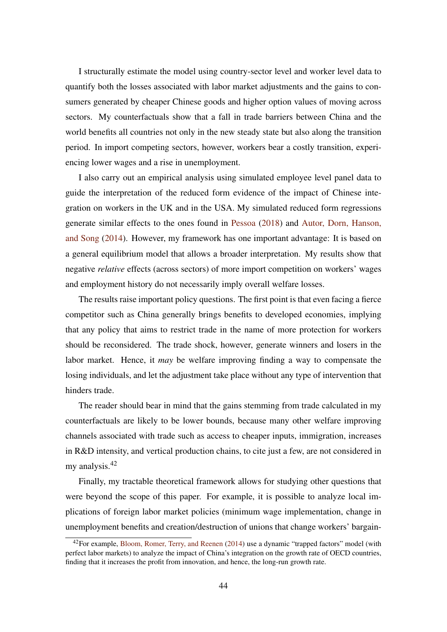I structurally estimate the model using country-sector level and worker level data to quantify both the losses associated with labor market adjustments and the gains to consumers generated by cheaper Chinese goods and higher option values of moving across sectors. My counterfactuals show that a fall in trade barriers between China and the world benefits all countries not only in the new steady state but also along the transition period. In import competing sectors, however, workers bear a costly transition, experiencing lower wages and a rise in unemployment.

I also carry out an empirical analysis using simulated employee level panel data to guide the interpretation of the reduced form evidence of the impact of Chinese integration on workers in the UK and in the USA. My simulated reduced form regressions generate similar effects to the ones found in [Pessoa](#page-46-1) [\(2018\)](#page-46-1) and [Autor, Dorn, Hanson,](#page-44-2) [and Song](#page-44-2) [\(2014\)](#page-44-2). However, my framework has one important advantage: It is based on a general equilibrium model that allows a broader interpretation. My results show that negative *relative* effects (across sectors) of more import competition on workers' wages and employment history do not necessarily imply overall welfare losses.

The results raise important policy questions. The first point is that even facing a fierce competitor such as China generally brings benefits to developed economies, implying that any policy that aims to restrict trade in the name of more protection for workers should be reconsidered. The trade shock, however, generate winners and losers in the labor market. Hence, it *may* be welfare improving finding a way to compensate the losing individuals, and let the adjustment take place without any type of intervention that hinders trade.

The reader should bear in mind that the gains stemming from trade calculated in my counterfactuals are likely to be lower bounds, because many other welfare improving channels associated with trade such as access to cheaper inputs, immigration, increases in R&D intensity, and vertical production chains, to cite just a few, are not considered in my analysis.<sup>42</sup>

Finally, my tractable theoretical framework allows for studying other questions that were beyond the scope of this paper. For example, it is possible to analyze local implications of foreign labor market policies (minimum wage implementation, change in unemployment benefits and creation/destruction of unions that change workers' bargain-

 $42$ For example, [Bloom, Romer, Terry, and Reenen](#page-44-15) [\(2014\)](#page-44-15) use a dynamic "trapped factors" model (with perfect labor markets) to analyze the impact of China's integration on the growth rate of OECD countries, finding that it increases the profit from innovation, and hence, the long-run growth rate.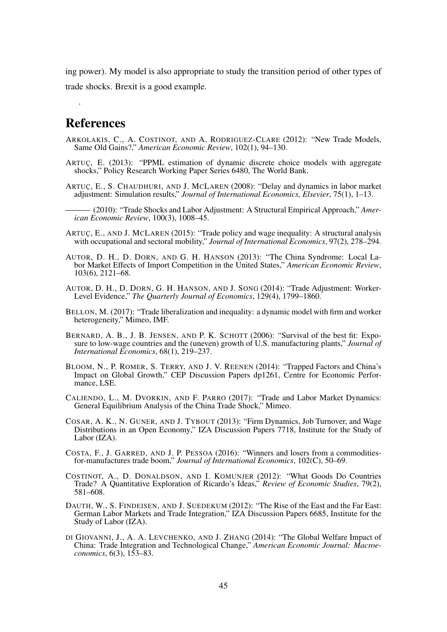ing power). My model is also appropriate to study the transition period of other types of trade shocks. Brexit is a good example.

# References

.

- <span id="page-44-7"></span>ARKOLAKIS, C., A. COSTINOT, AND A. RODRIGUEZ-CLARE (2012): "New Trade Models, Same Old Gains?," *American Economic Review*, 102(1), 94–130.
- <span id="page-44-13"></span>ARTUÇ, E. (2013): "PPML estimation of dynamic discrete choice models with aggregate shocks," Policy Research Working Paper Series 6480, The World Bank.
- <span id="page-44-14"></span>ARTUÇ, E., S. CHAUDHURI, AND J. MCLAREN (2008): "Delay and dynamics in labor market adjustment: Simulation results," *Journal of International Economics, Elsevier*, 75(1), 1–13.
	- (2010): "Trade Shocks and Labor Adjustment: A Structural Empirical Approach," *American Economic Review*, 100(3), 1008–45.
- <span id="page-44-4"></span><span id="page-44-1"></span>ARTUÇ, E., AND J. MCLAREN (2015): "Trade policy and wage inequality: A structural analysis with occupational and sectoral mobility," *Journal of International Economics*, 97(2), 278–294.
- <span id="page-44-11"></span>AUTOR, D. H., D. DORN, AND G. H. HANSON (2013): "The China Syndrome: Local Labor Market Effects of Import Competition in the United States," *American Economic Review*, 103(6), 2121–68.
- <span id="page-44-2"></span>AUTOR, D. H., D. DORN, G. H. HANSON, AND J. SONG (2014): "Trade Adjustment: Worker-Level Evidence," *The Quarterly Journal of Economics*, 129(4), 1799–1860.
- <span id="page-44-3"></span>BELLON, M. (2017): "Trade liberalization and inequality: a dynamic model with firm and worker heterogeneity," Mimeo, IMF.
- <span id="page-44-9"></span>BERNARD, A. B., J. B. JENSEN, AND P. K. SCHOTT (2006): "Survival of the best fit: Exposure to low-wage countries and the (uneven) growth of U.S. manufacturing plants," *Journal of International Economics*, 68(1), 219–237.
- <span id="page-44-15"></span>BLOOM, N., P. ROMER, S. TERRY, AND J. V. REENEN (2014): "Trapped Factors and China's Impact on Global Growth," CEP Discussion Papers dp1261, Centre for Economic Performance, LSE.
- <span id="page-44-5"></span>CALIENDO, L., M. DVORKIN, AND F. PARRO (2017): "Trade and Labor Market Dynamics: General Equilibrium Analysis of the China Trade Shock," Mimeo.
- <span id="page-44-8"></span>COSAR, A. K., N. GUNER, AND J. TYBOUT (2013): "Firm Dynamics, Job Turnover, and Wage Distributions in an Open Economy," IZA Discussion Papers 7718, Institute for the Study of Labor (IZA).
- <span id="page-44-12"></span>COSTA, F., J. GARRED, AND J. P. PESSOA (2016): "Winners and losers from a commoditiesfor-manufactures trade boom," *Journal of International Economics*, 102(C), 50–69.
- <span id="page-44-0"></span>COSTINOT, A., D. DONALDSON, AND I. KOMUNJER (2012): "What Goods Do Countries Trade? A Quantitative Exploration of Ricardo's Ideas," *Review of Economic Studies*, 79(2), 581–608.
- <span id="page-44-10"></span>DAUTH, W., S. FINDEISEN, AND J. SUEDEKUM (2012): "The Rise of the East and the Far East: German Labor Markets and Trade Integration," IZA Discussion Papers 6685, Institute for the Study of Labor (IZA).
- <span id="page-44-6"></span>DI GIOVANNI, J., A. A. LEVCHENKO, AND J. ZHANG (2014): "The Global Welfare Impact of China: Trade Integration and Technological Change," *American Economic Journal: Macroeconomics*, 6(3), 153–83.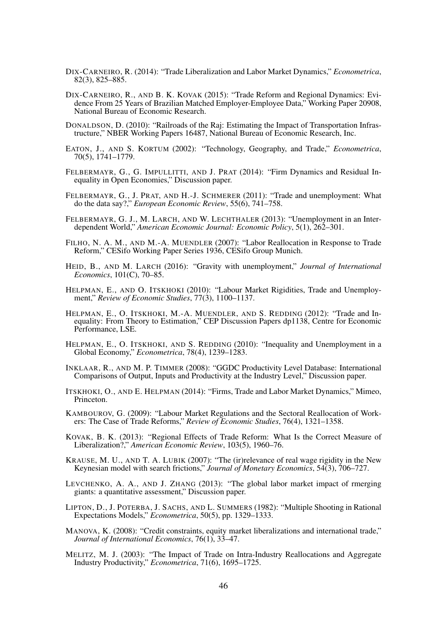- <span id="page-45-4"></span>DIX-CARNEIRO, R. (2014): "Trade Liberalization and Labor Market Dynamics," *Econometrica*, 82(3), 825–885.
- <span id="page-45-1"></span>DIX-CARNEIRO, R., AND B. K. KOVAK (2015): "Trade Reform and Regional Dynamics: Evidence From 25 Years of Brazilian Matched Employer-Employee Data," Working Paper 20908, National Bureau of Economic Research.
- DONALDSON, D. (2010): "Railroads of the Raj: Estimating the Impact of Transportation Infrastructure," NBER Working Papers 16487, National Bureau of Economic Research, Inc.
- <span id="page-45-0"></span>EATON, J., AND S. KORTUM (2002): "Technology, Geography, and Trade," *Econometrica*, 70(5), 1741–1779.
- <span id="page-45-8"></span>FELBERMAYR, G., G. IMPULLITTI, AND J. PRAT (2014): "Firm Dynamics and Residual Inequality in Open Economies," Discussion paper.
- FELBERMAYR, G., J. PRAT, AND H.-J. SCHMERER (2011): "Trade and unemployment: What do the data say?," *European Economic Review*, 55(6), 741–758.
- <span id="page-45-7"></span>FELBERMAYR, G. J., M. LARCH, AND W. LECHTHALER (2013): "Unemployment in an Interdependent World," *American Economic Journal: Economic Policy*, 5(1), 262–301.
- <span id="page-45-10"></span>FILHO, N. A. M., AND M.-A. MUENDLER (2007): "Labor Reallocation in Response to Trade Reform," CESifo Working Paper Series 1936, CESifo Group Munich.
- <span id="page-45-3"></span>HEID, B., AND M. LARCH (2016): "Gravity with unemployment," *Journal of International Economics*, 101(C), 70–85.
- <span id="page-45-15"></span>HELPMAN, E., AND O. ITSKHOKI (2010): "Labour Market Rigidities, Trade and Unemployment," *Review of Economic Studies*, 77(3), 1100–1137.
- <span id="page-45-5"></span>HELPMAN, E., O. ITSKHOKI, M.-A. MUENDLER, AND S. REDDING (2012): "Trade and Inequality: From Theory to Estimation," CEP Discussion Papers dp1138, Centre for Economic Performance, LSE.
- <span id="page-45-14"></span>HELPMAN, E., O. ITSKHOKI, AND S. REDDING (2010): "Inequality and Unemployment in a Global Economy," *Econometrica*, 78(4), 1239–1283.
- <span id="page-45-16"></span>INKLAAR, R., AND M. P. TIMMER (2008): "GGDC Productivity Level Database: International Comparisons of Output, Inputs and Productivity at the Industry Level," Discussion paper.
- <span id="page-45-18"></span>ITSKHOKI, O., AND E. HELPMAN (2014): "Firms, Trade and Labor Market Dynamics," Mimeo, Princeton.
- <span id="page-45-6"></span>KAMBOUROV, G. (2009): "Labour Market Regulations and the Sectoral Reallocation of Workers: The Case of Trade Reforms," *Review of Economic Studies*, 76(4), 1321–1358.
- <span id="page-45-11"></span>KOVAK, B. K. (2013): "Regional Effects of Trade Reform: What Is the Correct Measure of Liberalization?," *American Economic Review*, 103(5), 1960–76.
- <span id="page-45-13"></span>KRAUSE, M. U., AND T. A. LUBIK (2007): "The (ir)relevance of real wage rigidity in the New Keynesian model with search frictions," *Journal of Monetary Economics*, 54(3), 706–727.
- <span id="page-45-2"></span>LEVCHENKO, A. A., AND J. ZHANG (2013): "The global labor market impact of rmerging giants: a quantitative assessment," Discussion paper.
- <span id="page-45-17"></span>LIPTON, D., J. POTERBA, J. SACHS, AND L. SUMMERS (1982): "Multiple Shooting in Rational Expectations Models," *Econometrica*, 50(5), pp. 1329–1333.
- <span id="page-45-12"></span>MANOVA, K. (2008): "Credit constraints, equity market liberalizations and international trade," *Journal of International Economics*, 76(1), 33–47.
- <span id="page-45-9"></span>MELITZ, M. J. (2003): "The Impact of Trade on Intra-Industry Reallocations and Aggregate Industry Productivity," *Econometrica*, 71(6), 1695–1725.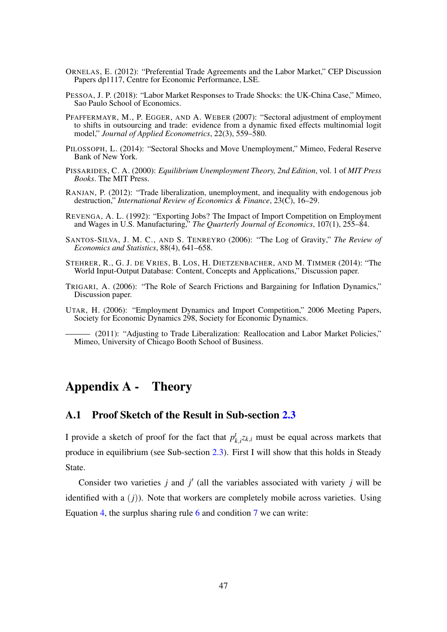- ORNELAS, E. (2012): "Preferential Trade Agreements and the Labor Market," CEP Discussion Papers dp1117, Centre for Economic Performance, LSE.
- <span id="page-46-1"></span>PESSOA, J. P. (2018): "Labor Market Responses to Trade Shocks: the UK-China Case," Mimeo, Sao Paulo School of Economics.
- <span id="page-46-4"></span>PFAFFERMAYR, M., P. EGGER, AND A. WEBER (2007): "Sectoral adjustment of employment to shifts in outsourcing and trade: evidence from a dynamic fixed effects multinomial logit model," *Journal of Applied Econometrics*, 22(3), 559–580.
- PILOSSOPH, L. (2014): "Sectoral Shocks and Move Unemployment," Mimeo, Federal Reserve Bank of New York.
- <span id="page-46-0"></span>PISSARIDES, C. A. (2000): *Equilibrium Unemployment Theory, 2nd Edition*, vol. 1 of *MIT Press Books*. The MIT Press.
- <span id="page-46-10"></span>RANJAN, P. (2012): "Trade liberalization, unemployment, and inequality with endogenous job destruction," *International Review of Economics & Finance*, 23(C), 16–29.
- <span id="page-46-5"></span>REVENGA, A. L. (1992): "Exporting Jobs? The Impact of Import Competition on Employment and Wages in U.S. Manufacturing," *The Quarterly Journal of Economics*, 107(1), 255–84.
- <span id="page-46-9"></span>SANTOS-SILVA, J. M. C., AND S. TENREYRO (2006): "The Log of Gravity," *The Review of Economics and Statistics*, 88(4), 641–658.
- <span id="page-46-8"></span>STEHRER, R., G. J. DE VRIES, B. LOS, H. DIETZENBACHER, AND M. TIMMER (2014): "The World Input-Output Database: Content, Concepts and Applications," Discussion paper.
- <span id="page-46-7"></span>TRIGARI, A. (2006): "The Role of Search Frictions and Bargaining for Inflation Dynamics," Discussion paper.
- <span id="page-46-3"></span>UTAR, H. (2006): "Employment Dynamics and Import Competition," 2006 Meeting Papers, Society for Economic Dynamics 298, Society for Economic Dynamics.

<span id="page-46-2"></span>(2011): "Adjusting to Trade Liberalization: Reallocation and Labor Market Policies," Mimeo, University of Chicago Booth School of Business.

# Appendix A - Theory

# <span id="page-46-6"></span>A.1 Proof Sketch of the Result in Sub-section [2.3](#page-11-4)

I provide a sketch of proof for the fact that  $p_i^t$  $k_{k,i}$  *z* $k_{i,i}$  must be equal across markets that produce in equilibrium (see Sub-section [2.3\)](#page-11-4). First I will show that this holds in Steady State.

Consider two varieties  $j$  and  $j'$  (all the variables associated with variety  $j$  will be identified with a  $(j)$ ). Note that workers are completely mobile across varieties. Using Equation [4,](#page-9-0) the surplus sharing rule [6](#page-11-3) and condition [7](#page-11-1) we can write: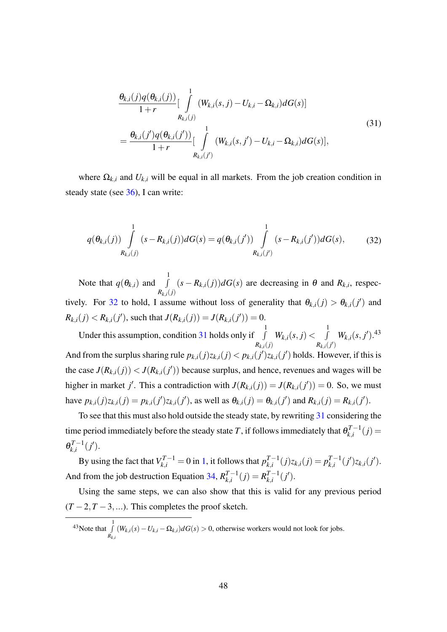<span id="page-47-1"></span>
$$
\frac{\theta_{k,i}(j)q(\theta_{k,i}(j))}{1+r} \Big[\int_{R_{k,i}(j)}^{1} (W_{k,i}(s,j) - U_{k,i} - \Omega_{k,i}) dG(s)\Big]
$$
\n
$$
= \frac{\theta_{k,i}(j')q(\theta_{k,i}(j'))}{1+r} \Big[\int_{R_{k,i}(j')}^{1} (W_{k,i}(s,j') - U_{k,i} - \Omega_{k,i}) dG(s)\Big],
$$
\n(31)

where  $\Omega_{k,i}$  and  $U_{k,i}$  will be equal in all markets. From the job creation condition in steady state (see [36\)](#page-49-1), I can write:

<span id="page-47-0"></span>
$$
q(\theta_{k,i}(j)) \int\limits_{R_{k,i}(j)}^{1} (s - R_{k,i}(j)) dG(s) = q(\theta_{k,i}(j')) \int\limits_{R_{k,i}(j')}^{1} (s - R_{k,i}(j')) dG(s), \tag{32}
$$

Note that  $q(\theta_{k,i})$  and  $\int$ 1  $R_{k,i}(j)$  $(s - R_{k,i}(j))dG(s)$  are decreasing in  $\theta$  and  $R_{k,i}$ , respec-tively. For [32](#page-47-0) to hold, I assume without loss of generality that  $\theta_{k,i}(j) > \theta_{k,i}(j')$  and  $R_{k,i}(j) < R_{k,i}(j')$ , such that  $J(R_{k,i}(j)) = J(R_{k,i}(j')) = 0$ .

Under this assumption, condition  $31$  holds only if  $\Box$ 1  $R_{k,i}(j)$  $W_{k,i}(s,j) < \int$ 1  $R_{k,i}(j')$  $W_{k,i}(s, j').$ <sup>43</sup> And from the surplus sharing rule  $p_{k,i}(j)z_{k,i}(j) < p_{k,i}(j')z_{k,i}(j')$  holds. However, if this is the case  $J(R_{k,i}(j)) < J(R_{k,i}(j'))$  because surplus, and hence, revenues and wages will be higher in market *j'*. This a contradiction with  $J(R_{k,i}(j)) = J(R_{k,i}(j')) = 0$ . So, we must have  $p_{k,i}(j)z_{k,i}(j) = p_{k,i}(j')z_{k,i}(j')$ , as well as  $\theta_{k,i}(j) = \theta_{k,i}(j')$  and  $R_{k,i}(j) = R_{k,i}(j')$ .

To see that this must also hold outside the steady state, by rewriting [31](#page-47-1) considering the time period immediately before the steady state *T* , if follows immediately that  $\theta_{k,i}^{T-1}$  $d_{k,i}^{I-1}(j) =$  $\theta_{k,i}^{T-1}$  $\eta^{T-1}_{k,i}(j').$ 

By using the fact that  $V_{k,i}^{T-1} = 0$  in [1,](#page-7-0) it follows that  $p_{k,i}^{T-1}$  $E_{k,i}^{T-1}(j)z_{k,i}(j) = p_{k,i}^{T-1}$  $_{k,i}^{T-1}(j')z_{k,i}(j').$ And from the job destruction Equation [34,](#page-48-2)  $R_{i}^{T-1}$  $_{k,i}^{T-1}(j) = R_{k,i}^{T-1}$  $_{k,i}^{T-1}(j').$ 

Using the same steps, we can also show that this is valid for any previous period  $(T-2, T-3,...)$ . This completes the proof sketch.

<sup>&</sup>lt;sup>43</sup>Note that  $\int_0^1$ *Rk*,*<sup>i</sup>*  $(W_{k,i}(s) - U_{k,i} - \Omega_{k,i})dG(s) > 0$ , otherwise workers would not look for jobs.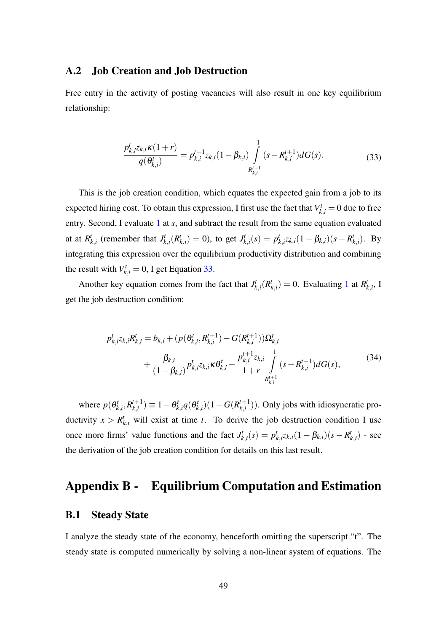# <span id="page-48-0"></span>A.2 Job Creation and Job Destruction

Free entry in the activity of posting vacancies will also result in one key equilibrium relationship:

<span id="page-48-1"></span>
$$
\frac{p_{k,i}^t z_{k,i} \kappa(1+r)}{q(\theta_{k,i}^t)} = p_{k,i}^{t+1} z_{k,i} (1 - \beta_{k,i}) \int\limits_{R_{k,i}^{t+1}}^1 (s - R_{k,i}^{t+1}) dG(s).
$$
 (33)

This is the job creation condition, which equates the expected gain from a job to its expected hiring cost. To obtain this expression, I first use the fact that  $V_{k,i}^t = 0$  due to free entry. Second, I evaluate [1](#page-7-0) at *s*, and subtract the result from the same equation evaluated at at  $R_l^t$  $_{k,i}$  (remember that  $J_k^t$  $\binom{t}{k,i}$   $(R^t)$  $\binom{t}{k,i} = 0$ , to get  $J_k^t$  $p_{k,i}^t(s) = p_i^t$  $\int_{k,i}^{t} Z_{k,i} (1 - \beta_{k,i}) (s - R_{k,i}^{t})$  $_{k,i}^t$ ). By integrating this expression over the equilibrium productivity distribution and combining the result with  $V_{k,i}^t = 0$ , I get Equation [33.](#page-48-1)

Another key equation comes from the fact that  $J_k^t$  $\frac{d}{k}$ ,*i* $(R_i^t)$  $\binom{t}{k,i} = 0$ . Evaluating [1](#page-7-0) at  $R^t$  $_{k,i}^t$ , I get the job destruction condition:

<span id="page-48-2"></span>
$$
p_{k,i}^{t}z_{k,i}R_{k,i}^{t} = b_{k,i} + (p(\theta_{k,i}^{t}, R_{k,i}^{t+1}) - G(R_{k,i}^{t+1}))\Omega_{k,i}^{t} + \frac{\beta_{k,i}}{(1-\beta_{k,i})}p_{k,i}^{t}z_{k,i}R\theta_{k,i}^{t} - \frac{p_{k,i}^{t+1}z_{k,i}}{1+r}\int\limits_{R_{k,i}^{t+1}}^{1}(s-R_{k,i}^{t+1})dG(s),
$$
(34)

where  $p(\theta_k^t)$  $\mathcal{R}^{t}_{k,i}, \mathcal{R}^{t+1}_{k,i}$  $\theta^{t+1}_{k,i}) \equiv 1 - \theta^t_k$  $\theta_{k,i}^t q(\theta_k^t)$  $g_{k,i}^t$ )(1−*G*( $R_{k,i}^{t+1}$  $\binom{n+1}{k,i}$ ). Only jobs with idiosyncratic productivity  $x > R_{k,i}^t$  will exist at time *t*. To derive the job destruction condition I use once more firms' value functions and the fact  $J_k^t$  $p_{k,i}^t(s) = p_i^t$  $\int_{k,i}^{t} z_{k,i} (1 - \beta_{k,i}) (s - R_{k,i}^{t})$  ${k \choose k,i}$  - see the derivation of the job creation condition for details on this last result.

# Appendix B - Equilibrium Computation and Estimation

### <span id="page-48-3"></span>B.1 Steady State

I analyze the steady state of the economy, henceforth omitting the superscript "t". The steady state is computed numerically by solving a non-linear system of equations. The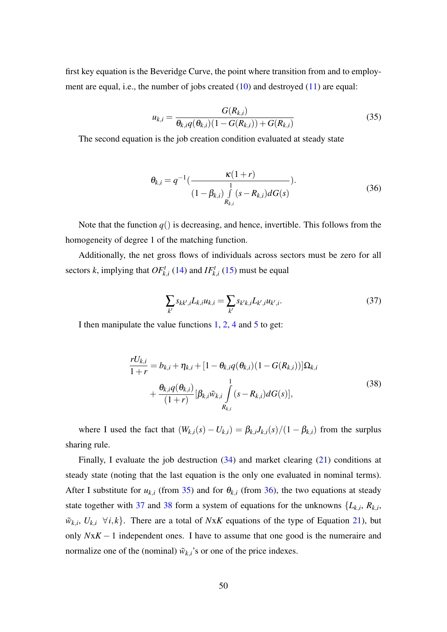first key equation is the Beveridge Curve, the point where transition from and to employment are equal, i.e., the number of jobs created [\(10\)](#page-12-1) and destroyed [\(11\)](#page-13-2) are equal:

<span id="page-49-2"></span>
$$
u_{k,i} = \frac{G(R_{k,i})}{\theta_{k,i}q(\theta_{k,i})(1 - G(R_{k,i})) + G(R_{k,i})}
$$
(35)

The second equation is the job creation condition evaluated at steady state

<span id="page-49-1"></span>
$$
\theta_{k,i} = q^{-1} \left( \frac{\kappa (1+r)}{1 - \beta_{k,i} \int\limits_{R_{k,i}} \int\limits_{S} (s - R_{k,i}) dG(s)} \right). \tag{36}
$$

Note that the function  $q()$  is decreasing, and hence, invertible. This follows from the homogeneity of degree 1 of the matching function.

Additionally, the net gross flows of individuals across sectors must be zero for all sectors *k*, implying that  $OF_{k,i}^t$  [\(14\)](#page-13-3) and  $IF_{k,i}^t$  [\(15\)](#page-13-4) must be equal

<span id="page-49-3"></span><span id="page-49-0"></span>
$$
\sum_{k'} s_{kk',i} L_{k,i} u_{k,i} = \sum_{k'} s_{k'k,i} L_{k',i} u_{k',i}.
$$
 (37)

I then manipulate the value functions [1,](#page-7-0) [2,](#page-8-0) [4](#page-9-0) and [5](#page-10-0) to get:

$$
\frac{rU_{k,i}}{1+r} = b_{k,i} + \eta_{k,i} + [1 - \theta_{k,i}q(\theta_{k,i})(1 - G(R_{k,i}))]\Omega_{k,i} + \frac{\theta_{k,i}q(\theta_{k,i})}{(1+r)}[\beta_{k,i}\tilde{w}_{k,i}\int_{R_{k,i}}^{1}(s - R_{k,i})dG(s)],
$$
\n(38)

where I used the fact that  $(W_{k,i}(s) - U_{k,i}) = \beta_{k,i} J_{k,i}(s) / (1 - \beta_{k,i})$  from the surplus sharing rule.

Finally, I evaluate the job destruction  $(34)$  and market clearing  $(21)$  conditions at steady state (noting that the last equation is the only one evaluated in nominal terms). After I substitute for  $u_{k,i}$  (from [35\)](#page-49-2) and for  $\theta_{k,i}$  (from [36\)](#page-49-1), the two equations at steady state together with [37](#page-49-3) and [38](#page-49-0) form a system of equations for the unknowns  $\{L_{k,i}, R_{k,i}\}$  $\tilde{w}_{k,i}, U_{k,i} \ \forall i,k$ . There are a total of *NxK* equations of the type of Equation [21\)](#page-16-0), but only *N*x*K* − 1 independent ones. I have to assume that one good is the numeraire and normalize one of the (nominal)  $\tilde{w}_{k,i}$ 's or one of the price indexes.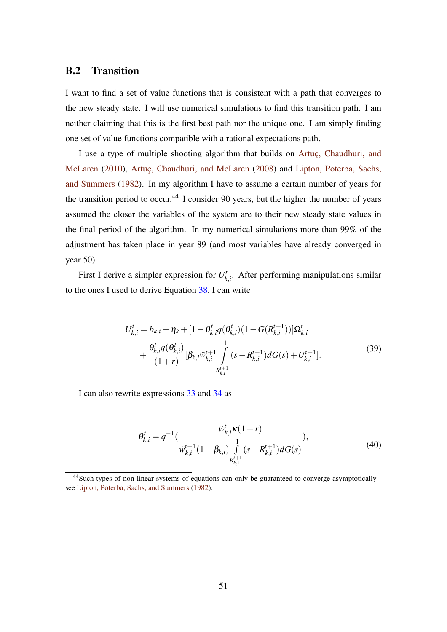### <span id="page-50-0"></span>B.2 Transition

I want to find a set of value functions that is consistent with a path that converges to the new steady state. I will use numerical simulations to find this transition path. I am neither claiming that this is the first best path nor the unique one. I am simply finding one set of value functions compatible with a rational expectations path.

I use a type of multiple shooting algorithm that builds on [Artuç, Chaudhuri, and](#page-44-1) [McLaren](#page-44-1) [\(2010\)](#page-44-1), [Artuç, Chaudhuri, and McLaren](#page-44-14) [\(2008\)](#page-44-14) and [Lipton, Poterba, Sachs,](#page-45-17) [and Summers](#page-45-17) [\(1982\)](#page-45-17). In my algorithm I have to assume a certain number of years for the transition period to occur.<sup>44</sup> I consider 90 years, but the higher the number of years assumed the closer the variables of the system are to their new steady state values in the final period of the algorithm. In my numerical simulations more than 99% of the adjustment has taken place in year 89 (and most variables have already converged in year 50).

First I derive a simpler expression for  $U_k^t$  $x_{k,i}^t$ . After performing manipulations similar to the ones I used to derive Equation [38,](#page-49-0) I can write

<span id="page-50-1"></span>
$$
U_{k,i}^{t} = b_{k,i} + \eta_{k} + [1 - \theta_{k,i}^{t} q(\theta_{k,i}^{t}) (1 - G(R_{k,i}^{t+1}))] \Omega_{k,i}^{t}
$$
  
+ 
$$
\frac{\theta_{k,i}^{t} q(\theta_{k,i}^{t})}{(1+r)} [\beta_{k,i} \tilde{w}_{k,i}^{t+1} \int_{R_{k,i}^{t+1}}^{1} (s - R_{k,i}^{t+1}) dG(s) + U_{k,i}^{t+1}].
$$
  
(39)

I can also rewrite expressions [33](#page-48-1) and [34](#page-48-2) as

<span id="page-50-2"></span>
$$
\theta_{k,i}^{t} = q^{-1} \left( \frac{\tilde{w}_{k,i}^{t} \kappa (1+r)}{\tilde{w}_{k,i}^{t+1} (1-\beta_{k,i}) \int\limits_{R_{k,i}^{t+1}}^{1} (s - R_{k,i}^{t+1}) dG(s)},\right)
$$
(40)

<sup>44</sup>Such types of non-linear systems of equations can only be guaranteed to converge asymptotically see [Lipton, Poterba, Sachs, and Summers](#page-45-17) [\(1982\)](#page-45-17).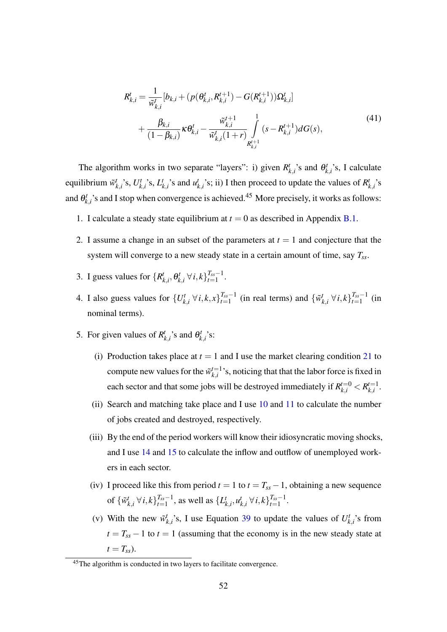<span id="page-51-1"></span>
$$
R_{k,i}^{t} = \frac{1}{\tilde{w}_{k,i}^{t}} [b_{k,i} + (p(\theta_{k,i}^{t}, R_{k,i}^{t+1}) - G(R_{k,i}^{t+1}))\Omega_{k,i}^{t}] + \frac{\beta_{k,i}}{(1 - \beta_{k,i})} \kappa \theta_{k,i}^{t} - \frac{\tilde{w}_{k,i}^{t+1}}{\tilde{w}_{k,i}^{t}(1+r)} \int_{R_{k,i}^{t+1}}^{1} (s - R_{k,i}^{t+1}) dG(s),
$$
\n(41)

The algorithm works in two separate "layers": i) given  $R_i^t$  $\mathcal{L}_{k,i}^{t}$ 's and  $\theta_k^{t}$  $b_{k,i}^t$ 's, I calculate equilibrium ˜*w t*  $\sum_{k,i}^{t}$ 's,  $U_k^t$  $\binom{t}{k,i}$ 's,  $L_l^t$  $u^t_{k,i}$ 's and  $u^t_{k,i}$  $k$ <sup>*t*</sup><sub>*k*</sub>,*i* s; ii) I then proceed to update the values of  $R^t$ *k*,*i* 's and  $\theta_k^t$  $h_{k,i}^t$ 's and I stop when convergence is achieved.<sup>45</sup> More precisely, it works as follows:

- <span id="page-51-3"></span>1. I calculate a steady state equilibrium at  $t = 0$  as described in Appendix [B.1.](#page-48-3)
- 2. I assume a change in an subset of the parameters at  $t = 1$  and conjecture that the system will converge to a new steady state in a certain amount of time, say *Tss*.
- 3. I guess values for  $\{R_i^t\}$  $_{k,i}^t$ ,  $\theta_k^t$ *k*<sub>*i*</sub>, ∀*i*, *k*} $T_{ss}-1$ <sup>*T*<sub>ss</sub>−1</sup>  $\frac{I_{ss}-1}{t=1}$ .
- 4. I also guess values for  $\{U_k^t\}$ *k*<sub>,*i*</sub> ∀*i*, *k*, *x*} $^{T_{ss}-1}_{t=1}$  $T_{ss}-1$  (in real terms) and  $\{\tilde{w}_i^t\}$ *k*<sub>*i*</sub>, ∀*i*, *k*}<sup>*T*<sub>*ss*</sub>−1</sup><br>*t*=1  $\frac{I_{ss}-1}{t=1}$  (in nominal terms).
- <span id="page-51-2"></span><span id="page-51-0"></span>5. For given values of  $R_i^t$  $\mathbf{r}_{k,i}^t$ 's and  $\mathbf{\theta}_k^t$  $_{k,i}^t$ 's:
	- (i) Production takes place at  $t = 1$  and I use the market clearing condition [21](#page-16-0) to compute new values for the  $\tilde{w}_{ki}^{t=1}$  $\sum_{k,i}^{t=1}$ 's, noticing that that the labor force is fixed in each sector and that some jobs will be destroyed immediately if  $R_{k,i}^{t=0} < R_{k,i}^{t=1}$ *k*,*i* .
	- (ii) Search and matching take place and I use [10](#page-12-1) and [11](#page-13-2) to calculate the number of jobs created and destroyed, respectively.
	- (iii) By the end of the period workers will know their idiosyncratic moving shocks, and I use [14](#page-13-3) and [15](#page-13-4) to calculate the inflow and outflow of unemployed workers in each sector.
	- (iv) I proceed like this from period  $t = 1$  to  $t = T_{ss} 1$ , obtaining a new sequence of  $\{\tilde{w}_i^t\}$  $E_{k,i}^t$  ∀  $i, k$ } $T_{s}^{\text{r}_s-1}$  $T_{ss}-1$ , as well as  $\{L^t_\beta\}$  $\boldsymbol{u}_{k,i}^t$ ,  $\boldsymbol{u}_l^t$  $E_{k,i}^{t}$  ∀  $i, k$ } $T_{s s}$ <sup>*T*</sup><sub>*ss*</sub>−1  $\frac{t_{ss}-1}{t=1}$ .
	- (v) With the new  $\tilde{w}_i^t$  $k$ <sup>*t*</sup></sup>, <sup>*i*</sup> s, I use Equation [39](#page-50-1) to update the values of  $U_k^t$  $\binom{t}{k,i}$ 's from  $t = T_{ss} - 1$  to  $t = 1$  (assuming that the economy is in the new steady state at  $t = T_{ss}$ ).

 $\frac{45}{10}$ The algorithm is conducted in two layers to facilitate convergence.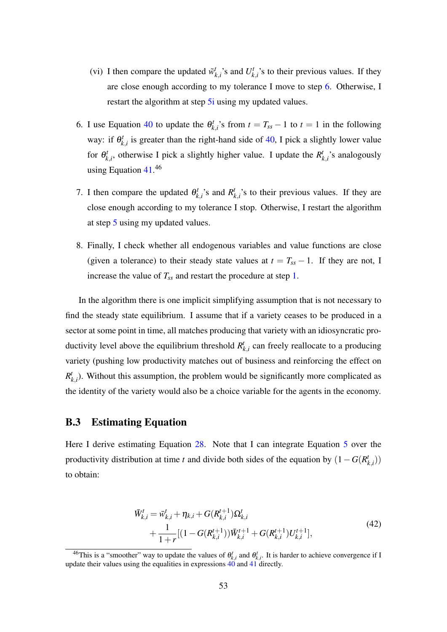- (vi) I then compare the updated  $\tilde{w}_i^t$  $\binom{t}{k,i}$ 's and  $U_k^t$  $'_{k,i}$ 's to their previous values. If they are close enough according to my tolerance I move to step [6.](#page-52-1) Otherwise, I restart the algorithm at step 5*i* using my updated values.
- <span id="page-52-1"></span>6. I use Equation [40](#page-50-2) to update the  $\theta_k^t$  $T_{k,i}^t$ 's from  $t = T_{ss} - 1$  to  $t = 1$  in the following way: if  $\theta_k^t$  $k_{k,i}^{t}$  is greater than the right-hand side of [40,](#page-50-2) I pick a slightly lower value for  $\theta_k^t$  $k_{k,i}$ , otherwise I pick a slightly higher value. I update the  $R_j^t$  $k_{k,i}^t$ 's analogously using Equation [41.](#page-51-1) 46
- 7. I then compare the updated  $\theta_k^t$  $R^t_{k,i}$ 's and  $R^t_{k,i}$  $k$ <sub>,*i*</sub>'s to their previous values. If they are close enough according to my tolerance I stop. Otherwise, I restart the algorithm at step [5](#page-51-2) using my updated values.
- 8. Finally, I check whether all endogenous variables and value functions are close (given a tolerance) to their steady state values at  $t = T_{ss} - 1$ . If they are not, I increase the value of  $T_{ss}$  and restart the procedure at step [1.](#page-51-3)

In the algorithm there is one implicit simplifying assumption that is not necessary to find the steady state equilibrium. I assume that if a variety ceases to be produced in a sector at some point in time, all matches producing that variety with an idiosyncratic productivity level above the equilibrium threshold  $R_l^t$ *k*,*i* can freely reallocate to a producing variety (pushing low productivity matches out of business and reinforcing the effect on  $R_l^t$  $_{k,i}^{t}$ ). Without this assumption, the problem would be significantly more complicated as the identity of the variety would also be a choice variable for the agents in the economy.

# <span id="page-52-0"></span>B.3 Estimating Equation

Here I derive estimating Equation [28.](#page-26-1) Note that I can integrate Equation [5](#page-10-0) over the productivity distribution at time *t* and divide both sides of the equation by  $(1 - G(R)$ *k*,*i* )) to obtain:

<span id="page-52-2"></span>
$$
\begin{split} \bar{W}_{k,i}^t &= \bar{w}_{k,i}^t + \eta_{k,i} + G(R_{k,i}^{t+1}) \Omega_{k,i}^t \\ &+ \frac{1}{1+r} [(1 - G(R_{k,i}^{t+1})) \bar{W}_{k,i}^{t+1} + G(R_{k,i}^{t+1}) U_{k,i}^{t+1}], \end{split} \tag{42}
$$

<sup>&</sup>lt;sup>46</sup>This is a "smoother" way to update the values of  $\theta_{k,i}^t$  and  $\theta_{k,i}^t$ . It is harder to achieve convergence if I update their values using the equalities in expressions  $\overline{40}$  $\overline{40}$  $\overline{40}$  and  $\overline{41}$  $\overline{41}$  $\overline{41}$  directly.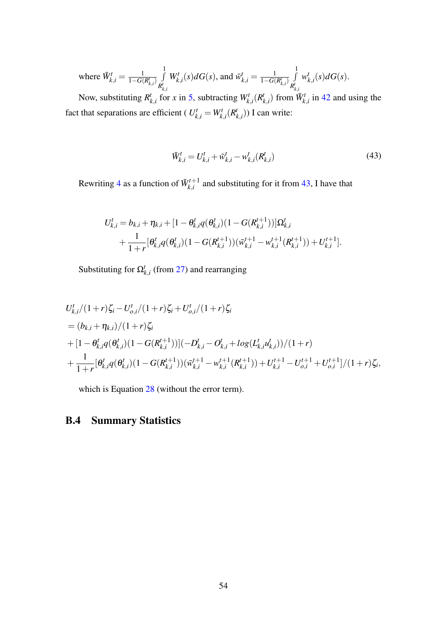where 
$$
\bar{W}_{k,i}^t = \frac{1}{1 - G(R_{k,i}^t)} \int_{R_{k,i}^t}^1 W_{k,i}^t(s) dG(s)
$$
, and  $\bar{w}_{k,i}^t = \frac{1}{1 - G(R_{k,i}^t)} \int_{R_{k,i}^t}^1 w_{k,i}^t(s) dG(s)$ .

Now, substituting *R t*  $\sum_{k,i}^{t}$  for *x* in [5,](#page-10-0) subtracting  $W_{k,i}^{t}(R)$  $W_{k,i}^t$  from  $\bar{W}_{k,i}^t$  in [42](#page-52-2) and using the fact that separations are efficient ( $U_{k,i}^t = W_{k,i}^t(R_i^t)$  $f_{k,i}^{t}$ )) I can write:

<span id="page-53-1"></span>
$$
\bar{W}_{k,i}^t = U_{k,i}^t + \bar{w}_{k,i}^t - w_{k,i}^t(R_{k,i}^t)
$$
\n(43)

Rewriting [4](#page-9-0) as a function of  $\bar{W}_{k,i}^{t+1}$  $\sum_{k,i}^{n+1}$  and substituting for it from [43,](#page-53-1) I have that

$$
U_{k,i}^t = b_{k,i} + \eta_{k,i} + [1 - \theta_{k,i}^t q(\theta_{k,i}^t)(1 - G(R_{k,i}^{t+1}))]\Omega_{k,i}^t
$$
  
+ 
$$
\frac{1}{1+r}[\theta_{k,i}^t q(\theta_{k,i}^t)(1 - G(R_{k,i}^{t+1}))(\overline{w}_{k,i}^{t+1} - w_{k,i}^{t+1}(R_{k,i}^{t+1})) + U_{k,i}^{t+1}].
$$

Substituting for  $\Omega_{k,i}^t$  (from [27\)](#page-25-1) and rearranging

$$
U_{k,i}^{t}/(1+r)\zeta_{i} - U_{o,i}^{t}/(1+r)\zeta_{i} + U_{o,i}^{t}/(1+r)\zeta_{i}
$$
  
=  $(b_{k,i} + \eta_{k,i})/(1+r)\zeta_{i}$   
+  $[1 - \theta_{k,i}^{t}q(\theta_{k,i}^{t})(1 - G(R_{k,i}^{t+1}))](-D_{k,i}^{t} - O_{k,i}^{t} + log(L_{k,i}^{t}u_{k,i}^{t}))/(1+r)$   
+  $\frac{1}{1+r}[\theta_{k,i}^{t}q(\theta_{k,i}^{t})(1 - G(R_{k,i}^{t+1}))(\overline{w}_{k,i}^{t+1} - w_{k,i}^{t+1}(R_{k,i}^{t+1})) + U_{k,i}^{t+1} - U_{o,i}^{t+1} + U_{o,i}^{t+1}]/(1+r)\zeta_{i},$ 

which is Equation [28](#page-26-1) (without the error term).

# <span id="page-53-0"></span>B.4 Summary Statistics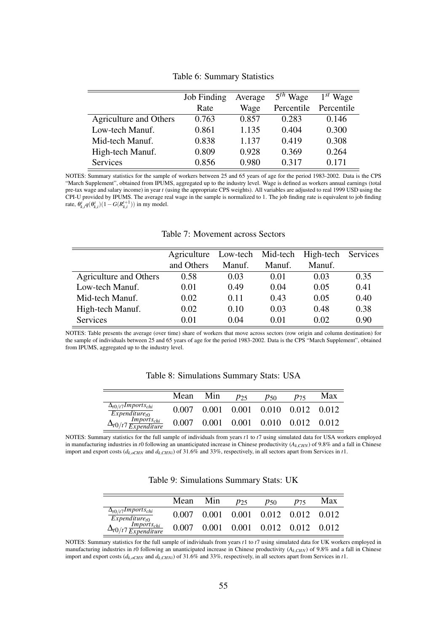<span id="page-54-0"></span>

|                               | Job Finding | Average | $5th$ Wage | $1^{st}$ Wage |
|-------------------------------|-------------|---------|------------|---------------|
|                               | Rate        | Wage    | Percentile | Percentile    |
| <b>Agriculture and Others</b> | 0.763       | 0.857   | 0.283      | 0.146         |
| Low-tech Manuf.               | 0.861       | 1.135   | 0.404      | 0.300         |
| Mid-tech Manuf.               | 0.838       | 1.137   | 0.419      | 0.308         |
| High-tech Manuf.              | 0.809       | 0.928   | 0.369      | 0.264         |
| Services                      | 0.856       | 0.980   | 0.317      | 0.171         |

Table 6: Summary Statistics

NOTES: Summary statistics for the sample of workers between 25 and 65 years of age for the period 1983-2002. Data is the CPS "March Supplement", obtained from IPUMS, aggregated up to the industry level. Wage is defined as workers annual earnings (total pre-tax wage and salary income) in year *t* (using the appropriate CPS weights). All variables are adjusted to real 1999 USD using the CPI-U provided by IPUMS. The average real wage in the sample is normalized to 1. The job finding rate is equivalent to job finding rate,  $\theta_{k,i}^{t} q(\theta_{k,i}^{t}) (1 - G(R_{k,i}^{t+1}))$  in my model.

#### Table 7: Movement across Sectors

<span id="page-54-1"></span>

|                        | Agriculture Low-tech Mid-tech High-tech Services |        |        |        |      |
|------------------------|--------------------------------------------------|--------|--------|--------|------|
|                        | and Others                                       | Manuf. | Manuf. | Manuf. |      |
| Agriculture and Others | 0.58                                             | 0.03   | 0.01   | 0.03   | 0.35 |
| Low-tech Manuf.        | 0.01                                             | 0.49   | 0.04   | 0.05   | 0.41 |
| Mid-tech Manuf.        | 0.02                                             | 0.11   | 0.43   | 0.05   | 0.40 |
| High-tech Manuf.       | 0.02                                             | 0.10   | 0.03   | 0.48   | 0.38 |
| Services               | 0.01                                             | 0.04   | 0.01   | 0.02   | 0.90 |

<span id="page-54-2"></span>NOTES: Table presents the average (over time) share of workers that move across sectors (row origin and column destination) for the sample of individuals between 25 and 65 years of age for the period 1983-2002. Data is the CPS "March Supplement", obtained from IPUMS, aggregated up to the industry level.

|                                                                           | Mean  | Min   | p25   | P50   | P75   | Max   |
|---------------------------------------------------------------------------|-------|-------|-------|-------|-------|-------|
| $\Delta_{t0/t}$ 7 Imports <sub>chi</sub><br>$\overline{Expenditive_{t0}}$ | 0.007 | 0.001 | 0.001 | 0.010 | 0.012 | 0.012 |
| $\Delta_{t0/t7} \frac{Impoints_{chi}}{Expenditure}$                       | 0.007 | 0.001 | 0.001 | 0.010 | 0.012 | 0.012 |

Table 8: Simulations Summary Stats: USA

<span id="page-54-3"></span>NOTES: Summary statistics for the full sample of individuals from years *t*1 to *t*7 using simulated data for USA workers employed in manufacturing industries in *t*0 following an unanticipated increase in Chinese productivity  $(A_k C_H N)$  of 9.8% and a fall in Chinese import and export costs (*dk*,*oCHN* and *dk*,*CHNi*) of 31.6% and 33%, respectively, in all sectors apart from Services in *t*1.

Table 9: Simulations Summary Stats: UK

|                                                                | Mean  | Min   | $p_{25}$ | P50                     | P75 | Max   |
|----------------------------------------------------------------|-------|-------|----------|-------------------------|-----|-------|
| $\Delta_{t0/t}$ 7 Imports <sub>chi</sub><br>$Expenditure_{t0}$ | 0.007 | 0.001 |          | 0.001 0.012 0.012       |     | 0.012 |
| $Imports_{chi}$<br>$\Delta t$ 0/t7 Expenditure                 | 0.007 | 0.001 |          | $0.001$ $0.012$ $0.012$ |     | 0.012 |

NOTES: Summary statistics for the full sample of individuals from years *t*1 to *t*7 using simulated data for UK workers employed in manufacturing industries in *t*0 following an unanticipated increase in Chinese productivity (*Ak*,*CHN*) of 9.8% and a fall in Chinese import and export costs ( $d_{k,oCHN}$  and  $d_{k,CHNi}$ ) of 31.6% and 33%, respectively, in all sectors apart from Services in *t*1.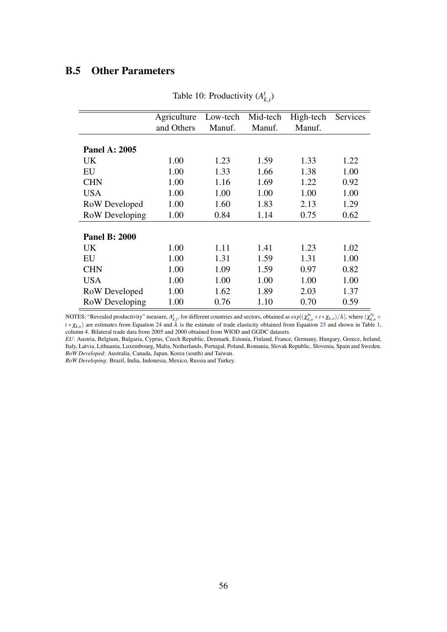# <span id="page-55-0"></span>B.5 Other Parameters

|                       | Agriculture | Low-tech | Mid-tech | High-tech | Services |
|-----------------------|-------------|----------|----------|-----------|----------|
|                       | and Others  | Manuf.   | Manuf.   | Manuf.    |          |
|                       |             |          |          |           |          |
| <b>Panel A: 2005</b>  |             |          |          |           |          |
| UK.                   | 1.00        | 1.23     | 1.59     | 1.33      | 1.22     |
| EU                    | 1.00        | 1.33     | 1.66     | 1.38      | 1.00     |
| <b>CHN</b>            | 1.00        | 1.16     | 1.69     | 1.22      | 0.92     |
| <b>USA</b>            | 1.00        | 1.00     | 1.00     | 1.00      | 1.00     |
| RoW Developed         | 1.00        | 1.60     | 1.83     | 2.13      | 1.29     |
| <b>RoW</b> Developing | 1.00        | 0.84     | 1.14     | 0.75      | 0.62     |
|                       |             |          |          |           |          |
| <b>Panel B: 2000</b>  |             |          |          |           |          |
| UK.                   | 1.00        | 1.11     | 1.41     | 1.23      | 1.02     |
| EU                    | 1.00        | 1.31     | 1.59     | 1.31      | 1.00     |
| <b>CHN</b>            | 1.00        | 1.09     | 1.59     | 0.97      | 0.82     |
| <b>USA</b>            | 1.00        | 1.00     | 1.00     | 1.00      | 1.00     |
| RoW Developed         | 1.00        | 1.62     | 1.89     | 2.03      | 1.37     |
| RoW Developing        | 1.00        | 0.76     | 1.10     | 0.70      | 0.59     |

Table 10: Productivity (*A t k*,*i* )

NOTES: "Revealed productivity" measure,  $A_{k,i}^t$ , for different countries and sectors, obtained as  $exp[(\chi_{k,o}^{t_0}+t*\chi_{k,o})/\lambda]$ , where  $(\chi_{k,o}^{t_0}+t*\chi_{k,o})/2$  $t * \chi_{k,o}$ ) are estimates from Equation [24](#page-24-1) and  $\lambda$  is the estimate of trade elasticity obtained from Equation [23](#page-22-0) and shown in Table [1,](#page-24-0) column 4. Bilateral trade data from 2005 and 2000 obtained from WIOD and GGDC datasets.

*EU*: Austria, Belgium, Bulgaria, Cyprus, Czech Republic, Denmark, Estonia, Finland, France, Germany, Hungary, Greece, Ireland, Italy, Latvia, Lithuania, Luxembourg, Malta, Netherlands, Portugal, Poland, Romania, Slovak Republic, Slovenia, Spain and Sweden. *RoW Developed*: Australia, Canada, Japan, Korea (south) and Taiwan.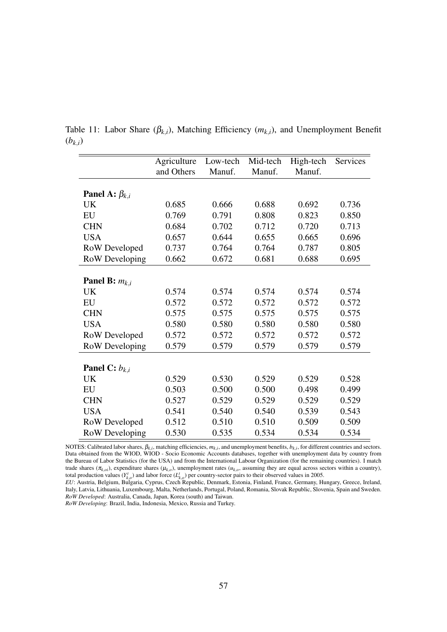|                           | Agriculture | Low-tech | Mid-tech | High-tech | Services |
|---------------------------|-------------|----------|----------|-----------|----------|
|                           | and Others  | Manuf.   | Manuf.   | Manuf.    |          |
|                           |             |          |          |           |          |
| Panel A: $\beta_{k,i}$    |             |          |          |           |          |
| <b>UK</b>                 | 0.685       | 0.666    | 0.688    | 0.692     | 0.736    |
| EU                        | 0.769       | 0.791    | 0.808    | 0.823     | 0.850    |
| <b>CHN</b>                | 0.684       | 0.702    | 0.712    | 0.720     | 0.713    |
| <b>USA</b>                | 0.657       | 0.644    | 0.655    | 0.665     | 0.696    |
| RoW Developed             | 0.737       | 0.764    | 0.764    | 0.787     | 0.805    |
| RoW Developing            | 0.662       | 0.672    | 0.681    | 0.688     | 0.695    |
|                           |             |          |          |           |          |
| <b>Panel B:</b> $m_{k,i}$ |             |          |          |           |          |
| UK                        | 0.574       | 0.574    | 0.574    | 0.574     | 0.574    |
| EU                        | 0.572       | 0.572    | 0.572    | 0.572     | 0.572    |
| <b>CHN</b>                | 0.575       | 0.575    | 0.575    | 0.575     | 0.575    |
| <b>USA</b>                | 0.580       | 0.580    | 0.580    | 0.580     | 0.580    |
| RoW Developed             | 0.572       | 0.572    | 0.572    | 0.572     | 0.572    |
| RoW Developing            | 0.579       | 0.579    | 0.579    | 0.579     | 0.579    |
|                           |             |          |          |           |          |
| Panel C: $b_{k,i}$        |             |          |          |           |          |
| UK                        | 0.529       | 0.530    | 0.529    | 0.529     | 0.528    |
| EU                        | 0.503       | 0.500    | 0.500    | 0.498     | 0.499    |
| <b>CHN</b>                | 0.527       | 0.529    | 0.529    | 0.529     | 0.529    |
| <b>USA</b>                | 0.541       | 0.540    | 0.540    | 0.539     | 0.543    |
| RoW Developed             | 0.512       | 0.510    | 0.510    | 0.509     | 0.509    |
| RoW Developing            | 0.530       | 0.535    | 0.534    | 0.534     | 0.534    |

<span id="page-56-0"></span>Table 11: Labor Share ( $\beta_{k,i}$ ), Matching Efficiency ( $m_{k,i}$ ), and Unemployment Benefit  $(b_{k,i})$ 

NOTES: Calibrated labor shares,  $β_{k,i}$ , matching efficiencies,  $m_{k,i}$ , and unemployment benefits,  $b_{k,i}$ , for different countries and sectors. Data obtained from the WIOD, WIOD - Socio Economic Accounts databases, together with unemployment data by country from the Bureau of Labor Statistics (for the USA) and from the International Labour Organization (for the remaining countries). I match trade shares ( $\pi_{k,oi}$ ), expenditure shares ( $\mu_{k,o}$ ), unemployment rates ( $u_{k,o}$ , assuming they are equal across sectors within a country), total production values  $(Y_{k,o}^t)$  and labor force  $(L_{k,o}^t)$  per country-sector pairs to their observed values in 2005.

*EU*: Austria, Belgium, Bulgaria, Cyprus, Czech Republic, Denmark, Estonia, Finland, France, Germany, Hungary, Greece, Ireland, Italy, Latvia, Lithuania, Luxembourg, Malta, Netherlands, Portugal, Poland, Romania, Slovak Republic, Slovenia, Spain and Sweden. *RoW Developed*: Australia, Canada, Japan, Korea (south) and Taiwan.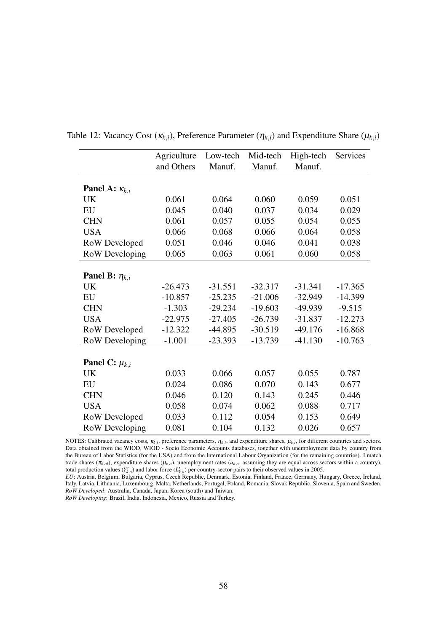|                              | Agriculture | Low-tech  | Mid-tech  | High-tech | Services  |
|------------------------------|-------------|-----------|-----------|-----------|-----------|
|                              | and Others  | Manuf.    | Manuf.    | Manuf.    |           |
|                              |             |           |           |           |           |
| Panel A: $\kappa_{k,i}$      |             |           |           |           |           |
| UK                           | 0.061       | 0.064     | 0.060     | 0.059     | 0.051     |
| EU                           | 0.045       | 0.040     | 0.037     | 0.034     | 0.029     |
| <b>CHN</b>                   | 0.061       | 0.057     | 0.055     | 0.054     | 0.055     |
| <b>USA</b>                   | 0.066       | 0.068     | 0.066     | 0.064     | 0.058     |
| RoW Developed                | 0.051       | 0.046     | 0.046     | 0.041     | 0.038     |
| <b>RoW</b> Developing        | 0.065       | 0.063     | 0.061     | 0.060     | 0.058     |
|                              |             |           |           |           |           |
| <b>Panel B:</b> $\eta_{k,i}$ |             |           |           |           |           |
| UK                           | $-26.473$   | $-31.551$ | $-32.317$ | $-31.341$ | $-17.365$ |
| EU                           | $-10.857$   | $-25.235$ | $-21.006$ | $-32.949$ | $-14.399$ |
| <b>CHN</b>                   | $-1.303$    | $-29.234$ | $-19.603$ | $-49.939$ | $-9.515$  |
| <b>USA</b>                   | $-22.975$   | $-27.405$ | $-26.739$ | $-31.837$ | $-12.273$ |
| RoW Developed                | $-12.322$   | $-44.895$ | $-30.519$ | $-49.176$ | $-16.868$ |
| <b>RoW</b> Developing        | $-1.001$    | $-23.393$ | $-13.739$ | $-41.130$ | $-10.763$ |
|                              |             |           |           |           |           |
| Panel C: $\mu_{k,i}$         |             |           |           |           |           |
| UK                           | 0.033       | 0.066     | 0.057     | 0.055     | 0.787     |
| EU                           | 0.024       | 0.086     | 0.070     | 0.143     | 0.677     |
| <b>CHN</b>                   | 0.046       | 0.120     | 0.143     | 0.245     | 0.446     |
| <b>USA</b>                   | 0.058       | 0.074     | 0.062     | 0.088     | 0.717     |
| RoW Developed                | 0.033       | 0.112     | 0.054     | 0.153     | 0.649     |
| <b>RoW</b> Developing        | 0.081       | 0.104     | 0.132     | 0.026     | 0.657     |

<span id="page-57-0"></span>Table 12: Vacancy Cost  $(\kappa_{k,i})$ , Preference Parameter  $(\eta_{k,i})$  and Expenditure Share  $(\mu_{k,i})$ 

NOTES: Calibrated vacancy costs,  $\kappa_{k,i}$ , preference parameters,  $\eta_{k,i}$ , and expenditure shares,  $\mu_{k,i}$ , for different countries and sectors. Data obtained from the WIOD, WIOD - Socio Economic Accounts databases, together with unemployment data by country from the Bureau of Labor Statistics (for the USA) and from the International Labour Organization (for the remaining countries). I match trade shares ( $\pi_{k,oi}$ ), expenditure shares ( $\mu_{k,o}$ ), unemployment rates ( $\mu_{k,o}$ , assuming they are equal across sectors within a country), total production values  $(Y_{k,o}^t)$  and labor force  $(L_{k,o}^t)$  per country-sector pairs to their observed values in 2005.

*EU*: Austria, Belgium, Bulgaria, Cyprus, Czech Republic, Denmark, Estonia, Finland, France, Germany, Hungary, Greece, Ireland, Italy, Latvia, Lithuania, Luxembourg, Malta, Netherlands, Portugal, Poland, Romania, Slovak Republic, Slovenia, Spain and Sweden. *RoW Developed*: Australia, Canada, Japan, Korea (south) and Taiwan.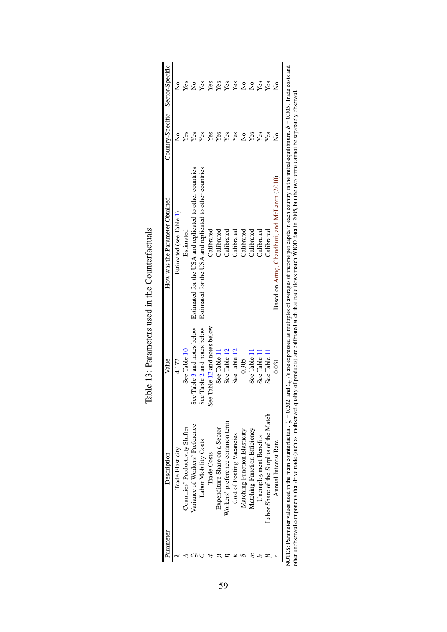<span id="page-58-0"></span>

| Parameter | Description                                                                  | Value                        | How was the Parameter Obtained                                                                                                                                                                                                                                                                                                                                      | Country-Specific Sector-Specific |                             |
|-----------|------------------------------------------------------------------------------|------------------------------|---------------------------------------------------------------------------------------------------------------------------------------------------------------------------------------------------------------------------------------------------------------------------------------------------------------------------------------------------------------------|----------------------------------|-----------------------------|
|           | Trade Elasticity                                                             | 4.172                        | Estimated (see Table 1)                                                                                                                                                                                                                                                                                                                                             | $\frac{1}{2}$                    | $\frac{1}{2}$               |
|           | Countries' Productivity Shifter                                              | See Table 10                 | Estimated                                                                                                                                                                                                                                                                                                                                                           | Yes                              | Yes                         |
|           | Variance of Workers' Preference                                              | See Table 3 and notes below  | Estimated for the USA and replicated to other countries                                                                                                                                                                                                                                                                                                             | Yes                              | $\overset{\circ}{\text{z}}$ |
|           | Labor Mobility Costs                                                         | See Table 2 and notes below  | Estimated for the USA and replicated to other countries                                                                                                                                                                                                                                                                                                             | Yes                              | Yes                         |
|           | Trade Costs                                                                  | See Table 12 and notes below | Calibrated                                                                                                                                                                                                                                                                                                                                                          | Yes                              | Yes                         |
|           | Expenditure Share on a Sector                                                | See Table 11                 | Calibrated                                                                                                                                                                                                                                                                                                                                                          | Yes                              | Yes                         |
|           | Workers' preference common term                                              | See Table 12                 | Calibrated                                                                                                                                                                                                                                                                                                                                                          | Yes                              | Yes                         |
|           | Cost of Posting Vacancies                                                    | See Table 12                 | Calibrated                                                                                                                                                                                                                                                                                                                                                          | Yes                              | Yes                         |
|           | Matching Function Elasticity                                                 | 0.305                        | Calibrated                                                                                                                                                                                                                                                                                                                                                          | $\frac{1}{2}$                    | $\tilde{\mathsf{z}}$        |
|           | Matching Function Efficiency                                                 | See Table 11                 | Calibrated                                                                                                                                                                                                                                                                                                                                                          | Yes                              | $\frac{1}{2}$               |
|           | Unemployment Benefits                                                        | See Table 11                 | Calibrated                                                                                                                                                                                                                                                                                                                                                          | Yes                              | Yes                         |
|           | Labor Share of the Surplus of the Match                                      | See Table 11                 | Calibrated                                                                                                                                                                                                                                                                                                                                                          | Yes                              | Yes                         |
|           | Annual Interest Rate                                                         | 0.031                        | Based on Artuc, Chaudhuri, and McLaren (2010)                                                                                                                                                                                                                                                                                                                       | $\mathsf{\hat{z}}$               | $\tilde{\mathsf{z}}$        |
|           | NOTES: Parameter values used in the main counterfactual. $\zeta_i = 0.202$ , |                              | and $C_{k}$ , 's are expressed as multiples of averages of income per capita in each country in the initial equilibrium. $\delta = 0.305$ . Trade costs and<br>other unobserved components that drive trade (such as unobserved quality of products) are calibrated such that trade flows match WIOD data in 2005, but the two terms cannot be separately observed. |                                  |                             |

| $\frac{1}{2}$<br>$2 + 2 + 2 = 2$<br>ζ                 |
|-------------------------------------------------------|
| ֧֧֧֧֧֧֧֧֧֛֧֛֚֚֚֚֚֚֚֚֚֚֚֚֚֚֚֚֚֚֚֚֚֚֚֝֓֝֓֝֓֝֓֝֓֝֓֓<br>i |
| AT ME DAN 1100 IL STATION<br>i                        |
| $\mathfrak{c}$<br>ì                                   |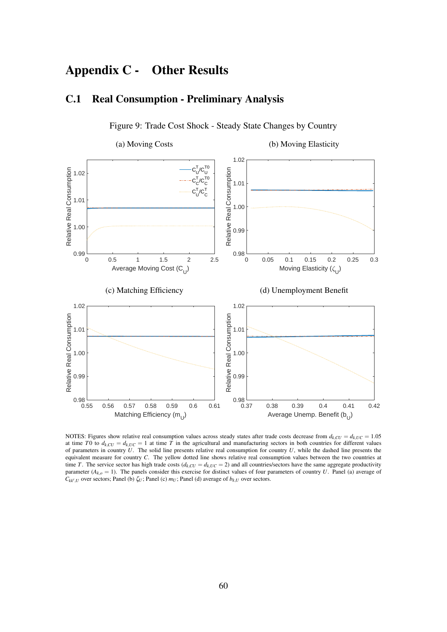# Appendix C - Other Results

# C.1 Real Consumption - Preliminary Analysis

<span id="page-59-0"></span>

Figure 9: Trade Cost Shock - Steady State Changes by Country

NOTES: Figures show relative real consumption values across steady states after trade costs decrease from  $d_{k,CU} = d_{k,UC} = 1.05$ at time *T*0 to  $d_{k,UC} = d_{k,UC} = 1$  at time *T* in the agricultural and manufacturing sectors in both countries for different values of parameters in country *U*. The solid line presents relative real consumption for country *U*, while the dashed line presents the equivalent measure for country *C*. The yellow dotted line shows relative real consumption values between the two countries at time *T*. The service sector has high trade costs ( $d_{k,CU} = d_{k,UC} = 2$ ) and all countries/sectors have the same aggregate productivity parameter  $(A_{k,o} = 1)$ . The panels consider this exercise for distinct values of four parameters of country *U*. Panel (a) average of  $C_{kk',U}$  over sectors; Panel (b)  $\zeta_U$ ; Panel (c)  $m_U$ ; Panel (d) average of  $b_{k,U}$  over sectors.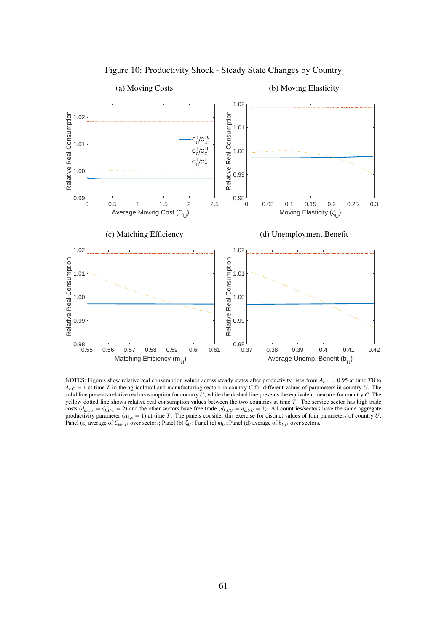<span id="page-60-0"></span>

Figure 10: Productivity Shock - Steady State Changes by Country

(a) Moving Costs

(b) Moving Elasticity

NOTES: Figures show relative real consumption values across steady states after productivity rises from *Ak*,*<sup>C</sup>* = 0.95 at time *T*0 to  $A_{k,C} = 1$  at time *T* in the agricultural and manufacturing sectors in country *C* for different values of parameters in country *U*. The solid line presents relative real consumption for country *U*, while the dashed line presents the equivalent measure for country *C*. The yellow dotted line shows relative real consumption values between the two countries at time *T*. The service sector has high trade costs ( $d_{k,CU} = d_{k,UC} = 2$ ) and the other sectors have free trade ( $d_{k,CU} = d_{k,UC} = 1$ ). All countries/sectors have the same aggregate productivity parameter  $(A_{k,o} = 1)$  at time *T*. The panels consider this exercise for distinct values of four parameters of country *U*. Panel (a) average of  $C_{kk',U}$  over sectors; Panel (b)  $\zeta_U$ ; Panel (c)  $m_U$ ; Panel (d) average of  $b_{k,U}$  over sectors.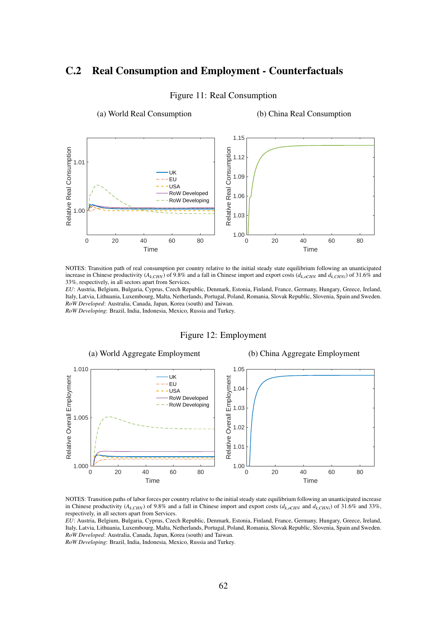# <span id="page-61-0"></span>C.2 Real Consumption and Employment - Counterfactuals

(a) World Real Consumption



#### Figure 11: Real Consumption

(b) China Real Consumption

NOTES: Transition path of real consumption per country relative to the initial steady state equilibrium following an unanticipated increase in Chinese productivity ( $A_k$ <sub>*CHN*</sub>) of 9.8% and a fall in Chinese import and export costs ( $d_k$ <sub>*oCHN*</sub> and  $d_k$ <sub>*CHNi*</sub>) of 31.6% and 33%, respectively, in all sectors apart from Services.

*EU*: Austria, Belgium, Bulgaria, Cyprus, Czech Republic, Denmark, Estonia, Finland, France, Germany, Hungary, Greece, Ireland, Italy, Latvia, Lithuania, Luxembourg, Malta, Netherlands, Portugal, Poland, Romania, Slovak Republic, Slovenia, Spain and Sweden. *RoW Developed*: Australia, Canada, Japan, Korea (south) and Taiwan. *RoW Developing*: Brazil, India, Indonesia, Mexico, Russia and Turkey.

Figure 12: Employment

<span id="page-61-1"></span>

NOTES: Transition paths of labor forces per country relative to the initial steady state equilibrium following an unanticipated increase in Chinese productivity ( $A_k$ <sub>CHN</sub>) of 9.8% and a fall in Chinese import and export costs ( $d_{k,oCHN}$  and  $d_k$ <sub>CHNi</sub>) of 31.6% and 33%, respectively, in all sectors apart from Services.

*EU*: Austria, Belgium, Bulgaria, Cyprus, Czech Republic, Denmark, Estonia, Finland, France, Germany, Hungary, Greece, Ireland, Italy, Latvia, Lithuania, Luxembourg, Malta, Netherlands, Portugal, Poland, Romania, Slovak Republic, Slovenia, Spain and Sweden. *RoW Developed*: Australia, Canada, Japan, Korea (south) and Taiwan.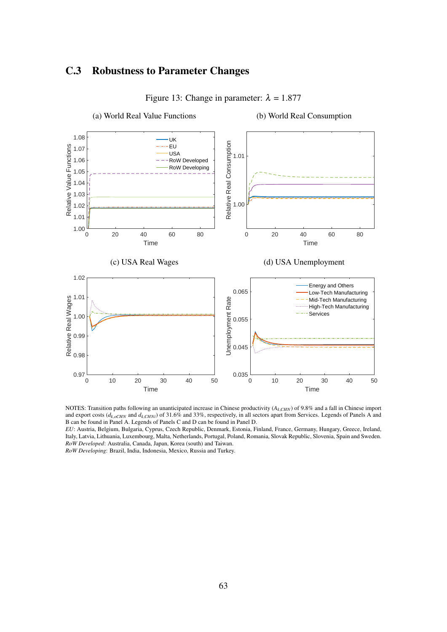# C.3 Robustness to Parameter Changes

<span id="page-62-0"></span>

Figure 13: Change in parameter:  $\lambda = 1.877$ 

NOTES: Transition paths following an unanticipated increase in Chinese productivity (*Ak*,*CHN*) of 9.8% and a fall in Chinese import and export costs ( $d_{k, oCHN}$  and  $d_{k, CHNi}$ ) of 31.6% and 33%, respectively, in all sectors apart from Services. Legends of Panels A and B can be found in Panel A. Legends of Panels C and D can be found in Panel D.

*EU*: Austria, Belgium, Bulgaria, Cyprus, Czech Republic, Denmark, Estonia, Finland, France, Germany, Hungary, Greece, Ireland, Italy, Latvia, Lithuania, Luxembourg, Malta, Netherlands, Portugal, Poland, Romania, Slovak Republic, Slovenia, Spain and Sweden. *RoW Developed*: Australia, Canada, Japan, Korea (south) and Taiwan.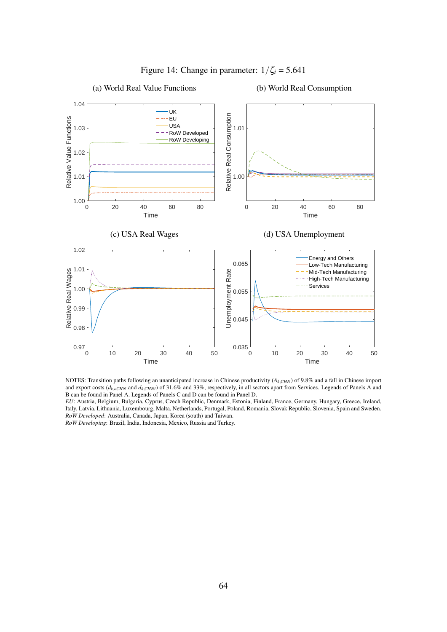<span id="page-63-0"></span>

Figure 14: Change in parameter:  $1/\zeta_i = 5.641$ 

# (a) World Real Value Functions

#### (b) World Real Consumption

NOTES: Transition paths following an unanticipated increase in Chinese productivity ( $A_{k,CHN}$ ) of 9.8% and a fall in Chinese import and export costs ( $d_{k,oCHN}$  and  $d_{k,CHNi}$ ) of 31.6% and 33%, respectively, in all sectors apart from Services. Legends of Panels A and B can be found in Panel A. Legends of Panels C and D can be found in Panel D.

*EU*: Austria, Belgium, Bulgaria, Cyprus, Czech Republic, Denmark, Estonia, Finland, France, Germany, Hungary, Greece, Ireland, Italy, Latvia, Lithuania, Luxembourg, Malta, Netherlands, Portugal, Poland, Romania, Slovak Republic, Slovenia, Spain and Sweden. *RoW Developed*: Australia, Canada, Japan, Korea (south) and Taiwan. *RoW Developing*: Brazil, India, Indonesia, Mexico, Russia and Turkey.